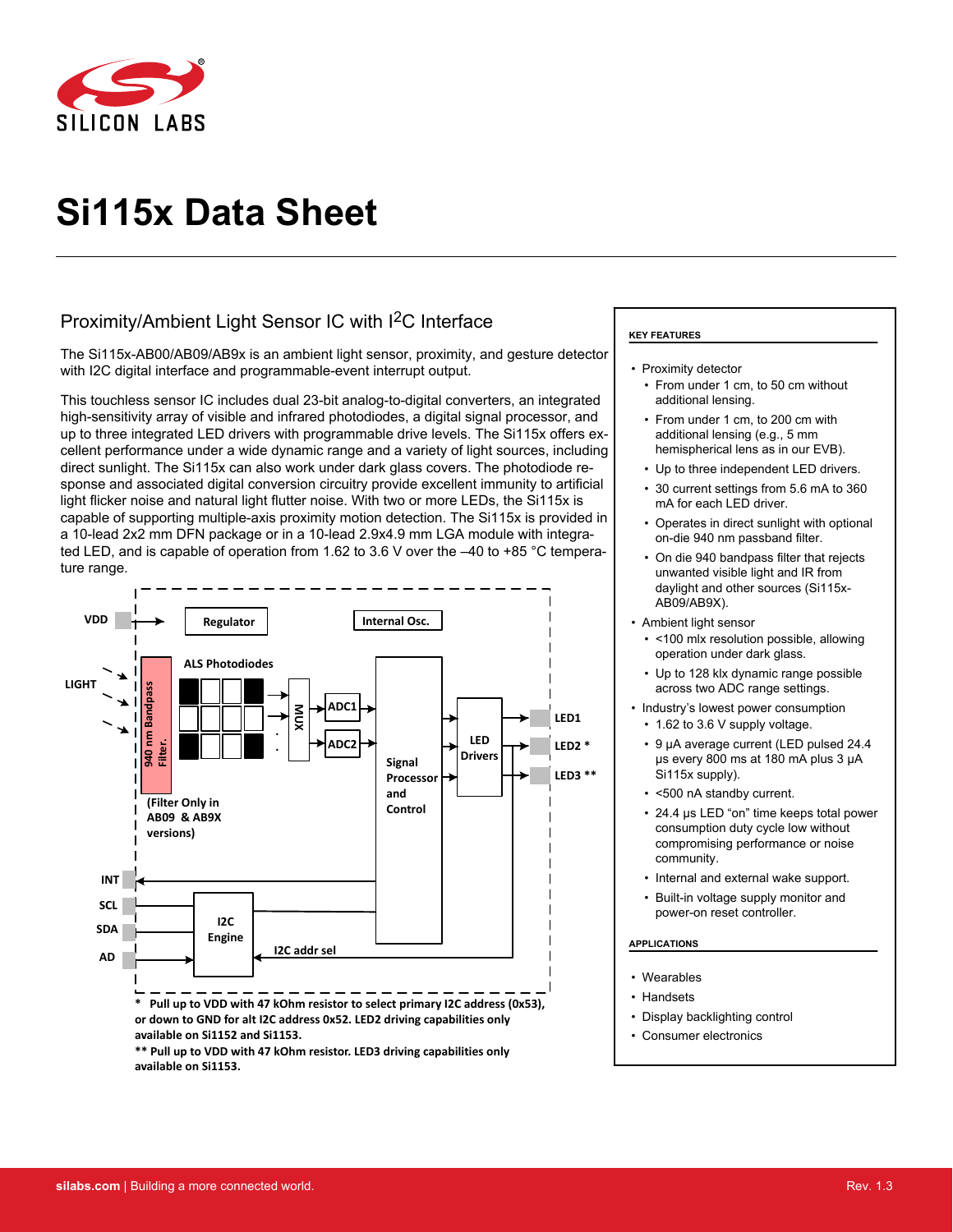

# **Si115x Data Sheet**

# Proximity/Ambient Light Sensor IC with I2C Interface

The Si115x-AB00/AB09/AB9x is an ambient light sensor, proximity, and gesture detector with I2C digital interface and programmable-event interrupt output.

This touchless sensor IC includes dual 23-bit analog-to-digital converters, an integrated high-sensitivity array of visible and infrared photodiodes, a digital signal processor, and up to three integrated LED drivers with programmable drive levels. The Si115x offers excellent performance under a wide dynamic range and a variety of light sources, including direct sunlight. The Si115x can also work under dark glass covers. The photodiode response and associated digital conversion circuitry provide excellent immunity to artificial light flicker noise and natural light flutter noise. With two or more LEDs, the Si115x is capable of supporting multiple-axis proximity motion detection. The Si115x is provided in a 10-lead 2x2 mm DFN package or in a 10-lead 2.9x4.9 mm LGA module with integrated LED, and is capable of operation from 1.62 to 3.6 V over the –40 to +85 °C temperature range.



### **KEY FEATURES**

- Proximity detector
	- From under 1 cm, to 50 cm without additional lensing.
	- From under 1 cm, to 200 cm with additional lensing (e.g., 5 mm hemispherical lens as in our EVB).
	- Up to three independent LED drivers.
	- 30 current settings from 5.6 mA to 360 mA for each LED driver.
	- Operates in direct sunlight with optional on-die 940 nm passband filter.
	- On die 940 bandpass filter that rejects unwanted visible light and IR from daylight and other sources (Si115x-AB09/AB9X).
- Ambient light sensor
	- <100 mlx resolution possible, allowing operation under dark glass.
	- Up to 128 klx dynamic range possible across two ADC range settings.
- Industry's lowest power consumption
	- 1.62 to 3.6 V supply voltage.
	- 9 μA average current (LED pulsed 24.4 μs every 800 ms at 180 mA plus 3 μA Si115x supply).
- <500 nA standby current.
- 24.4 μs LED "on" time keeps total power consumption duty cycle low without compromising performance or noise community.
- Internal and external wake support.
- Built-in voltage supply monitor and power-on reset controller.

#### **APPLICATIONS**

- Wearables
- Handsets
- Display backlighting control
- Consumer electronics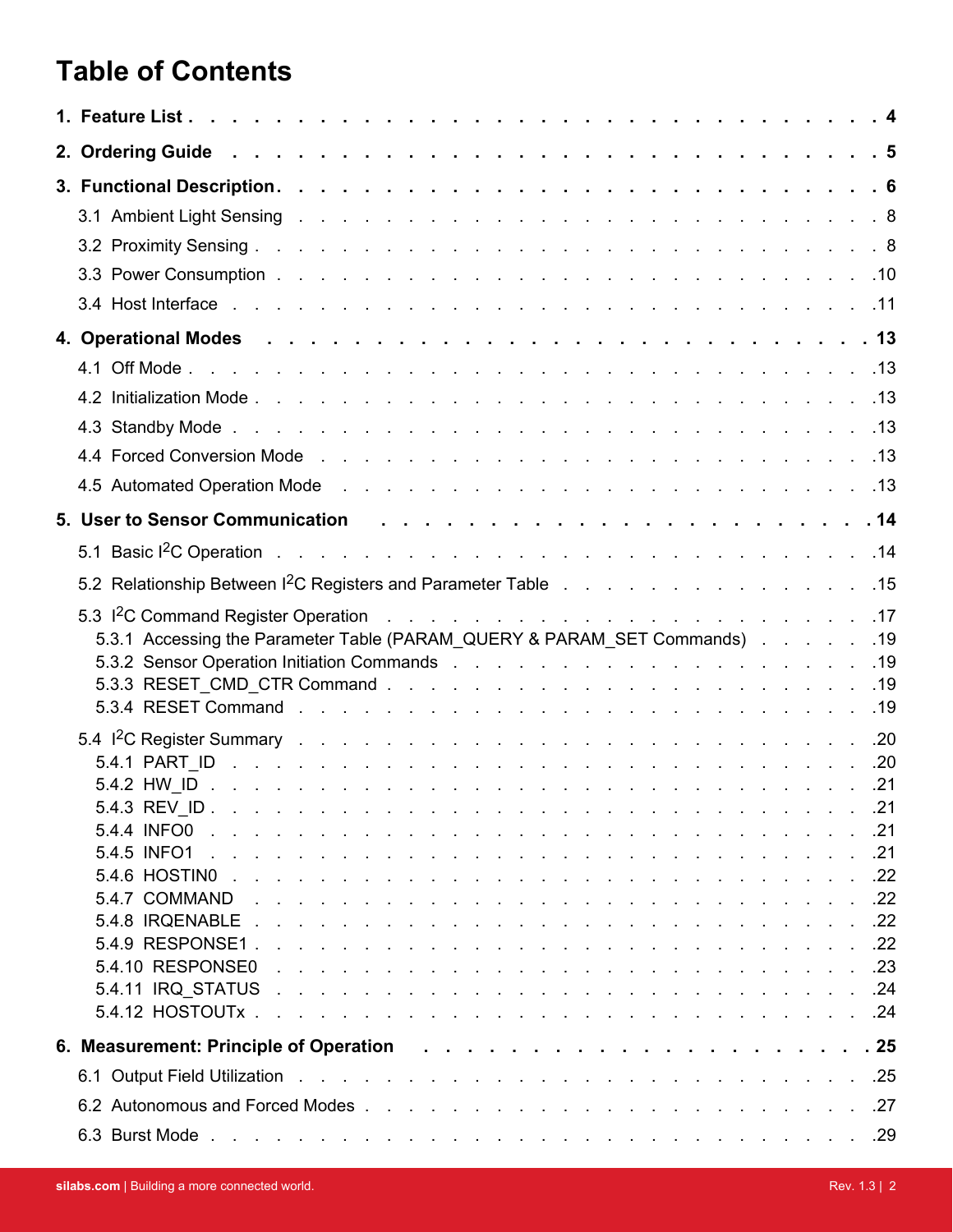# **Table of Contents**

| 5.3.1 Accessing the Parameter Table (PARAM_QUERY & PARAM_SET Commands) 19 |  |
|---------------------------------------------------------------------------|--|
|                                                                           |  |
|                                                                           |  |
|                                                                           |  |
|                                                                           |  |
|                                                                           |  |
|                                                                           |  |
|                                                                           |  |
| 5.4.5 INFO1 .                                                             |  |
|                                                                           |  |
|                                                                           |  |
|                                                                           |  |
|                                                                           |  |
|                                                                           |  |
|                                                                           |  |
|                                                                           |  |
|                                                                           |  |
|                                                                           |  |
|                                                                           |  |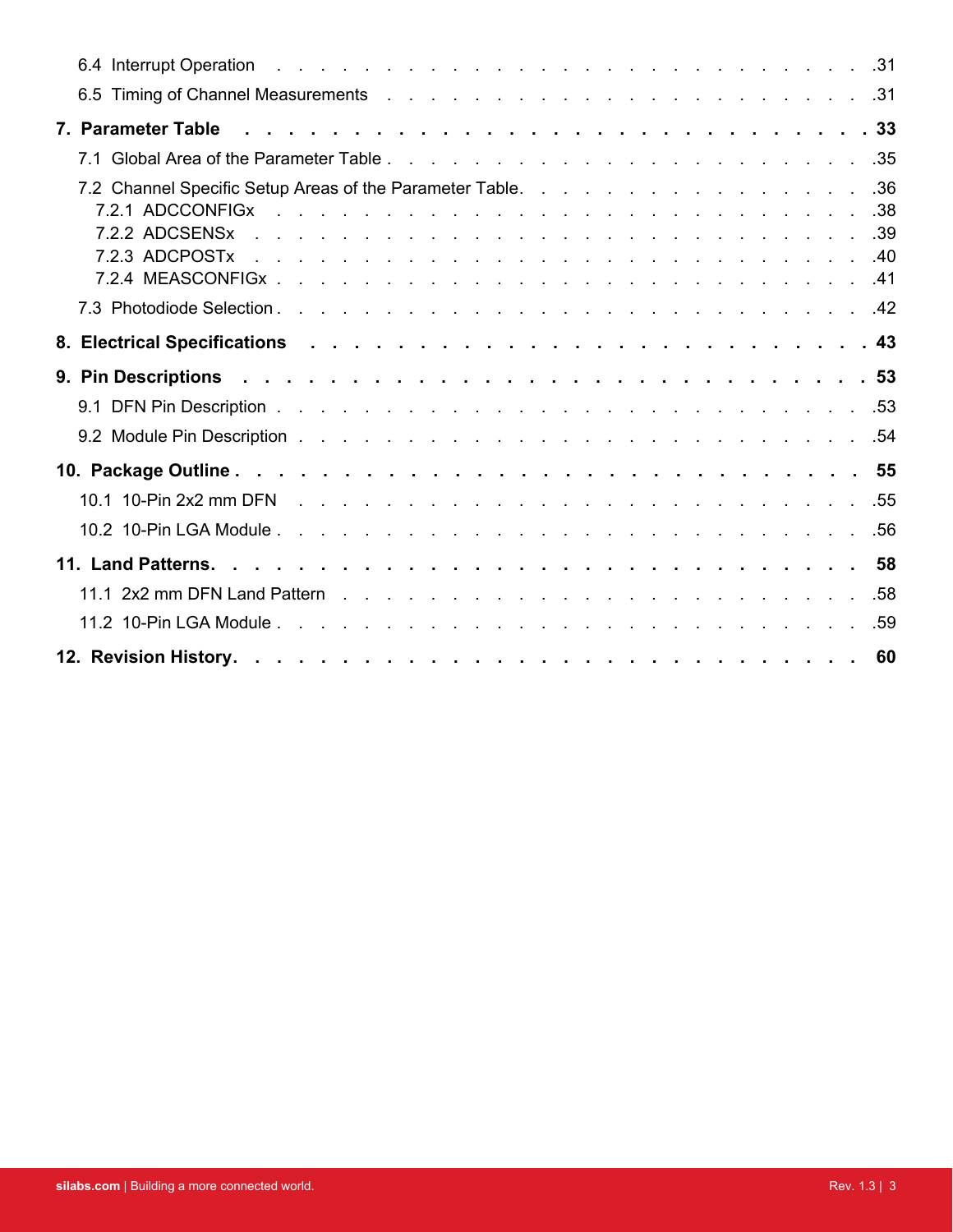| 6.4 Interrupt Operation research and research and research and research and research and research and research |  |  |
|----------------------------------------------------------------------------------------------------------------|--|--|
|                                                                                                                |  |  |
| 7. Parameter Table Roberts And Alberts Andreas Alberts Andreas Alberts Andreas Alberts Alberts Alberts Alberts |  |  |
|                                                                                                                |  |  |
|                                                                                                                |  |  |
|                                                                                                                |  |  |
|                                                                                                                |  |  |
|                                                                                                                |  |  |
|                                                                                                                |  |  |
|                                                                                                                |  |  |
|                                                                                                                |  |  |
|                                                                                                                |  |  |
|                                                                                                                |  |  |
|                                                                                                                |  |  |
|                                                                                                                |  |  |
|                                                                                                                |  |  |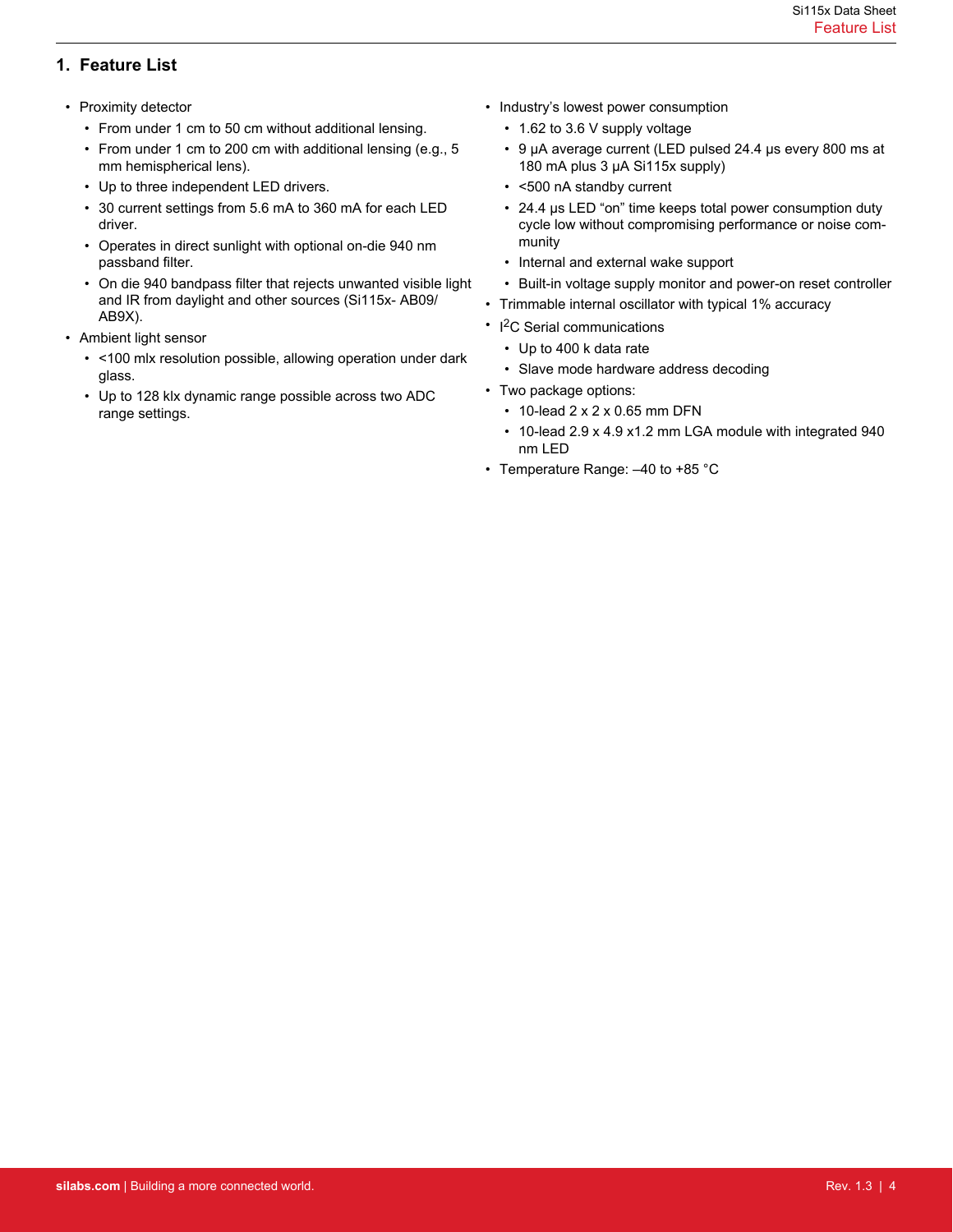# <span id="page-3-0"></span>**1. Feature List**

- Proximity detector
	- From under 1 cm to 50 cm without additional lensing.
	- From under 1 cm to 200 cm with additional lensing (e.g., 5 mm hemispherical lens).
	- Up to three independent LED drivers.
	- 30 current settings from 5.6 mA to 360 mA for each LED driver.
	- Operates in direct sunlight with optional on-die 940 nm passband filter.
	- On die 940 bandpass filter that rejects unwanted visible light and IR from daylight and other sources (Si115x- AB09/ AB9X).
- Ambient light sensor
	- <100 mlx resolution possible, allowing operation under dark glass.
	- Up to 128 klx dynamic range possible across two ADC range settings.
- Industry's lowest power consumption
	- 1.62 to 3.6 V supply voltage
	- 9 μA average current (LED pulsed 24.4 μs every 800 ms at 180 mA plus 3 μA Si115x supply)
	- <500 nA standby current
	- 24.4 μs LED "on" time keeps total power consumption duty cycle low without compromising performance or noise community
	- Internal and external wake support
	- Built-in voltage supply monitor and power-on reset controller
- Trimmable internal oscillator with typical 1% accuracy
- I<sup>2</sup>C Serial communications
	- Up to 400 k data rate
	- Slave mode hardware address decoding
- Two package options:
	- 10-lead 2 x 2 x 0.65 mm DFN
	- 10-lead 2.9 x 4.9 x1.2 mm LGA module with integrated 940 nm LED
- Temperature Range: –40 to +85 °C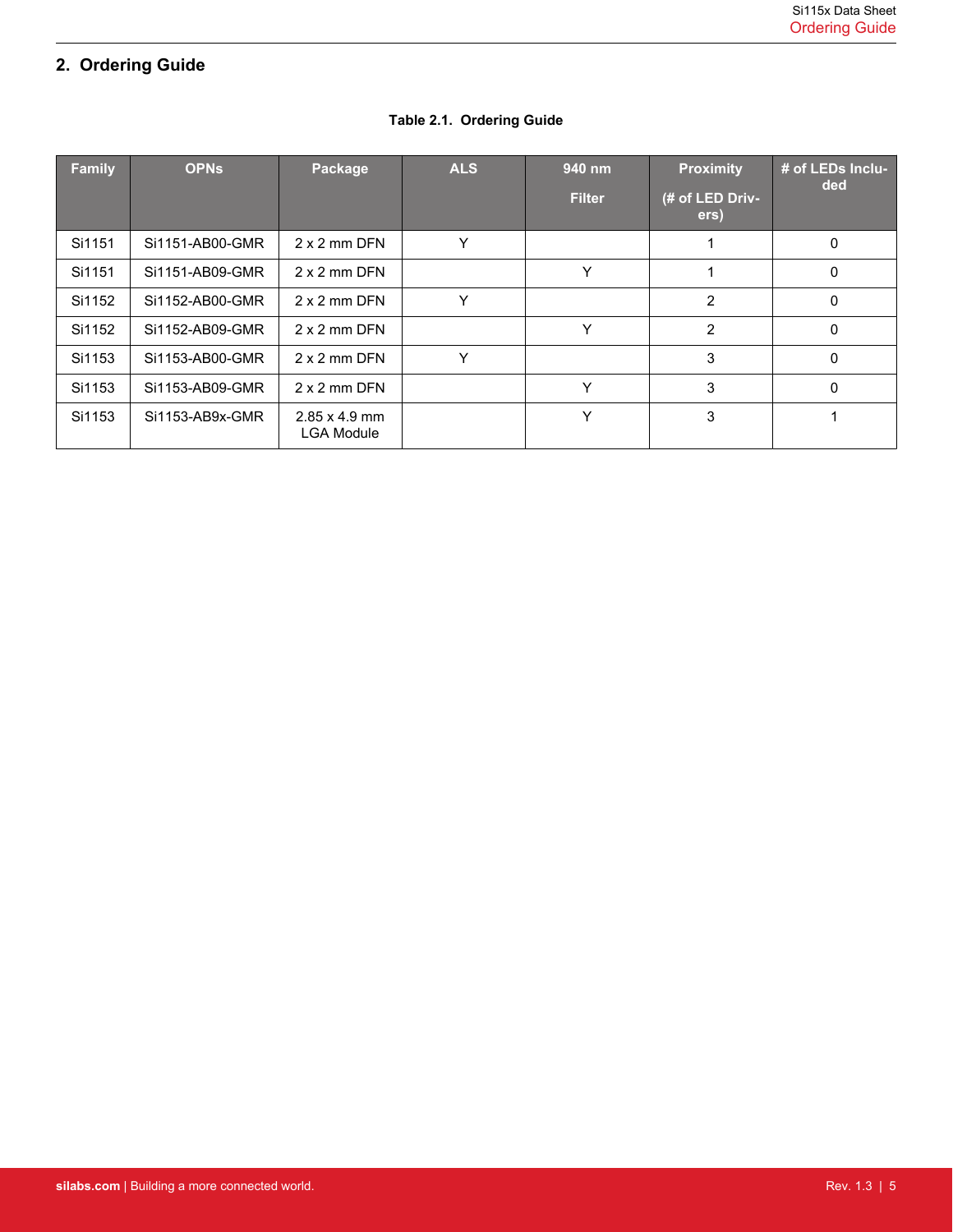# <span id="page-4-0"></span>**2. Ordering Guide**

| <b>Family</b> | <b>OPNs</b>     | Package                                   | <b>ALS</b> | 940 nm<br><b>Filter</b> | <b>Proximity</b><br>(# of LED Driv-<br>ers) | # of LEDs Inclu-<br>ded |
|---------------|-----------------|-------------------------------------------|------------|-------------------------|---------------------------------------------|-------------------------|
| Si1151        | Si1151-AB00-GMR | 2 x 2 mm DFN                              | Y          |                         |                                             | 0                       |
| Si1151        | Si1151-AB09-GMR | $2 \times 2$ mm DFN                       |            | Υ                       |                                             | 0                       |
| Si1152        | Si1152-AB00-GMR | 2 x 2 mm DFN                              | Y          |                         | $\overline{2}$                              | 0                       |
| Si1152        | Si1152-AB09-GMR | 2 x 2 mm DFN                              |            | Υ                       | $\overline{2}$                              | 0                       |
| Si1153        | Si1153-AB00-GMR | 2 x 2 mm DFN                              | Υ          |                         | 3                                           | $\Omega$                |
| Si1153        | Si1153-AB09-GMR | 2 x 2 mm DFN                              |            | ٧                       | 3                                           | 0                       |
| Si1153        | Si1153-AB9x-GMR | $2.85 \times 4.9$ mm<br><b>LGA Module</b> |            | ٧                       | 3                                           |                         |

# **Table 2.1. Ordering Guide**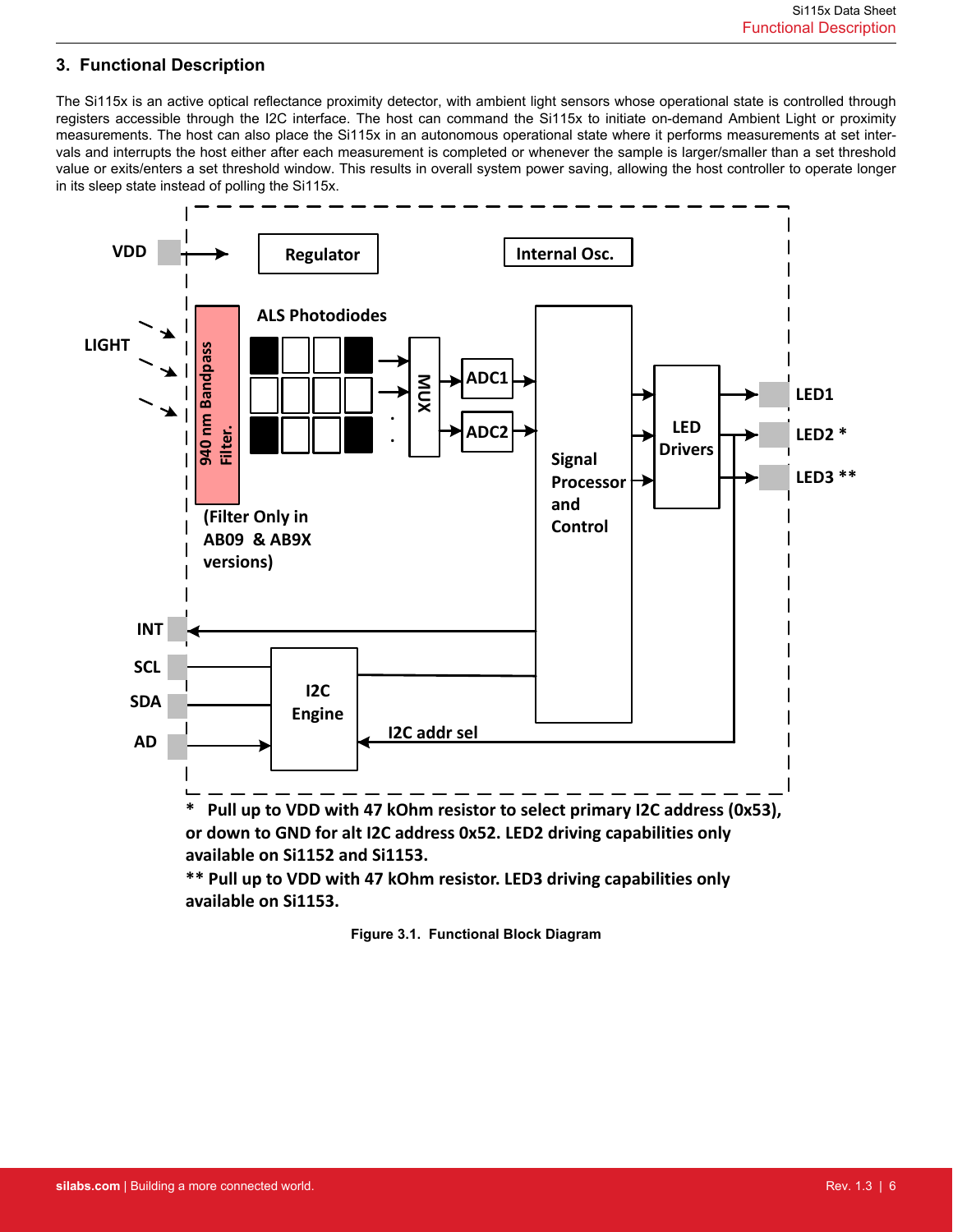# <span id="page-5-0"></span>**3. Functional Description**

The Si115x is an active optical reflectance proximity detector, with ambient light sensors whose operational state is controlled through registers accessible through the I2C interface. The host can command the Si115x to initiate on-demand Ambient Light or proximity measurements. The host can also place the Si115x in an autonomous operational state where it performs measurements at set intervals and interrupts the host either after each measurement is completed or whenever the sample is larger/smaller than a set threshold value or exits/enters a set threshold window. This results in overall system power saving, allowing the host controller to operate longer in its sleep state instead of polling the Si115x.



**Figure 3.1. Functional Block Diagram**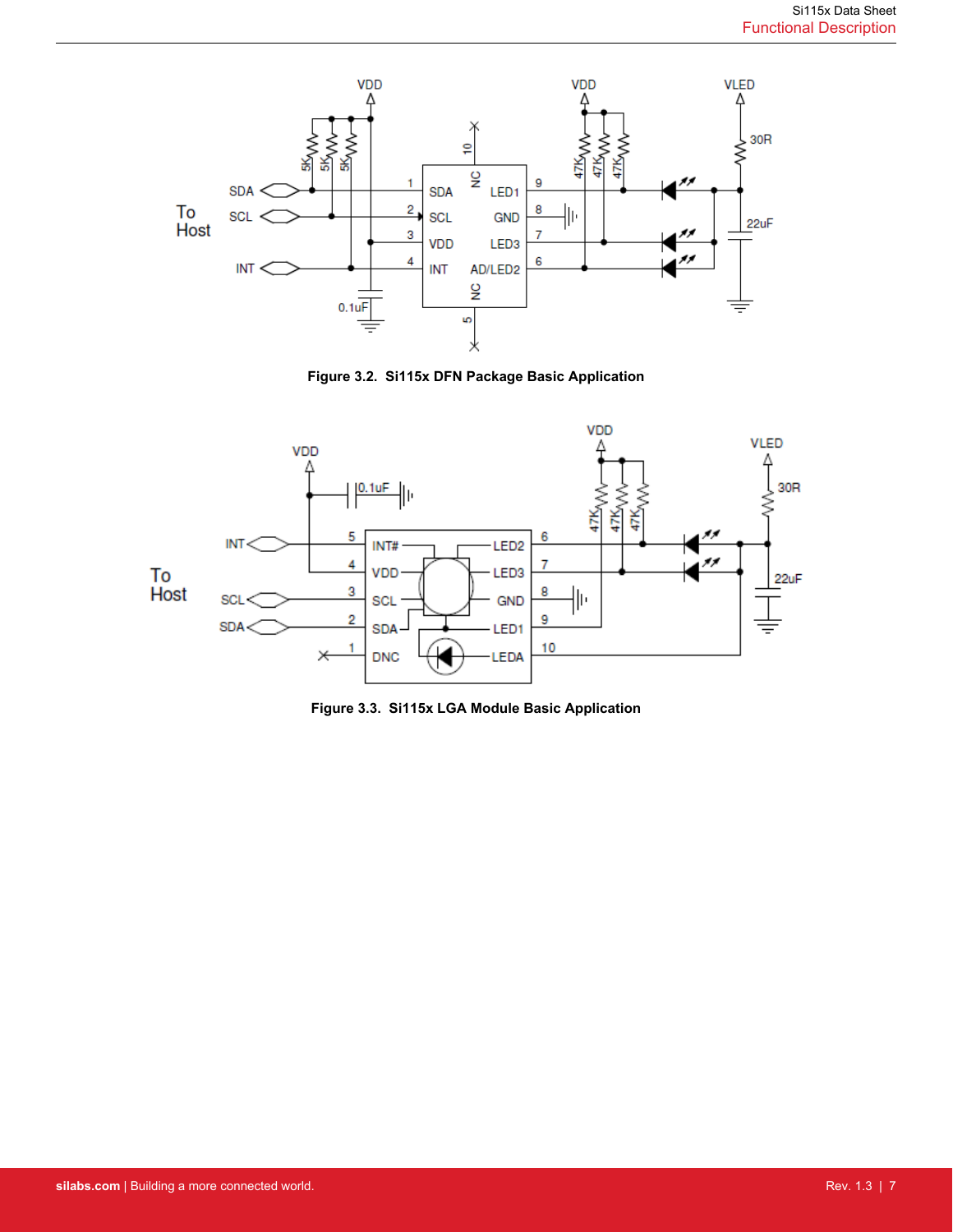

**Figure 3.2. Si115x DFN Package Basic Application**



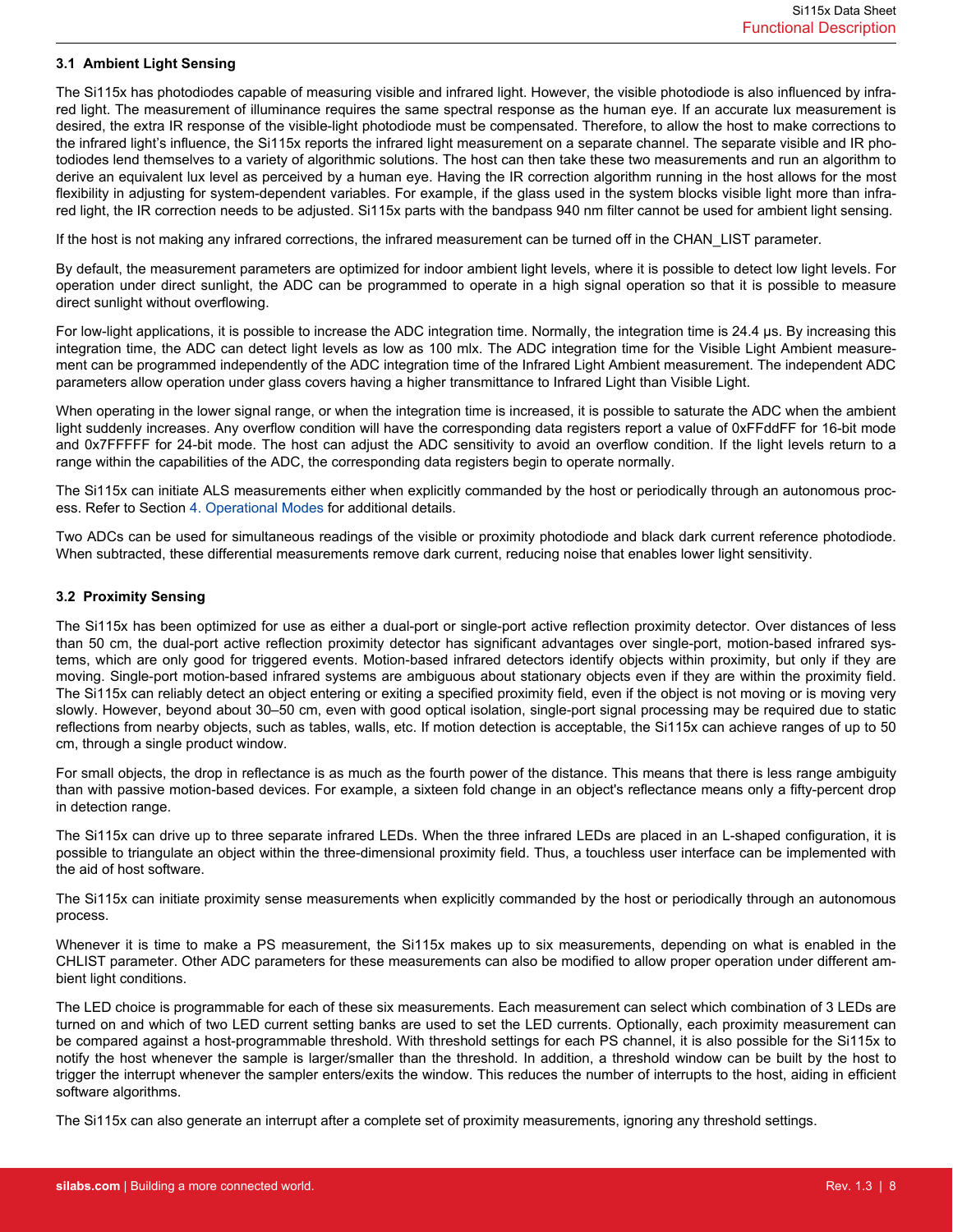### <span id="page-7-0"></span>**3.1 Ambient Light Sensing**

The Si115x has photodiodes capable of measuring visible and infrared light. However, the visible photodiode is also influenced by infrared light. The measurement of illuminance requires the same spectral response as the human eye. If an accurate lux measurement is desired, the extra IR response of the visible-light photodiode must be compensated. Therefore, to allow the host to make corrections to the infrared light's influence, the Si115x reports the infrared light measurement on a separate channel. The separate visible and IR photodiodes lend themselves to a variety of algorithmic solutions. The host can then take these two measurements and run an algorithm to derive an equivalent lux level as perceived by a human eye. Having the IR correction algorithm running in the host allows for the most flexibility in adjusting for system-dependent variables. For example, if the glass used in the system blocks visible light more than infrared light, the IR correction needs to be adjusted. Si115x parts with the bandpass 940 nm filter cannot be used for ambient light sensing.

If the host is not making any infrared corrections, the infrared measurement can be turned off in the CHAN\_LIST parameter.

By default, the measurement parameters are optimized for indoor ambient light levels, where it is possible to detect low light levels. For operation under direct sunlight, the ADC can be programmed to operate in a high signal operation so that it is possible to measure direct sunlight without overflowing.

For low-light applications, it is possible to increase the ADC integration time. Normally, the integration time is 24.4 µs. By increasing this integration time, the ADC can detect light levels as low as 100 mlx. The ADC integration time for the Visible Light Ambient measurement can be programmed independently of the ADC integration time of the Infrared Light Ambient measurement. The independent ADC parameters allow operation under glass covers having a higher transmittance to Infrared Light than Visible Light.

When operating in the lower signal range, or when the integration time is increased, it is possible to saturate the ADC when the ambient light suddenly increases. Any overflow condition will have the corresponding data registers report a value of 0xFFddFF for 16-bit mode and 0x7FFFFF for 24-bit mode. The host can adjust the ADC sensitivity to avoid an overflow condition. If the light levels return to a range within the capabilities of the ADC, the corresponding data registers begin to operate normally.

The Si115x can initiate ALS measurements either when explicitly commanded by the host or periodically through an autonomous process. Refer to Section [4. Operational Modes](#page-12-0) for additional details.

Two ADCs can be used for simultaneous readings of the visible or proximity photodiode and black dark current reference photodiode. When subtracted, these differential measurements remove dark current, reducing noise that enables lower light sensitivity.

#### **3.2 Proximity Sensing**

The Si115x has been optimized for use as either a dual-port or single-port active reflection proximity detector. Over distances of less than 50 cm, the dual-port active reflection proximity detector has significant advantages over single-port, motion-based infrared systems, which are only good for triggered events. Motion-based infrared detectors identify objects within proximity, but only if they are moving. Single-port motion-based infrared systems are ambiguous about stationary objects even if they are within the proximity field. The Si115x can reliably detect an object entering or exiting a specified proximity field, even if the object is not moving or is moving very slowly. However, beyond about 30–50 cm, even with good optical isolation, single-port signal processing may be required due to static reflections from nearby objects, such as tables, walls, etc. If motion detection is acceptable, the Si115x can achieve ranges of up to 50 cm, through a single product window.

For small objects, the drop in reflectance is as much as the fourth power of the distance. This means that there is less range ambiguity than with passive motion-based devices. For example, a sixteen fold change in an object's reflectance means only a fifty-percent drop in detection range.

The Si115x can drive up to three separate infrared LEDs. When the three infrared LEDs are placed in an L-shaped configuration, it is possible to triangulate an object within the three-dimensional proximity field. Thus, a touchless user interface can be implemented with the aid of host software.

The Si115x can initiate proximity sense measurements when explicitly commanded by the host or periodically through an autonomous process.

Whenever it is time to make a PS measurement, the Si115x makes up to six measurements, depending on what is enabled in the CHLIST parameter. Other ADC parameters for these measurements can also be modified to allow proper operation under different ambient light conditions.

The LED choice is programmable for each of these six measurements. Each measurement can select which combination of 3 LEDs are turned on and which of two LED current setting banks are used to set the LED currents. Optionally, each proximity measurement can be compared against a host-programmable threshold. With threshold settings for each PS channel, it is also possible for the Si115x to notify the host whenever the sample is larger/smaller than the threshold. In addition, a threshold window can be built by the host to trigger the interrupt whenever the sampler enters/exits the window. This reduces the number of interrupts to the host, aiding in efficient software algorithms.

The Si115x can also generate an interrupt after a complete set of proximity measurements, ignoring any threshold settings.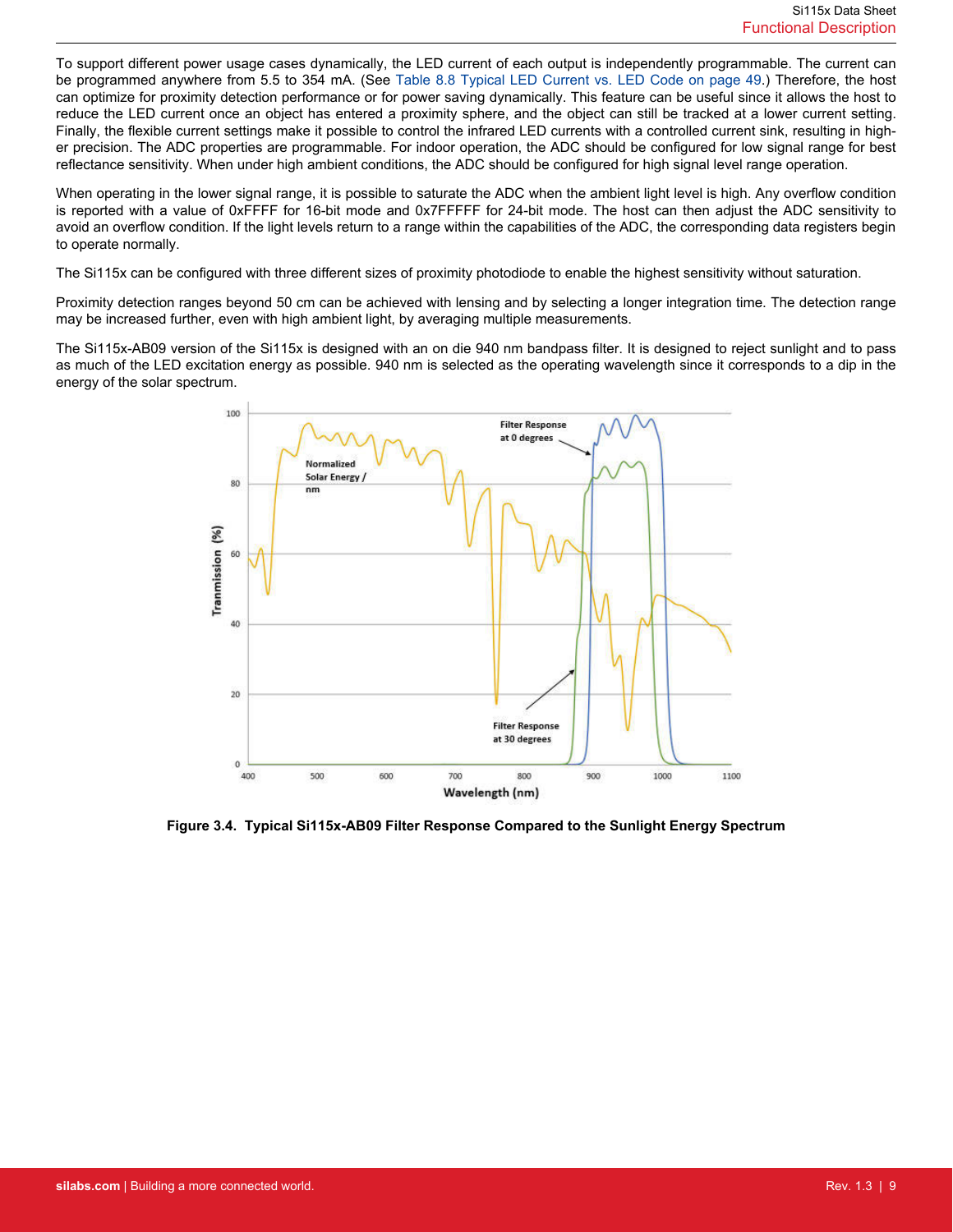To support different power usage cases dynamically, the LED current of each output is independently programmable. The current can be programmed anywhere from 5.5 to 354 mA. (See [Table 8.8 Typical LED Current vs. LED Code on page 49](#page-48-0).) Therefore, the host can optimize for proximity detection performance or for power saving dynamically. This feature can be useful since it allows the host to reduce the LED current once an object has entered a proximity sphere, and the object can still be tracked at a lower current setting. Finally, the flexible current settings make it possible to control the infrared LED currents with a controlled current sink, resulting in higher precision. The ADC properties are programmable. For indoor operation, the ADC should be configured for low signal range for best reflectance sensitivity. When under high ambient conditions, the ADC should be configured for high signal level range operation.

When operating in the lower signal range, it is possible to saturate the ADC when the ambient light level is high. Any overflow condition is reported with a value of 0xFFFF for 16-bit mode and 0x7FFFFF for 24-bit mode. The host can then adjust the ADC sensitivity to avoid an overflow condition. If the light levels return to a range within the capabilities of the ADC, the corresponding data registers begin to operate normally.

The Si115x can be configured with three different sizes of proximity photodiode to enable the highest sensitivity without saturation.

Proximity detection ranges beyond 50 cm can be achieved with lensing and by selecting a longer integration time. The detection range may be increased further, even with high ambient light, by averaging multiple measurements.

The Si115x-AB09 version of the Si115x is designed with an on die 940 nm bandpass filter. It is designed to reject sunlight and to pass as much of the LED excitation energy as possible. 940 nm is selected as the operating wavelength since it corresponds to a dip in the energy of the solar spectrum.



**Figure 3.4. Typical Si115x-AB09 Filter Response Compared to the Sunlight Energy Spectrum**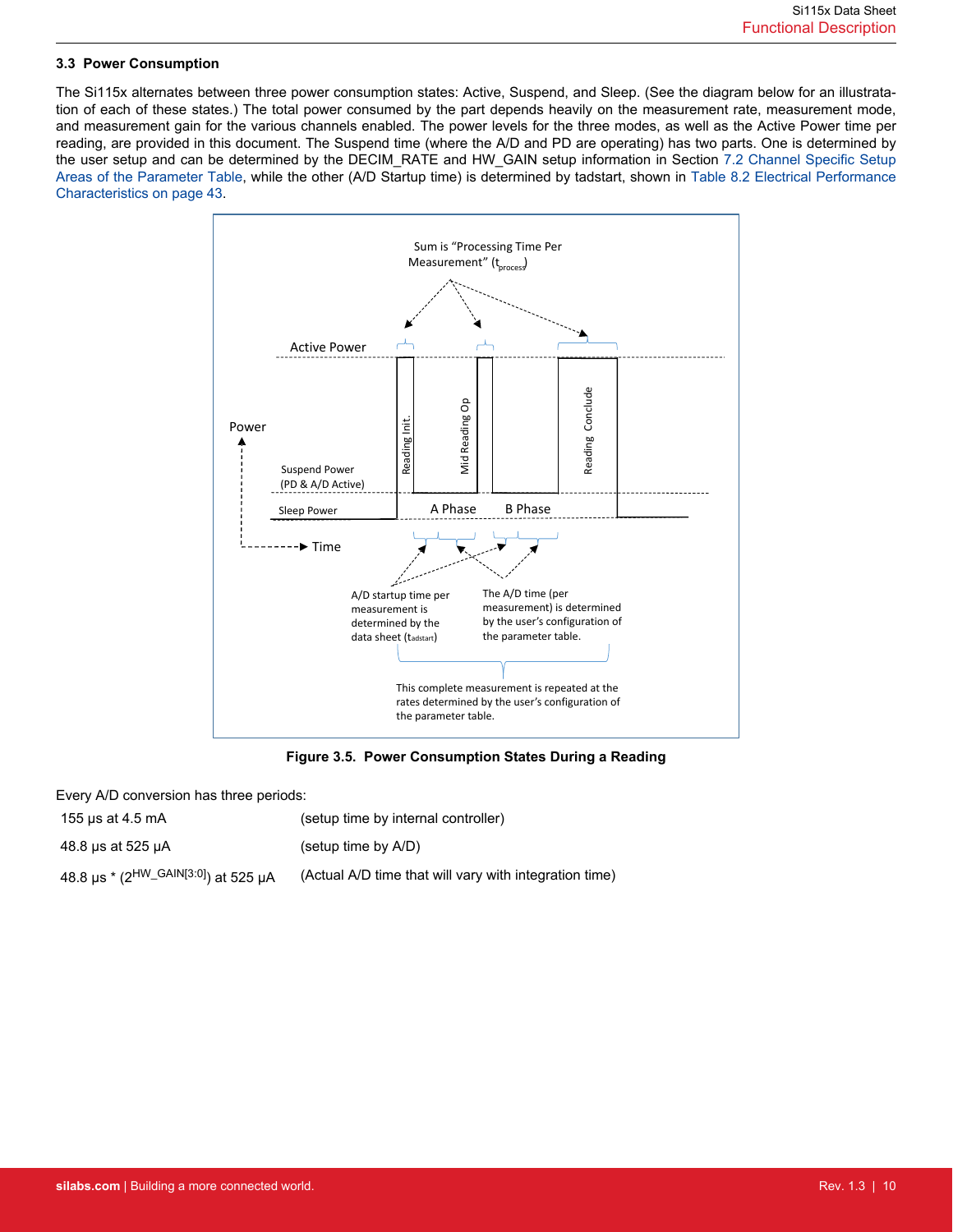### <span id="page-9-0"></span>**3.3 Power Consumption**

The Si115x alternates between three power consumption states: Active, Suspend, and Sleep. (See the diagram below for an illustratation of each of these states.) The total power consumed by the part depends heavily on the measurement rate, measurement mode, and measurement gain for the various channels enabled. The power levels for the three modes, as well as the Active Power time per reading, are provided in this document. The Suspend time (where the A/D and PD are operating) has two parts. One is determined by the user setup and can be determined by the DECIM\_RATE and HW\_GAIN setup information in Section [7.2 Channel Specific Setup](#page-35-0) [Areas of the Parameter Table,](#page-35-0) while the other (A/D Startup time) is determined by tadstart, shown in [Table 8.2 Electrical Performance](#page-42-0) [Characteristics on page 43](#page-42-0).



**Figure 3.5. Power Consumption States During a Reading**

Every A/D conversion has three periods:

155 μs at 4.5 mA (setup time by internal controller)

48.8 μs at 525 μA (setup time by A/D)

48.8 μs \* (2HW\_GAIN[3:0]) at 525 μA (Actual A/D time that will vary with integration time)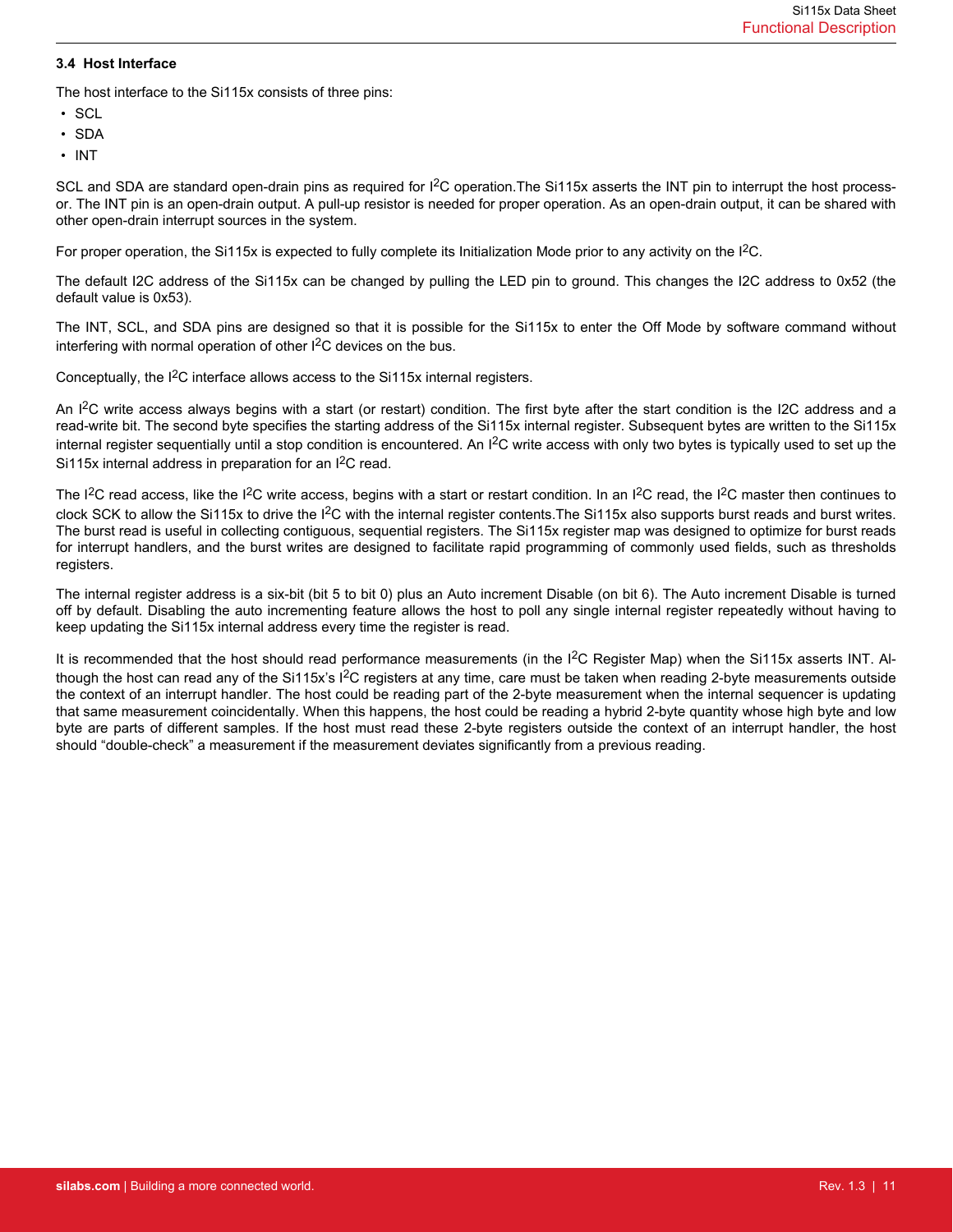### <span id="page-10-0"></span>**3.4 Host Interface**

The host interface to the Si115x consists of three pins:

- SCL
- SDA
- INT

SCL and SDA are standard open-drain pins as required for I<sup>2</sup>C operation. The Si115x asserts the INT pin to interrupt the host processor. The INT pin is an open-drain output. A pull-up resistor is needed for proper operation. As an open-drain output, it can be shared with other open-drain interrupt sources in the system.

For proper operation, the Si115x is expected to fully complete its Initialization Mode prior to any activity on the I<sup>2</sup>C.

The default I2C address of the Si115x can be changed by pulling the LED pin to ground. This changes the I2C address to 0x52 (the default value is 0x53).

The INT, SCL, and SDA pins are designed so that it is possible for the Si115x to enter the Off Mode by software command without interfering with normal operation of other  $I^2C$  devices on the bus.

Conceptually, the I2C interface allows access to the Si115x internal registers.

An I<sup>2</sup>C write access always begins with a start (or restart) condition. The first byte after the start condition is the I2C address and a read-write bit. The second byte specifies the starting address of the Si115x internal register. Subsequent bytes are written to the Si115x internal register sequentially until a stop condition is encountered. An I<sup>2</sup>C write access with only two bytes is typically used to set up the Si115x internal address in preparation for an I<sup>2</sup>C read.

The I<sup>2</sup>C read access, like the I<sup>2</sup>C write access, begins with a start or restart condition. In an I<sup>2</sup>C read, the I<sup>2</sup>C master then continues to clock SCK to allow the Si115x to drive the I<sup>2</sup>C with the internal register contents. The Si115x also supports burst reads and burst writes. The burst read is useful in collecting contiguous, sequential registers. The Si115x register map was designed to optimize for burst reads for interrupt handlers, and the burst writes are designed to facilitate rapid programming of commonly used fields, such as thresholds registers.

The internal register address is a six-bit (bit 5 to bit 0) plus an Auto increment Disable (on bit 6). The Auto increment Disable is turned off by default. Disabling the auto incrementing feature allows the host to poll any single internal register repeatedly without having to keep updating the Si115x internal address every time the register is read.

It is recommended that the host should read performance measurements (in the I<sup>2</sup>C Register Map) when the Si115x asserts INT. Although the host can read any of the Si115x's I<sup>2</sup>C registers at any time, care must be taken when reading 2-byte measurements outside the context of an interrupt handler. The host could be reading part of the 2-byte measurement when the internal sequencer is updating that same measurement coincidentally. When this happens, the host could be reading a hybrid 2-byte quantity whose high byte and low byte are parts of different samples. If the host must read these 2-byte registers outside the context of an interrupt handler, the host should "double-check" a measurement if the measurement deviates significantly from a previous reading.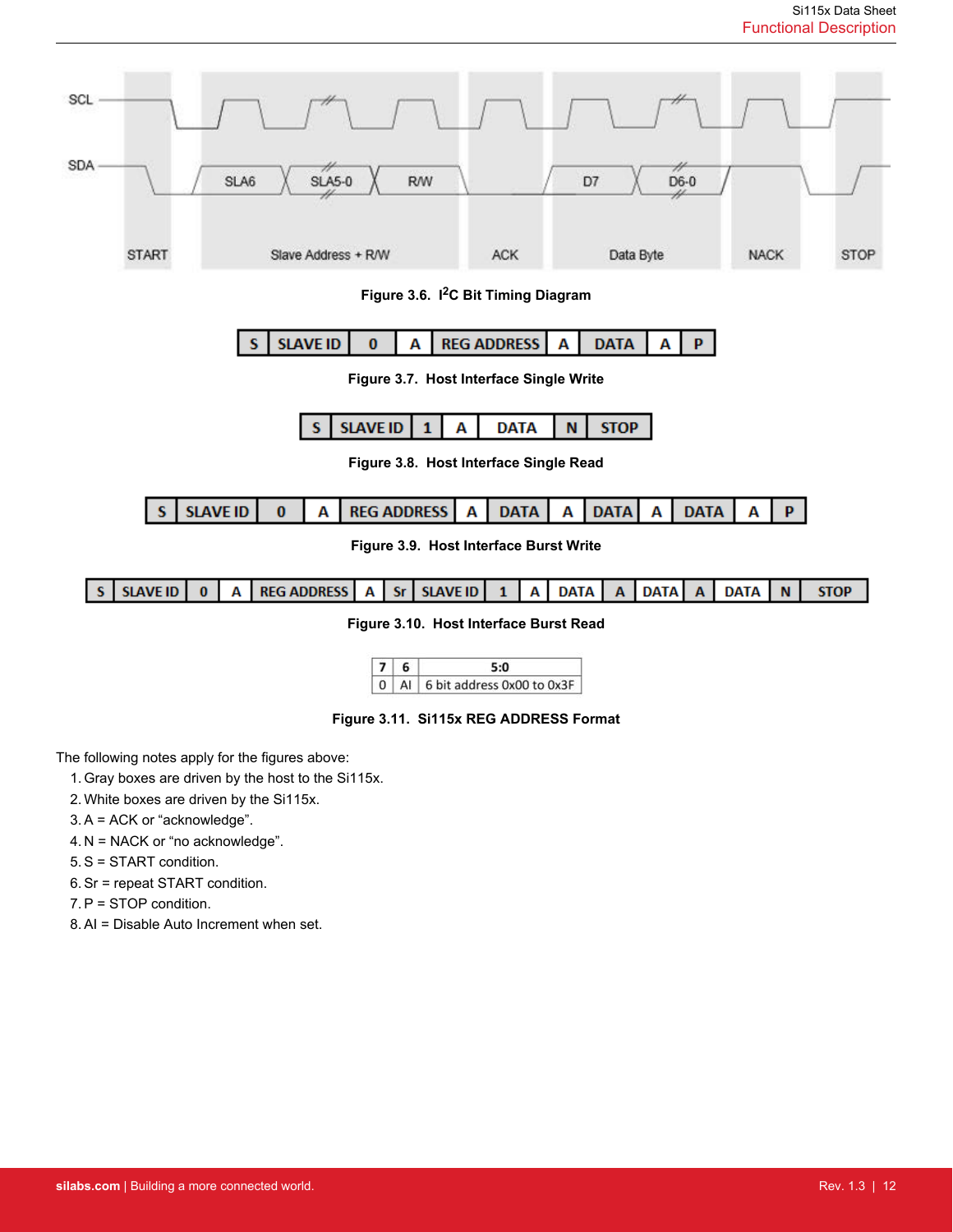| SCL |                                                                                                                                                                                                      |                 |                     |                 |                                         |   |             |   |             |                   |             |             |   |             |
|-----|------------------------------------------------------------------------------------------------------------------------------------------------------------------------------------------------------|-----------------|---------------------|-----------------|-----------------------------------------|---|-------------|---|-------------|-------------------|-------------|-------------|---|-------------|
| SDA |                                                                                                                                                                                                      | SLA6            | $SIA5-0$            |                 | <b>R/W</b>                              |   |             |   | D7          | $\overline{06-0}$ |             |             |   |             |
|     | <b>START</b>                                                                                                                                                                                         |                 | Slave Address + R/W |                 |                                         |   | <b>ACK</b>  |   |             | Data Byte         |             | <b>NACK</b> |   | <b>STOP</b> |
|     | Figure 3.6. I <sup>2</sup> C Bit Timing Diagram                                                                                                                                                      |                 |                     |                 |                                         |   |             |   |             |                   |             |             |   |             |
|     | <b>SLAVE ID</b><br><b>REG ADDRESS</b><br><b>DATA</b><br>$\bf{0}$<br>А<br>Α<br>A<br>P<br>s                                                                                                            |                 |                     |                 |                                         |   |             |   |             |                   |             |             |   |             |
|     |                                                                                                                                                                                                      |                 |                     |                 | Figure 3.7. Host Interface Single Write |   |             |   |             |                   |             |             |   |             |
|     |                                                                                                                                                                                                      |                 | S                   | <b>SLAVE ID</b> | $\mathbf{1}$                            | Α | <b>DATA</b> | N | <b>STOP</b> |                   |             |             |   |             |
|     |                                                                                                                                                                                                      |                 |                     |                 | Figure 3.8. Host Interface Single Read  |   |             |   |             |                   |             |             |   |             |
|     | S                                                                                                                                                                                                    | <b>SLAVE ID</b> | $\bf{0}$<br>A       |                 | <b>REG ADDRESS</b>                      | Α | <b>DATA</b> | A | <b>DATA</b> | A                 | <b>DATA</b> | Α           | P |             |
|     | Figure 3.9. Host Interface Burst Write                                                                                                                                                               |                 |                     |                 |                                         |   |             |   |             |                   |             |             |   |             |
|     | <b>SLAVE ID</b><br><b>REG ADDRESS</b><br><b>STOP</b><br><b>SLAVE ID</b><br><b>DATA</b><br>$\bf{0}$<br><b>Sr</b><br><b>DATA</b><br><b>DATA</b><br>A<br>Α<br>А<br>$\overline{A}$<br><b>N</b><br>1<br>A |                 |                     |                 |                                         |   |             |   |             |                   |             |             |   |             |
|     |                                                                                                                                                                                                      |                 |                     |                 | Figure 3.10. Host Interface Burst Read  |   |             |   |             |                   |             |             |   |             |
|     | 7 6<br>5:0                                                                                                                                                                                           |                 |                     |                 |                                         |   |             |   |             |                   |             |             |   |             |

0 Al 6 bit address 0x00 to 0x3F

**Figure 3.11. Si115x REG ADDRESS Format**

The following notes apply for the figures above:

- 1. Gray boxes are driven by the host to the Si115x.
- 2. White boxes are driven by the Si115x.
- 3. A = ACK or "acknowledge".
- 4. N = NACK or "no acknowledge".
- 5. S = START condition.
- 6. Sr = repeat START condition.
- 7. P = STOP condition.
- 8. AI = Disable Auto Increment when set.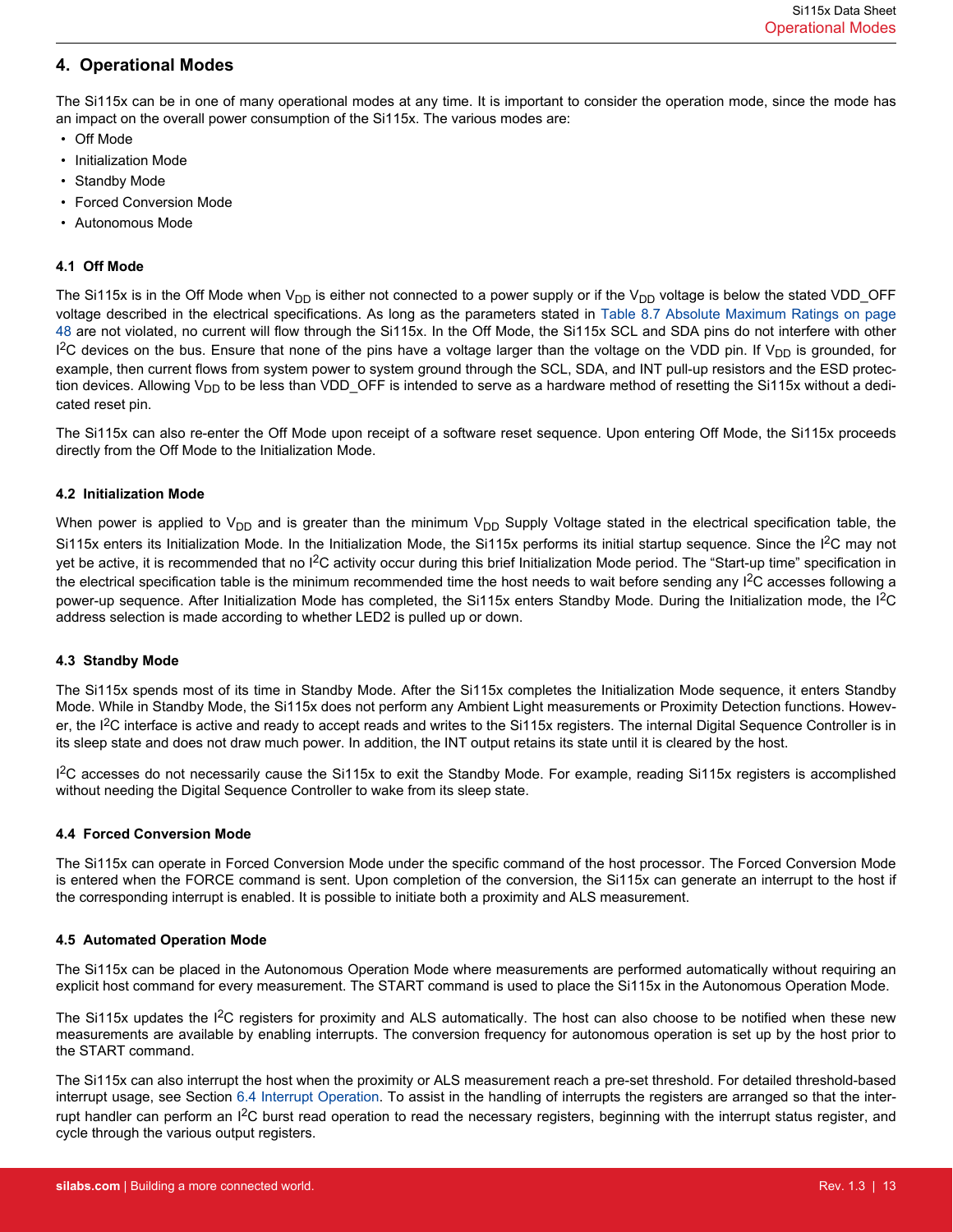# <span id="page-12-0"></span>**4. Operational Modes**

The Si115x can be in one of many operational modes at any time. It is important to consider the operation mode, since the mode has an impact on the overall power consumption of the Si115x. The various modes are:

- Off Mode
- Initialization Mode
- Standby Mode
- Forced Conversion Mode
- Autonomous Mode

### **4.1 Off Mode**

The Si115x is in the Off Mode when  $V_{DD}$  is either not connected to a power supply or if the  $V_{DD}$  voltage is below the stated VDD\_OFF voltage described in the electrical specifications. As long as the parameters stated in [Table 8.7 Absolute Maximum Ratings on page](#page-47-0) [48](#page-47-0) are not violated, no current will flow through the Si115x. In the Off Mode, the Si115x SCL and SDA pins do not interfere with other I<sup>2</sup>C devices on the bus. Ensure that none of the pins have a voltage larger than the voltage on the VDD pin. If V<sub>DD</sub> is grounded, for example, then current flows from system power to system ground through the SCL, SDA, and INT pull-up resistors and the ESD protection devices. Allowing  $V_{DD}$  to be less than VDD\_OFF is intended to serve as a hardware method of resetting the Si115x without a dedicated reset pin.

The Si115x can also re-enter the Off Mode upon receipt of a software reset sequence. Upon entering Off Mode, the Si115x proceeds directly from the Off Mode to the Initialization Mode.

### **4.2 Initialization Mode**

When power is applied to  $V_{DD}$  and is greater than the minimum  $V_{DD}$  Supply Voltage stated in the electrical specification table, the Si115x enters its Initialization Mode. In the Initialization Mode, the Si115x performs its initial startup sequence. Since the I<sup>2</sup>C may not yet be active, it is recommended that no I<sup>2</sup>C activity occur during this brief Initialization Mode period. The "Start-up time" specification in the electrical specification table is the minimum recommended time the host needs to wait before sending any I<sup>2</sup>C accesses following a power-up sequence. After Initialization Mode has completed, the Si115x enters Standby Mode. During the Initialization mode, the I<sup>2</sup>C address selection is made according to whether LED2 is pulled up or down.

### **4.3 Standby Mode**

The Si115x spends most of its time in Standby Mode. After the Si115x completes the Initialization Mode sequence, it enters Standby Mode. While in Standby Mode, the Si115x does not perform any Ambient Light measurements or Proximity Detection functions. However, the  $12C$  interface is active and ready to accept reads and writes to the Si115x registers. The internal Digital Sequence Controller is in its sleep state and does not draw much power. In addition, the INT output retains its state until it is cleared by the host.

<sup>12</sup>C accesses do not necessarily cause the Si115x to exit the Standby Mode. For example, reading Si115x registers is accomplished without needing the Digital Sequence Controller to wake from its sleep state.

### **4.4 Forced Conversion Mode**

The Si115x can operate in Forced Conversion Mode under the specific command of the host processor. The Forced Conversion Mode is entered when the FORCE command is sent. Upon completion of the conversion, the Si115x can generate an interrupt to the host if the corresponding interrupt is enabled. It is possible to initiate both a proximity and ALS measurement.

### **4.5 Automated Operation Mode**

The Si115x can be placed in the Autonomous Operation Mode where measurements are performed automatically without requiring an explicit host command for every measurement. The START command is used to place the Si115x in the Autonomous Operation Mode.

The Si115x updates the  $12C$  registers for proximity and ALS automatically. The host can also choose to be notified when these new measurements are available by enabling interrupts. The conversion frequency for autonomous operation is set up by the host prior to the START command.

The Si115x can also interrupt the host when the proximity or ALS measurement reach a pre-set threshold. For detailed threshold-based interrupt usage, see Section [6.4 Interrupt Operation.](#page-30-0) To assist in the handling of interrupts the registers are arranged so that the interrupt handler can perform an I<sup>2</sup>C burst read operation to read the necessary registers, beginning with the interrupt status register, and cycle through the various output registers.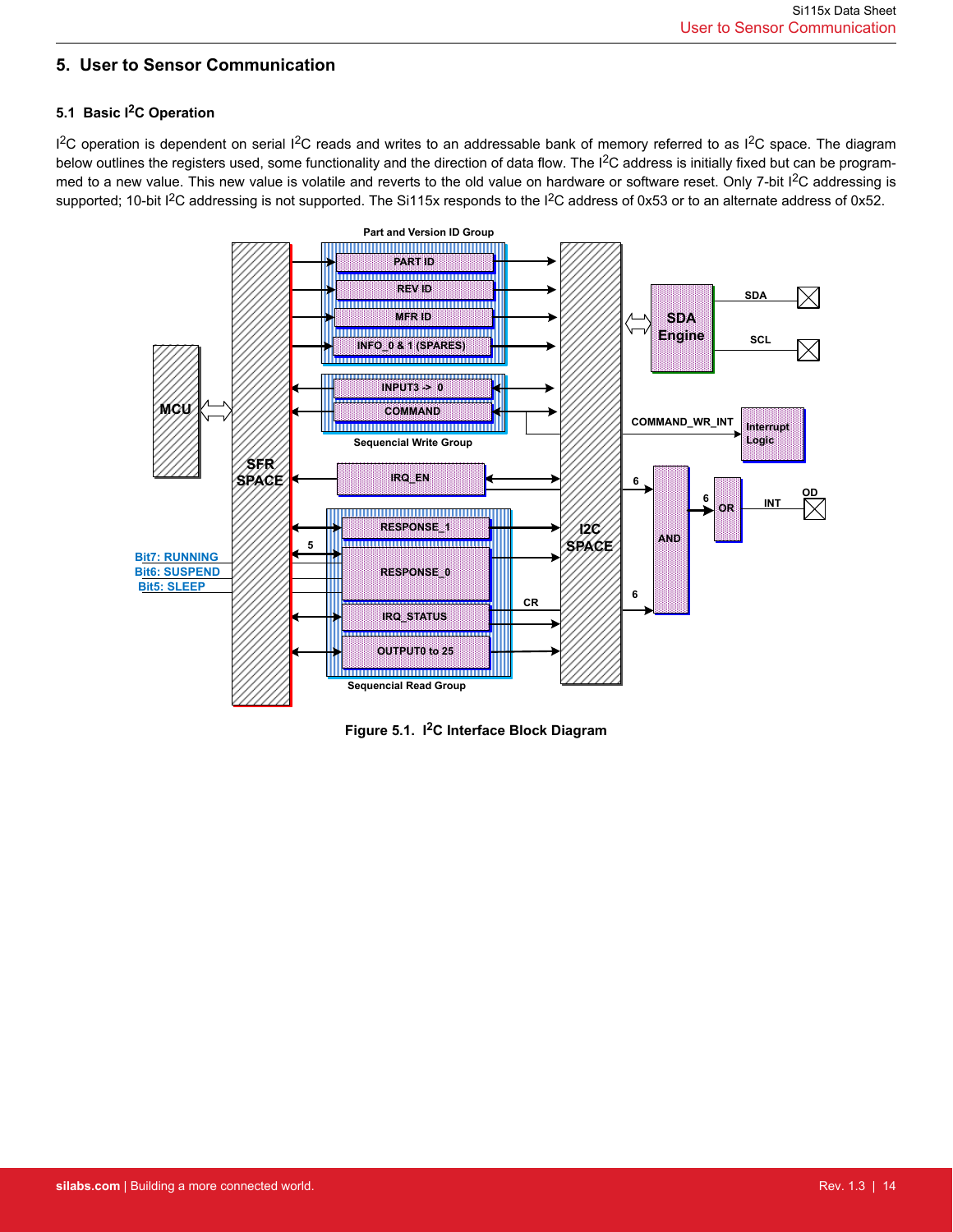# <span id="page-13-0"></span>**5. User to Sensor Communication**

# **5.1 Basic I2C Operation**

<sup>12</sup>C operation is dependent on serial <sup>12</sup>C reads and writes to an addressable bank of memory referred to as <sup>12</sup>C space. The diagram below outlines the registers used, some functionality and the direction of data flow. The I<sup>2</sup>C address is initially fixed but can be programmed to a new value. This new value is volatile and reverts to the old value on hardware or software reset. Only 7-bit I<sup>2</sup>C addressing is supported; 10-bit I<sup>2</sup>C addressing is not supported. The Si115x responds to the I<sup>2</sup>C address of 0x53 or to an alternate address of 0x52.



**Figure 5.1. I2C Interface Block Diagram**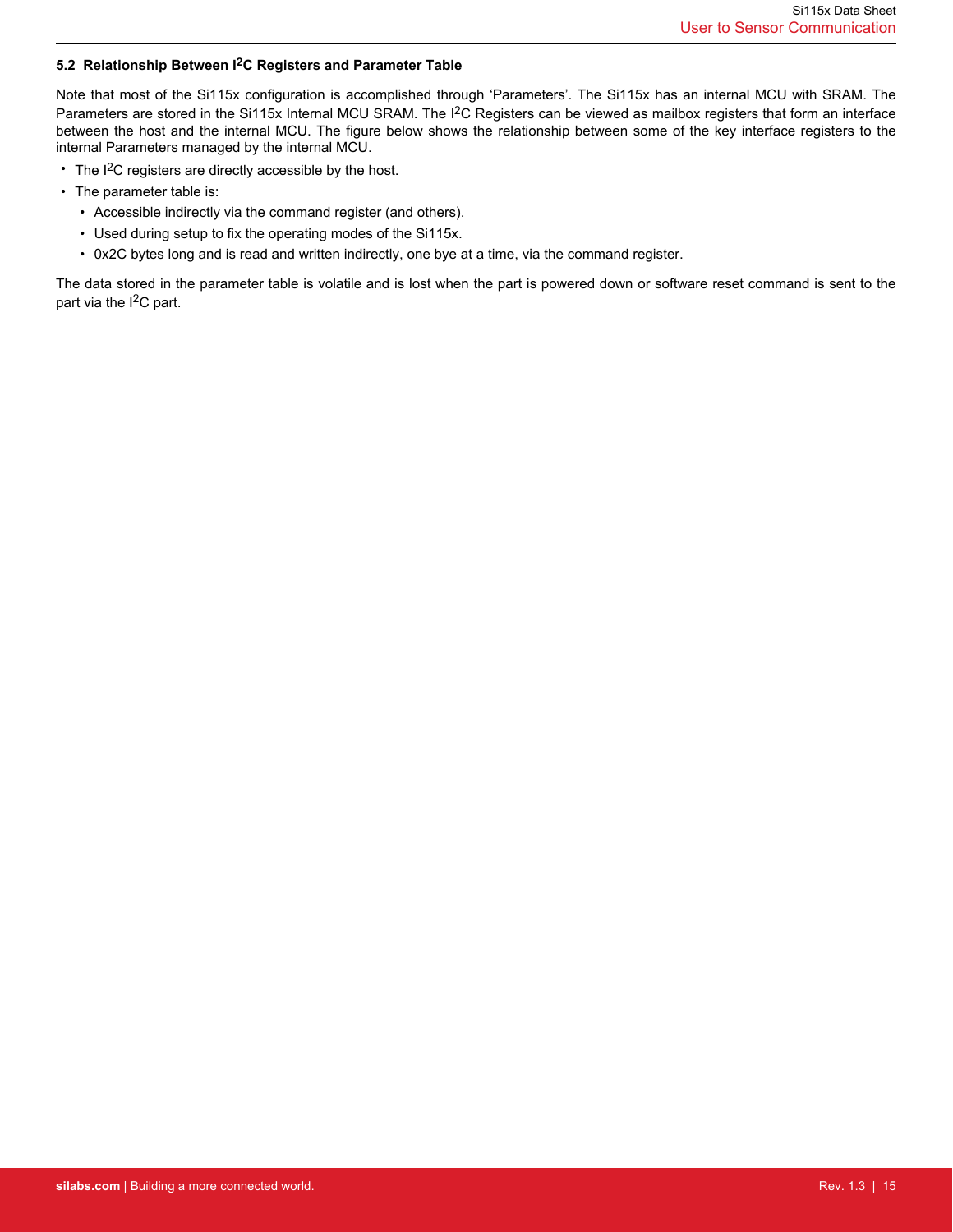### <span id="page-14-0"></span>**5.2 Relationship Between I2C Registers and Parameter Table**

Note that most of the Si115x configuration is accomplished through 'Parameters'. The Si115x has an internal MCU with SRAM. The Parameters are stored in the Si115x Internal MCU SRAM. The I<sup>2</sup>C Registers can be viewed as mailbox registers that form an interface between the host and the internal MCU. The figure below shows the relationship between some of the key interface registers to the internal Parameters managed by the internal MCU.

- $\cdot$  The I<sup>2</sup>C registers are directly accessible by the host.
- The parameter table is:
	- Accessible indirectly via the command register (and others).
	- Used during setup to fix the operating modes of the Si115x.
	- 0x2C bytes long and is read and written indirectly, one bye at a time, via the command register.

The data stored in the parameter table is volatile and is lost when the part is powered down or software reset command is sent to the part via the  $I^2C$  part.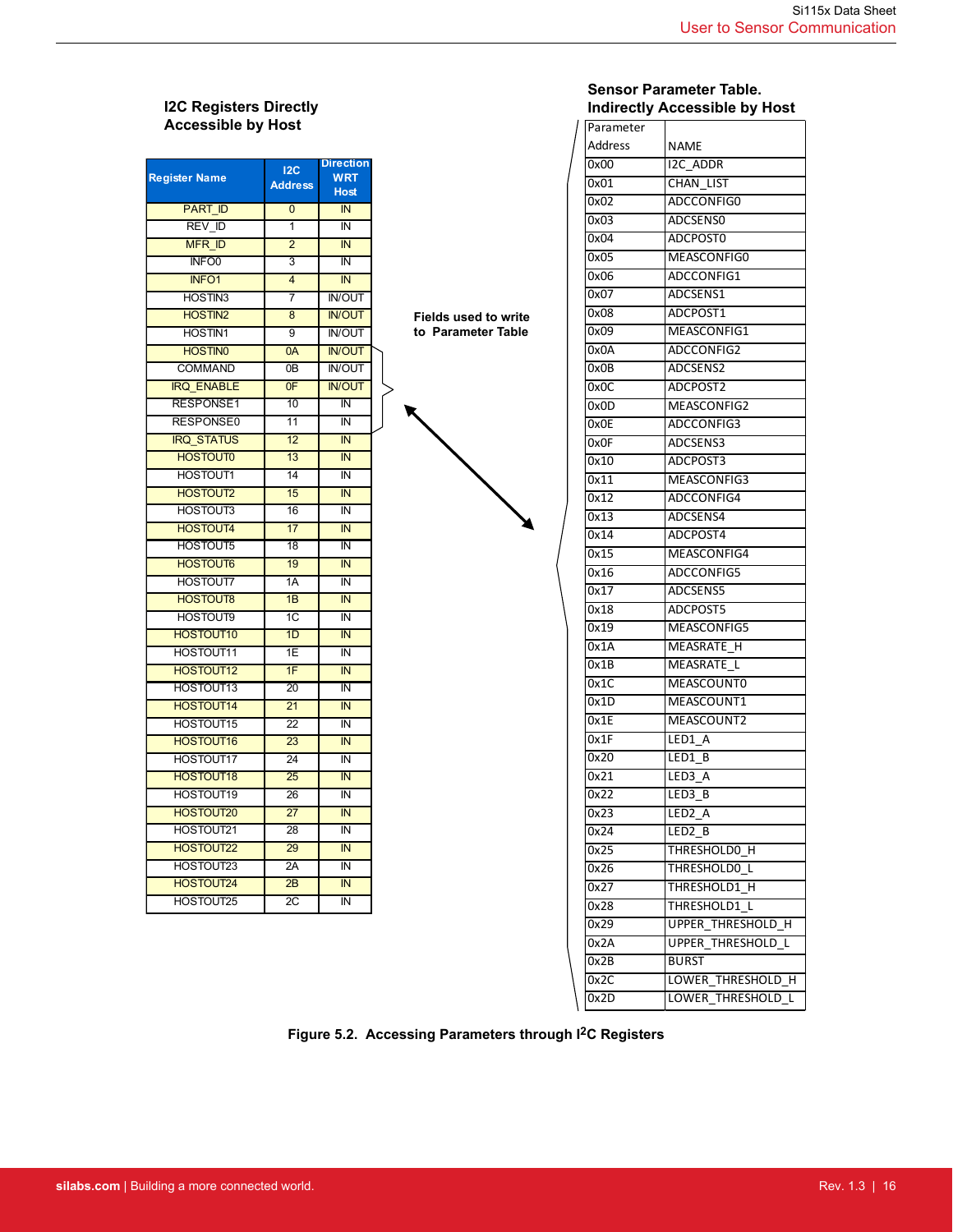# **I2C Registers Directly Accessible by Host**

| <b>Register Name</b> | 12C<br><b>Address</b> | <b>Direction</b><br>WRT<br><b>Host</b> |
|----------------------|-----------------------|----------------------------------------|
| <b>PART ID</b>       | 0                     | IN                                     |
| <b>REV ID</b>        | 1                     | IN                                     |
| <b>MFR ID</b>        | $\overline{2}$        | IN                                     |
| INFO <sub>0</sub>    | 3                     | ΙN                                     |
| <b>INFO1</b>         | 4                     | IN                                     |
| HOSTIN3              | 7                     | <b>IN/OUT</b>                          |
| <b>HOSTIN2</b>       | 8                     | <b>IN/OUT</b>                          |
| <b>HOSTIN1</b>       | 9                     | <b>IN/OUT</b>                          |
| <b>HOSTINO</b>       | 0A                    | <b>IN/OUT</b>                          |
| <b>COMMAND</b>       | 0B                    | <b>IN/OUT</b>                          |
| <b>IRQ ENABLE</b>    | 0F                    | <b>IN/OUT</b>                          |
| <b>RESPONSE1</b>     | 10                    | ĪŃ                                     |
| RESPONSE0            | 11                    | IN                                     |
| <b>IRQ STATUS</b>    | 12                    | IN                                     |
| <b>HOSTOUT0</b>      | 13                    | IN                                     |
| <b>HOSTOUT1</b>      | 14                    | ΙN                                     |
| <b>HOSTOUT2</b>      | 15                    | IN                                     |
| <b>HOSTOUT3</b>      | 16                    | IN                                     |
| <b>HOSTOUT4</b>      | 17                    | IN                                     |
| <b>HOSTOUT5</b>      | 18                    | IN                                     |
| <b>HOSTOUT6</b>      | 19                    | IN                                     |
| <b>HOSTOUT7</b>      | 1A                    | ĪŃ                                     |
| <b>HOSTOUT8</b>      | 1B                    | IN                                     |
| <b>HOSTOUT9</b>      | 1C                    | ĪŃ                                     |
| <b>HOSTOUT10</b>     | 1D                    | IN                                     |
| <b>HOSTOUT11</b>     | 1E                    | IN                                     |
| <b>HOSTOUT12</b>     | 1F                    | IN                                     |
| HOSTOUT13            | $\overline{20}$       | ĪŃ                                     |
| <b>HOSTOUT14</b>     | $\overline{21}$       | IN                                     |
| HOSTOUT15            | 22                    | IN                                     |
| <b>HOSTOUT16</b>     | 23                    | IN                                     |
| <b>HOSTOUT17</b>     | 24                    | ΙN                                     |
| <b>HOSTOUT18</b>     | 25                    | IN                                     |
| HOSTOUT19            | 26                    | ĪŃ                                     |
| <b>HOSTOUT20</b>     | $\overline{27}$       | IN                                     |
| HOSTOUT21            | 28                    | IN                                     |
| <b>HOSTOUT22</b>     | 29                    | IN                                     |
| HOSTOUT23            | 2A                    | ĪŃ                                     |
| <b>HOSTOUT24</b>     | 2B                    | IN                                     |
| <b>HOSTOUT25</b>     | $\overline{2C}$       | ĪŃ                                     |



# **Sensor Parameter Table. Indirectly Accessible by Host**

| Parameter |                             |
|-----------|-----------------------------|
| Address   | <b>NAME</b>                 |
| 0x00      | <b>I2C ADDR</b>             |
| 0x01      | CHAN LIST                   |
| 0x02      | ADCCONFIG0                  |
| 0x03      | ADCSENS0                    |
| 0x04      | ADCPOST0                    |
| 0x05      | MEASCONFIG0                 |
| 0x06      | ADCCONFIG1                  |
| 0x07      | ADCSENS1                    |
| 0x08      | ADCPOST1                    |
| 0x09      | MEASCONFIG1                 |
| 0x0A      | ADCCONFIG2                  |
| 0x0B      | ADCSENS2                    |
| 0x0C      | ADCPOST2                    |
| 0x0D      | MEASCONFIG2                 |
| 0x0E      | ADCCONFIG3                  |
| 0x0F      | ADCSENS3                    |
| 0x10      | ADCPOST3                    |
| 0x11      | MEASCONFIG3                 |
| 0x12      | ADCCONFIG4                  |
| 0x13      | ADCSENS4                    |
| 0x14      | ADCPOST4                    |
| 0x15      | MEASCONFIG4                 |
| 0x16      | ADCCONFIG5                  |
| 0x17      | ADCSENS5                    |
| 0x18      | ADCPOST5                    |
| 0x19      | MEASCONFIG5                 |
| 0x1A      | MEASRATE H                  |
| 0x1B      | <b>MEASRATE</b><br>L        |
| 0x1C      | MEASCOUNT0                  |
| 0x1D      | MEASCOUNT1                  |
| 0x1E      | MEASCOUNT2                  |
| 0x1F      | LED1 A                      |
| 0x20      | LED1 B                      |
| 0x21      | LED3 A                      |
| 0x22      | LED3<br>B                   |
| 0x23      | LED <sub>2</sub><br>Ā       |
| 0x24      | LED2 B                      |
| 0x25      | THRESHOLD0 H                |
| 0x26      | THRESHOLD0 L                |
| 0x27      | THRESHOLD1 H                |
| 0x28      | THRESHOLD1 L                |
| 0x29      | <b>UPPER THRESHOLD H</b>    |
| 0x2A      | <b>UPPER THRESHOLD L</b>    |
| 0x2B      | <b>BURST</b>                |
| 0x2C      | LOWER THRESHOLD H           |
| 0x2D      | <b>LOWER THRESHOLD</b><br>L |
|           |                             |

**Figure 5.2. Accessing Parameters through I2C Registers**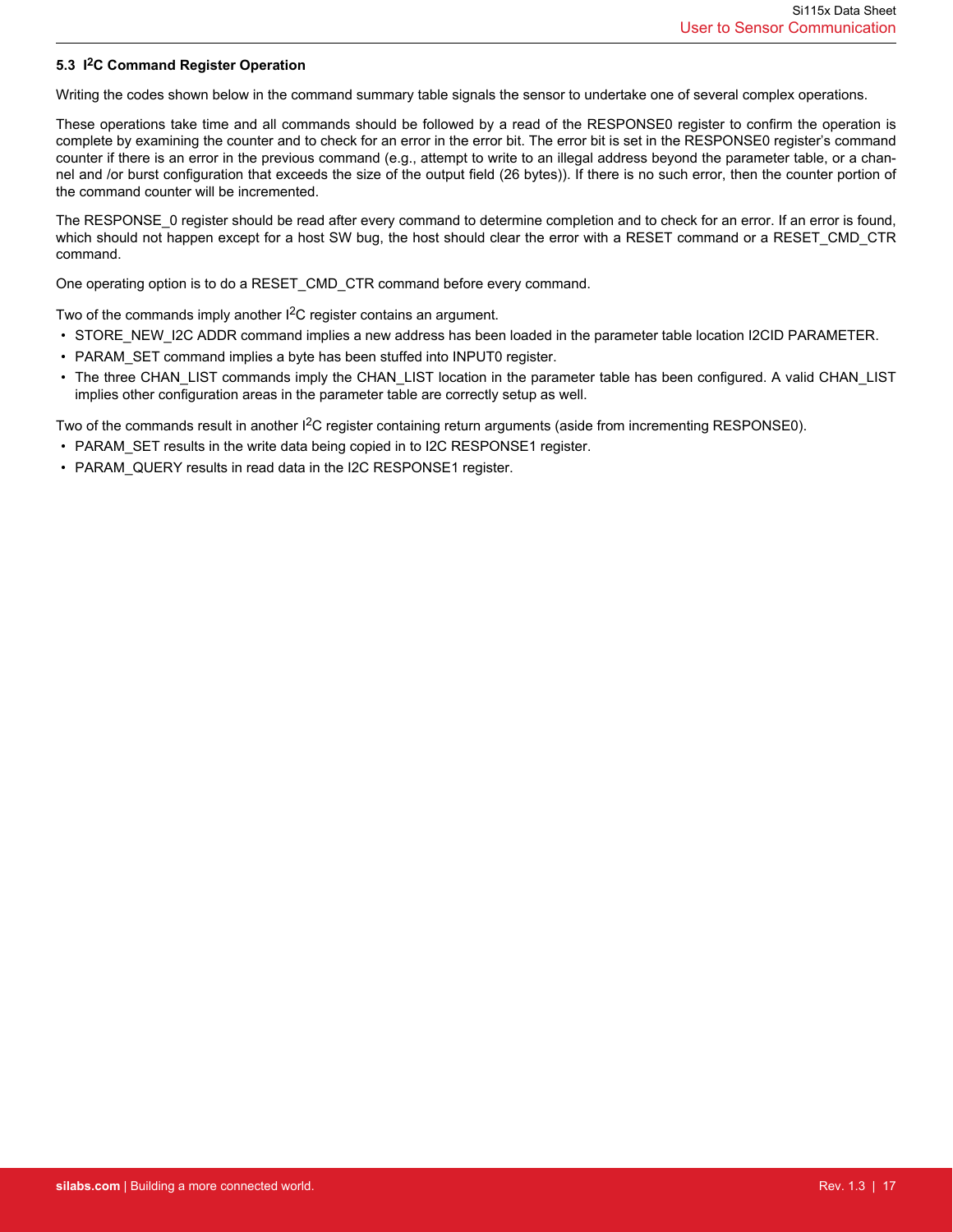### <span id="page-16-0"></span>**5.3 I2C Command Register Operation**

Writing the codes shown below in the command summary table signals the sensor to undertake one of several complex operations.

These operations take time and all commands should be followed by a read of the RESPONSE0 register to confirm the operation is complete by examining the counter and to check for an error in the error bit. The error bit is set in the RESPONSE0 register's command counter if there is an error in the previous command (e.g., attempt to write to an illegal address beyond the parameter table, or a channel and /or burst configuration that exceeds the size of the output field (26 bytes)). If there is no such error, then the counter portion of the command counter will be incremented.

The RESPONSE 0 register should be read after every command to determine completion and to check for an error. If an error is found, which should not happen except for a host SW bug, the host should clear the error with a RESET command or a RESET\_CMD\_CTR command.

One operating option is to do a RESET\_CMD\_CTR command before every command.

Two of the commands imply another I<sup>2</sup>C register contains an argument.

- STORE NEW\_I2C ADDR command implies a new address has been loaded in the parameter table location I2CID PARAMETER.
- PARAM SET command implies a byte has been stuffed into INPUT0 register.
- The three CHAN\_LIST commands imply the CHAN\_LIST location in the parameter table has been configured. A valid CHAN\_LIST implies other configuration areas in the parameter table are correctly setup as well.

Two of the commands result in another I<sup>2</sup>C register containing return arguments (aside from incrementing RESPONSE0).

- PARAM\_SET results in the write data being copied in to I2C RESPONSE1 register.
- PARAM\_QUERY results in read data in the I2C RESPONSE1 register.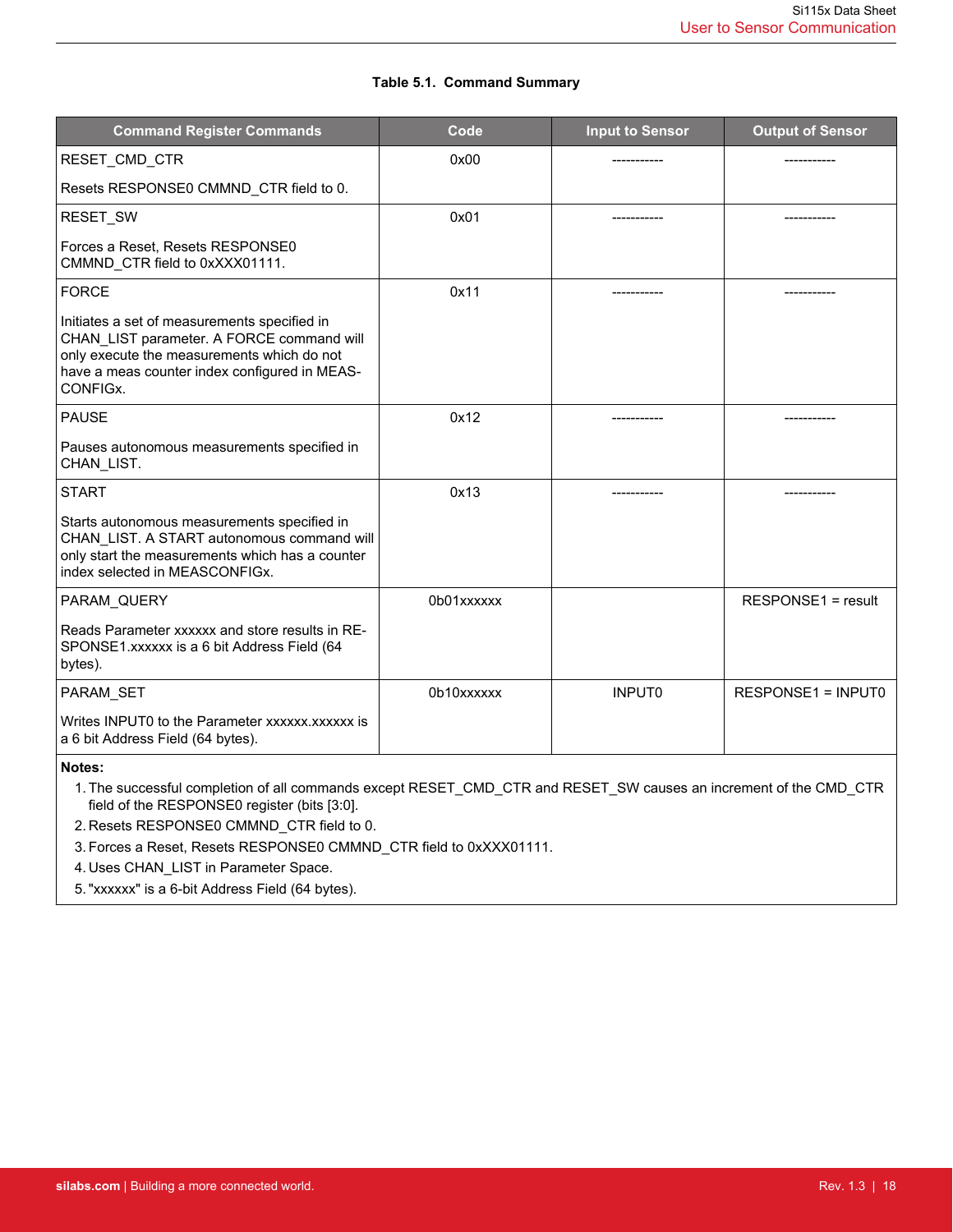### **Table 5.1. Command Summary**

| <b>Command Register Commands</b>                                                                                                                                                                     | Code       | <b>Input to Sensor</b> | <b>Output of Sensor</b>   |
|------------------------------------------------------------------------------------------------------------------------------------------------------------------------------------------------------|------------|------------------------|---------------------------|
| RESET_CMD_CTR                                                                                                                                                                                        | 0x00       |                        |                           |
| Resets RESPONSE0 CMMND_CTR field to 0.                                                                                                                                                               |            |                        |                           |
| RESET_SW                                                                                                                                                                                             | 0x01       |                        |                           |
| Forces a Reset, Resets RESPONSE0<br>CMMND CTR field to 0xXXX01111.                                                                                                                                   |            |                        |                           |
| <b>FORCE</b>                                                                                                                                                                                         | 0x11       |                        |                           |
| Initiates a set of measurements specified in<br>CHAN_LIST parameter. A FORCE command will<br>only execute the measurements which do not<br>have a meas counter index configured in MEAS-<br>CONFIGX. |            |                        |                           |
| <b>PAUSE</b>                                                                                                                                                                                         | 0x12       |                        |                           |
| Pauses autonomous measurements specified in<br>CHAN LIST.                                                                                                                                            |            |                        |                           |
| <b>START</b>                                                                                                                                                                                         | 0x13       |                        |                           |
| Starts autonomous measurements specified in<br>CHAN LIST. A START autonomous command will<br>only start the measurements which has a counter<br>index selected in MEASCONFIGx.                       |            |                        |                           |
| PARAM QUERY                                                                                                                                                                                          | 0b01xxxxxx |                        | RESPONSE1 = result        |
| Reads Parameter xxxxxx and store results in RE-<br>SPONSE1.xxxxxx is a 6 bit Address Field (64<br>bytes).                                                                                            |            |                        |                           |
| PARAM SET                                                                                                                                                                                            | 0b10xxxxxx | <b>INPUTO</b>          | <b>RESPONSE1 = INPUT0</b> |
| Writes INPUT0 to the Parameter xxxxxx.xxxxxx is<br>a 6 bit Address Field (64 bytes).                                                                                                                 |            |                        |                           |

**Notes:**

1. The successful completion of all commands except RESET\_CMD\_CTR and RESET\_SW causes an increment of the CMD\_CTR field of the RESPONSE0 register (bits [3:0].

2. Resets RESPONSE0 CMMND\_CTR field to 0.

3. Forces a Reset, Resets RESPONSE0 CMMND\_CTR field to 0xXXX01111.

4. Uses CHAN\_LIST in Parameter Space.

5. "xxxxxx" is a 6-bit Address Field (64 bytes).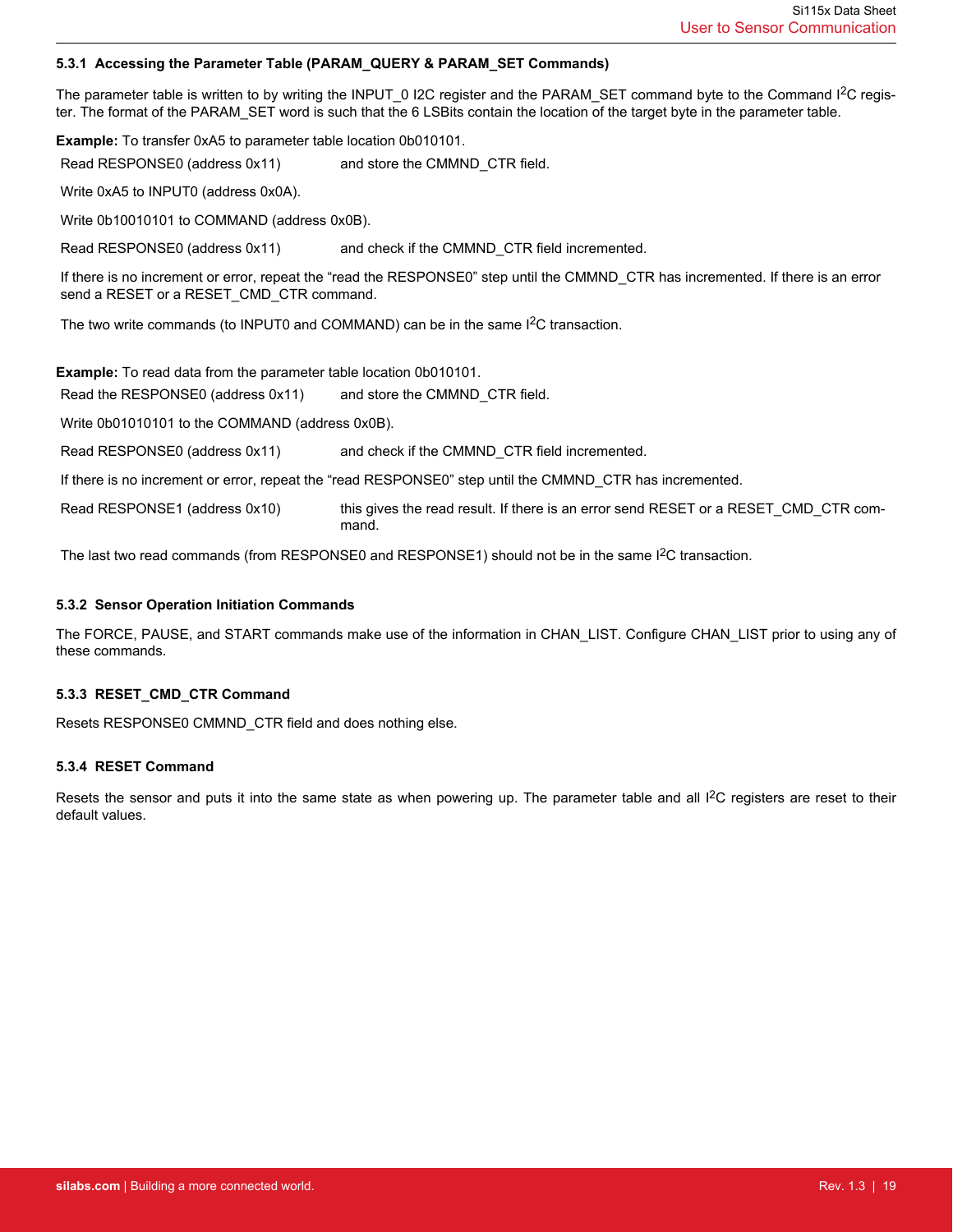#### <span id="page-18-0"></span>**5.3.1 Accessing the Parameter Table (PARAM\_QUERY & PARAM\_SET Commands)**

The parameter table is written to by writing the INPUT\_0 I2C register and the PARAM\_SET command byte to the Command I<sup>2</sup>C register. The format of the PARAM\_SET word is such that the 6 LSBits contain the location of the target byte in the parameter table.

**Example:** To transfer 0xA5 to parameter table location 0b010101.

Read RESPONSE0 (address 0x11) and store the CMMND CTR field.

Write 0xA5 to INPUT0 (address 0x0A).

Write 0b10010101 to COMMAND (address 0x0B).

Read RESPONSE0 (address 0x11) and check if the CMMND\_CTR field incremented.

If there is no increment or error, repeat the "read the RESPONSE0" step until the CMMND\_CTR has incremented. If there is an error send a RESET or a RESET\_CMD\_CTR command.

The two write commands (to INPUT0 and COMMAND) can be in the same  $l^2C$  transaction.

**Example:** To read data from the parameter table location 0b010101.

Read the RESPONSE0 (address 0x11) and store the CMMND CTR field.

Write 0b01010101 to the COMMAND (address 0x0B).

Read RESPONSE0 (address 0x11) and check if the CMMND CTR field incremented.

If there is no increment or error, repeat the "read RESPONSE0" step until the CMMND\_CTR has incremented.

Read RESPONSE1 (address 0x10) this gives the read result. If there is an error send RESET or a RESET CMD CTR command.

The last two read commands (from RESPONSE0 and RESPONSE1) should not be in the same  $1<sup>2</sup>C$  transaction.

#### **5.3.2 Sensor Operation Initiation Commands**

The FORCE, PAUSE, and START commands make use of the information in CHAN\_LIST. Configure CHAN\_LIST prior to using any of these commands.

### **5.3.3 RESET\_CMD\_CTR Command**

Resets RESPONSE0 CMMND\_CTR field and does nothing else.

#### **5.3.4 RESET Command**

Resets the sensor and puts it into the same state as when powering up. The parameter table and all I<sup>2</sup>C registers are reset to their default values.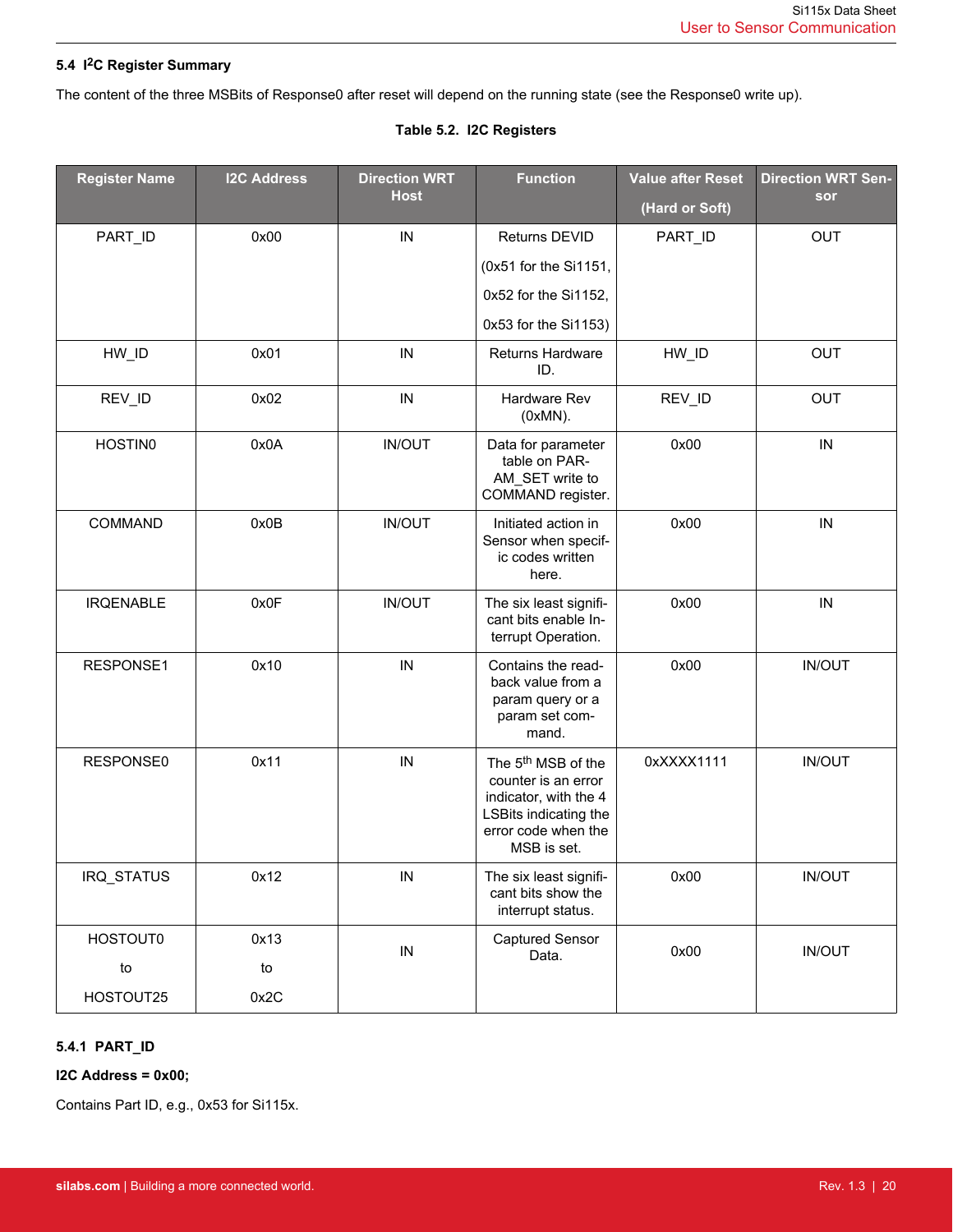# <span id="page-19-0"></span>**5.4 I2C Register Summary**

The content of the three MSBits of Response0 after reset will depend on the running state (see the Response0 write up).

# **Table 5.2. I2C Registers**

| <b>Register Name</b> | <b>I2C Address</b> | <b>Direction WRT</b> | <b>Function</b>                                                                                                                               | <b>Value after Reset</b> | <b>Direction WRT Sen-</b> |
|----------------------|--------------------|----------------------|-----------------------------------------------------------------------------------------------------------------------------------------------|--------------------------|---------------------------|
|                      |                    | <b>Host</b>          |                                                                                                                                               | (Hard or Soft)           | sor                       |
| PART_ID              | 0x00               | IN                   | Returns DEVID                                                                                                                                 | PART_ID                  | <b>OUT</b>                |
|                      |                    |                      | (0x51 for the Si1151,                                                                                                                         |                          |                           |
|                      |                    |                      | 0x52 for the Si1152,                                                                                                                          |                          |                           |
|                      |                    |                      | 0x53 for the Si1153)                                                                                                                          |                          |                           |
| HW_ID                | 0x01               | IN                   | Returns Hardware<br>ID.                                                                                                                       | HW_ID                    | <b>OUT</b>                |
| REV_ID               | 0x02               | IN                   | Hardware Rev<br>$(0xMN)$ .                                                                                                                    | REV_ID                   | <b>OUT</b>                |
| <b>HOSTIN0</b>       | 0x0A               | <b>IN/OUT</b>        | Data for parameter<br>table on PAR-<br>AM_SET write to<br>COMMAND register.                                                                   | 0x00                     | IN                        |
| COMMAND              | 0x0B               | <b>IN/OUT</b>        | Initiated action in<br>Sensor when specif-<br>ic codes written<br>here.                                                                       | 0x00                     | IN                        |
| <b>IRQENABLE</b>     | 0x0F               | <b>IN/OUT</b>        | The six least signifi-<br>cant bits enable In-<br>terrupt Operation.                                                                          | 0x00                     | IN                        |
| RESPONSE1            | 0x10               | IN                   | Contains the read-<br>back value from a<br>param query or a<br>param set com-<br>mand.                                                        | 0x00                     | <b>IN/OUT</b>             |
| RESPONSE0            | 0x11               | IN                   | The 5 <sup>th</sup> MSB of the<br>counter is an error<br>indicator, with the 4<br>LSBits indicating the<br>error code when the<br>MSB is set. | 0xXXXX1111               | <b>IN/OUT</b>             |
| IRQ_STATUS           | 0x12               | IN                   | The six least signifi-<br>cant bits show the<br>interrupt status.                                                                             | 0x00                     | <b>IN/OUT</b>             |
| <b>HOSTOUT0</b>      | 0x13               | IN                   | Captured Sensor<br>Data.                                                                                                                      | 0x00                     | <b>IN/OUT</b>             |
| to                   | to                 |                      |                                                                                                                                               |                          |                           |
| HOSTOUT25            | 0x2C               |                      |                                                                                                                                               |                          |                           |

# **5.4.1 PART\_ID**

**I2C Address = 0x00;**

Contains Part ID, e.g., 0x53 for Si115x.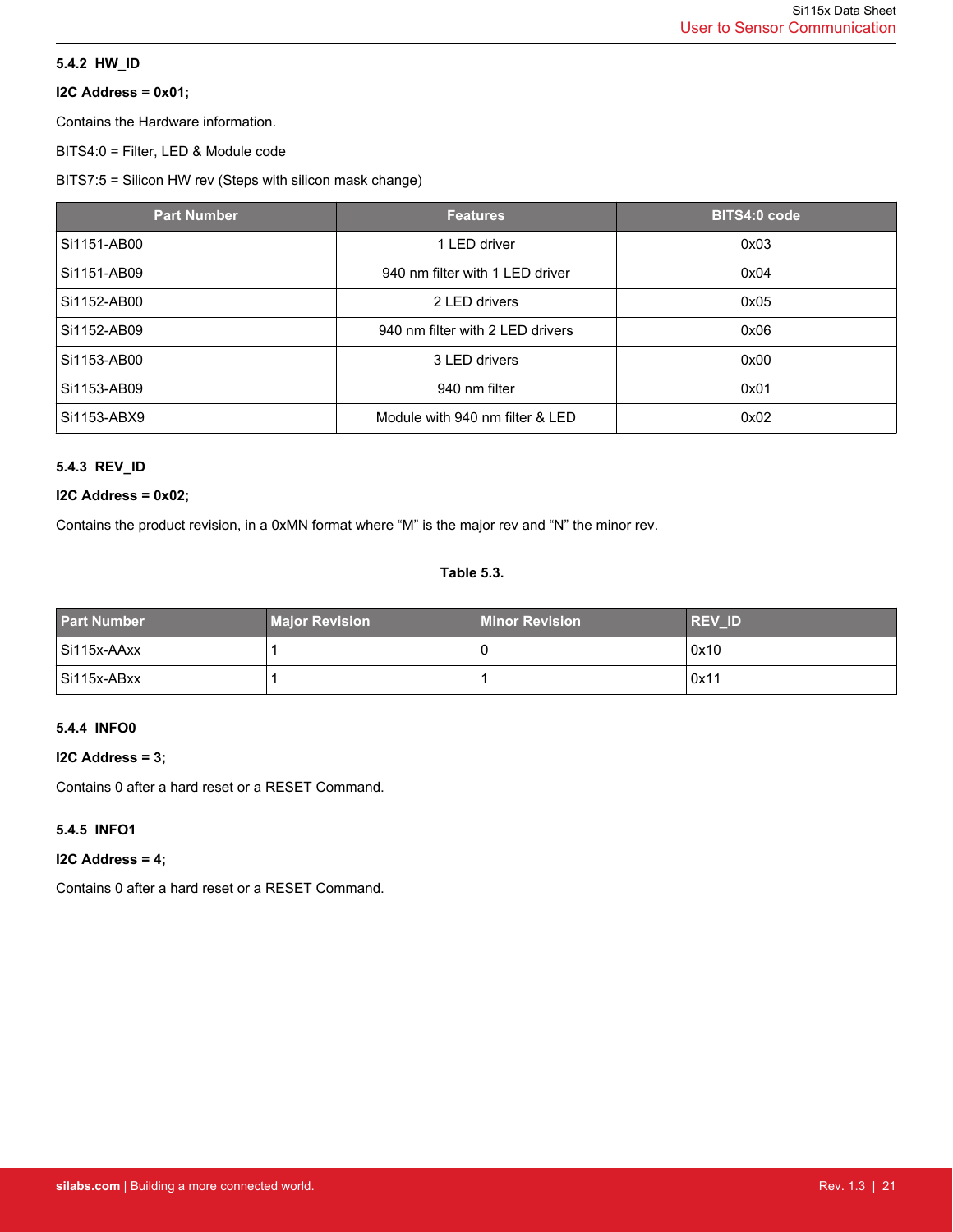# <span id="page-20-0"></span>**5.4.2 HW\_ID**

# **I2C Address = 0x01;**

Contains the Hardware information.

BITS4:0 = Filter, LED & Module code

BITS7:5 = Silicon HW rev (Steps with silicon mask change)

| <b>Part Number</b> | <b>Features</b>                  | <b>BITS4:0 code</b> |
|--------------------|----------------------------------|---------------------|
| Si1151-AB00        | 1 LED driver                     | 0x03                |
| Si1151-AB09        | 940 nm filter with 1 LED driver  | 0x04                |
| Si1152-AB00        | 2 LED drivers                    | 0x05                |
| Si1152-AB09        | 940 nm filter with 2 LED drivers | 0x06                |
| Si1153-AB00        | 3 LED drivers                    | 0x00                |
| Si1153-AB09        | 940 nm filter                    | 0x01                |
| Si1153-ABX9        | Module with 940 nm filter & LED  | 0x02                |

# **5.4.3 REV\_ID**

### **I2C Address = 0x02;**

Contains the product revision, in a 0xMN format where "M" is the major rev and "N" the minor rev.

### **Table 5.3.**

| <b>Part Number</b> | <b>Major Revision</b> | Minor Revision <b>\</b> | <b>REV ID</b> |
|--------------------|-----------------------|-------------------------|---------------|
| Si115x-AAxx        |                       | U                       | 0x10          |
| Si115x-ABxx        |                       |                         | 0x11          |

# **5.4.4 INFO0**

### **I2C Address = 3;**

Contains 0 after a hard reset or a RESET Command.

### **5.4.5 INFO1**

### **I2C Address = 4;**

Contains 0 after a hard reset or a RESET Command.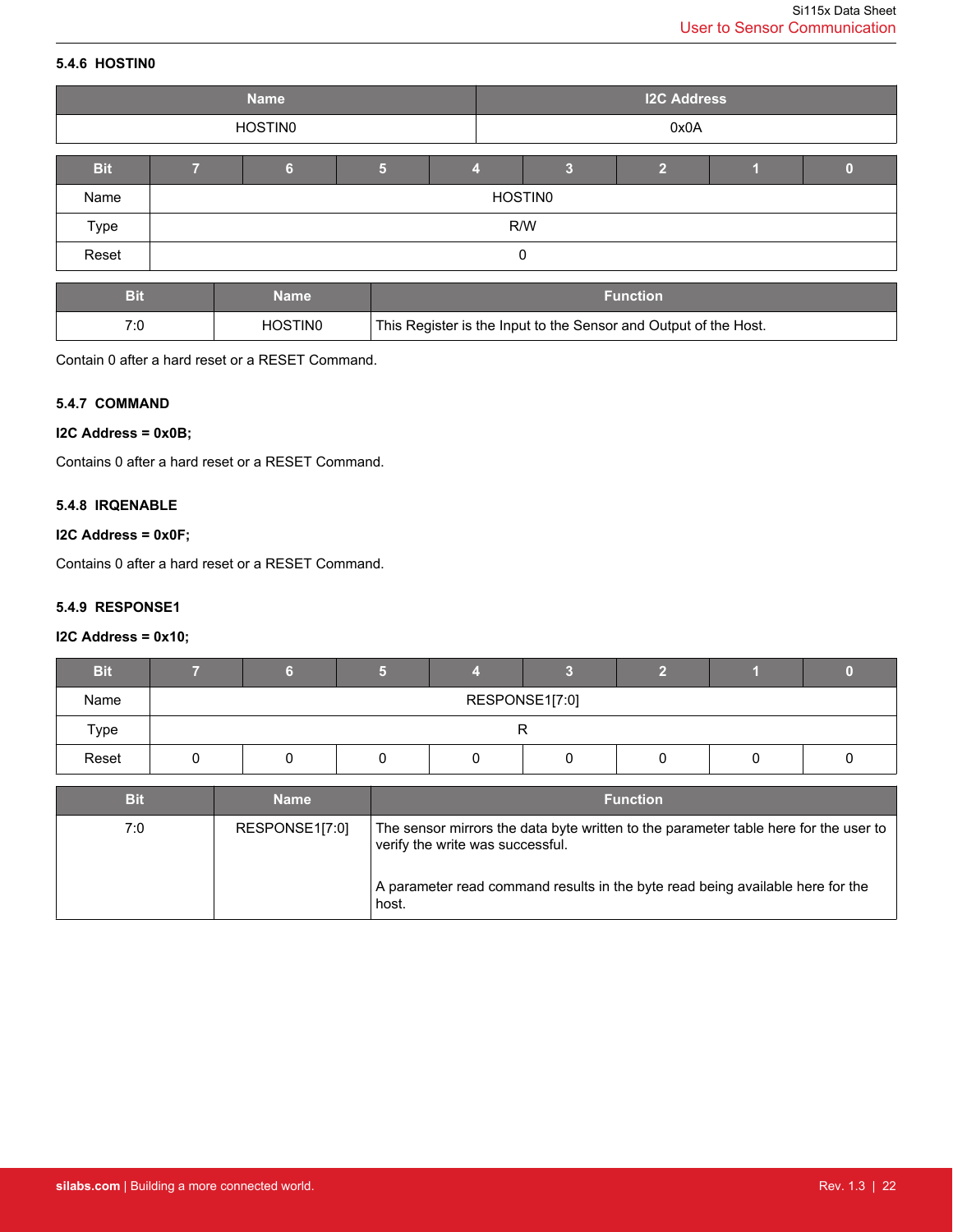# <span id="page-21-0"></span>**5.4.6 HOSTIN0**

|            |     | <b>Name</b> |  |  | <b>I2C Address</b> |  |  |  |  |
|------------|-----|-------------|--|--|--------------------|--|--|--|--|
|            |     | HOSTIN0     |  |  | 0x0A               |  |  |  |  |
| <b>Bit</b> |     | 'N          |  |  |                    |  |  |  |  |
| Name       |     | HOSTIN0     |  |  |                    |  |  |  |  |
| Type       | R/W |             |  |  |                    |  |  |  |  |
| Reset      | 0   |             |  |  |                    |  |  |  |  |

| Bi  | Name                | <b>Function</b>                                                  |
|-----|---------------------|------------------------------------------------------------------|
| 7.0 | HOSTIN <sub>0</sub> | This Register is the Input to the Sensor and Output of the Host. |

Contain 0 after a hard reset or a RESET Command.

### **5.4.7 COMMAND**

### **I2C Address = 0x0B;**

Contains 0 after a hard reset or a RESET Command.

### **5.4.8 IRQENABLE**

### **I2C Address = 0x0F;**

Contains 0 after a hard reset or a RESET Command.

### **5.4.9 RESPONSE1**

### **I2C Address = 0x10;**

| <b>Bit</b> |                |  |  |  |  |  |  |  |
|------------|----------------|--|--|--|--|--|--|--|
| Name       | RESPONSE1[7:0] |  |  |  |  |  |  |  |
| Type       |                |  |  |  |  |  |  |  |
| Reset      |                |  |  |  |  |  |  |  |

| <b>Bit</b> | Name           | <b>Function</b>                                                                                                          |
|------------|----------------|--------------------------------------------------------------------------------------------------------------------------|
| 7:0        | RESPONSE1[7:0] | The sensor mirrors the data byte written to the parameter table here for the user to<br>verify the write was successful. |
|            |                | A parameter read command results in the byte read being available here for the<br>host.                                  |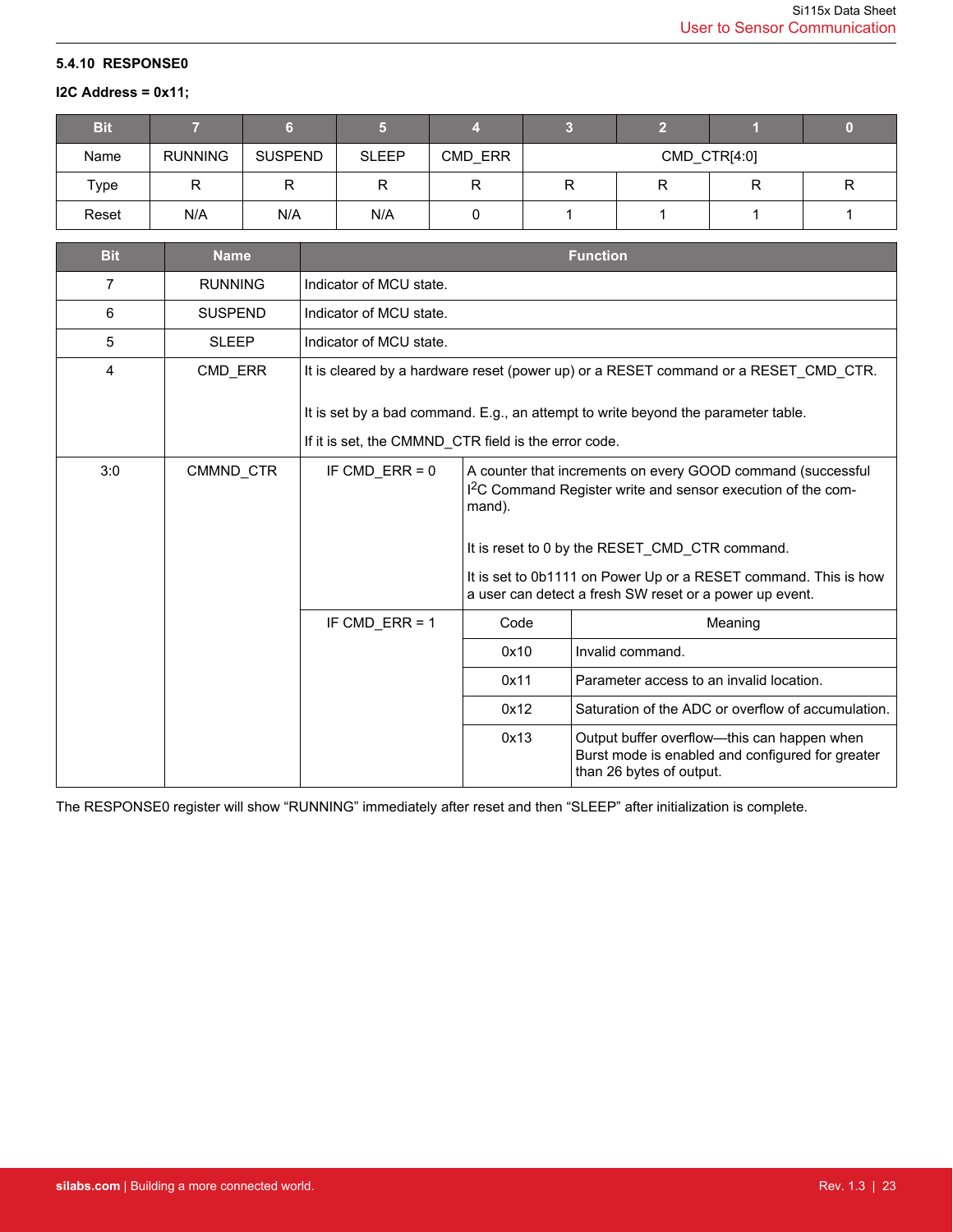### <span id="page-22-0"></span>**5.4.10 RESPONSE0**

### **I2C Address = 0x11;**

| <b>Bit</b> |                |                |              |         |              |   |   |  |
|------------|----------------|----------------|--------------|---------|--------------|---|---|--|
| Name       | <b>RUNNING</b> | <b>SUSPEND</b> | <b>SLEEP</b> | CMD ERR | CMD_CTR[4:0] |   |   |  |
| Type       | R              |                |              |         |              | R | R |  |
| Reset      | N/A            | N/A            | N/A          |         |              |   |   |  |

| <b>Bit</b> | <b>Name</b>    |                                                                                                                                           |                                                                                                                                                                                                                                                                                                                                   | <b>Function</b>                                                                                                             |  |  |
|------------|----------------|-------------------------------------------------------------------------------------------------------------------------------------------|-----------------------------------------------------------------------------------------------------------------------------------------------------------------------------------------------------------------------------------------------------------------------------------------------------------------------------------|-----------------------------------------------------------------------------------------------------------------------------|--|--|
| 7          | <b>RUNNING</b> | Indicator of MCU state.                                                                                                                   |                                                                                                                                                                                                                                                                                                                                   |                                                                                                                             |  |  |
| 6          | <b>SUSPEND</b> | Indicator of MCU state.                                                                                                                   |                                                                                                                                                                                                                                                                                                                                   |                                                                                                                             |  |  |
| 5          | <b>SLEEP</b>   | Indicator of MCU state.                                                                                                                   |                                                                                                                                                                                                                                                                                                                                   |                                                                                                                             |  |  |
| 4          | CMD ERR        |                                                                                                                                           | It is cleared by a hardware reset (power up) or a RESET command or a RESET CMD CTR.                                                                                                                                                                                                                                               |                                                                                                                             |  |  |
|            |                | It is set by a bad command. E.g., an attempt to write beyond the parameter table.<br>If it is set, the CMMND_CTR field is the error code. |                                                                                                                                                                                                                                                                                                                                   |                                                                                                                             |  |  |
| 3:0        | CMMND CTR      | IF CMD $ERR = 0$                                                                                                                          | A counter that increments on every GOOD command (successful<br>I <sup>2</sup> C Command Register write and sensor execution of the com-<br>mand).<br>It is reset to 0 by the RESET CMD CTR command.<br>It is set to 0b1111 on Power Up or a RESET command. This is how<br>a user can detect a fresh SW reset or a power up event. |                                                                                                                             |  |  |
|            |                | IF CMD ERR = $1$                                                                                                                          | Code                                                                                                                                                                                                                                                                                                                              | Meaning                                                                                                                     |  |  |
|            |                |                                                                                                                                           | 0x10                                                                                                                                                                                                                                                                                                                              | Invalid command.                                                                                                            |  |  |
|            |                |                                                                                                                                           | 0x11                                                                                                                                                                                                                                                                                                                              | Parameter access to an invalid location.                                                                                    |  |  |
|            |                |                                                                                                                                           | 0x12                                                                                                                                                                                                                                                                                                                              | Saturation of the ADC or overflow of accumulation.                                                                          |  |  |
|            |                |                                                                                                                                           | 0x13                                                                                                                                                                                                                                                                                                                              | Output buffer overflow-this can happen when<br>Burst mode is enabled and configured for greater<br>than 26 bytes of output. |  |  |

The RESPONSE0 register will show "RUNNING" immediately after reset and then "SLEEP" after initialization is complete.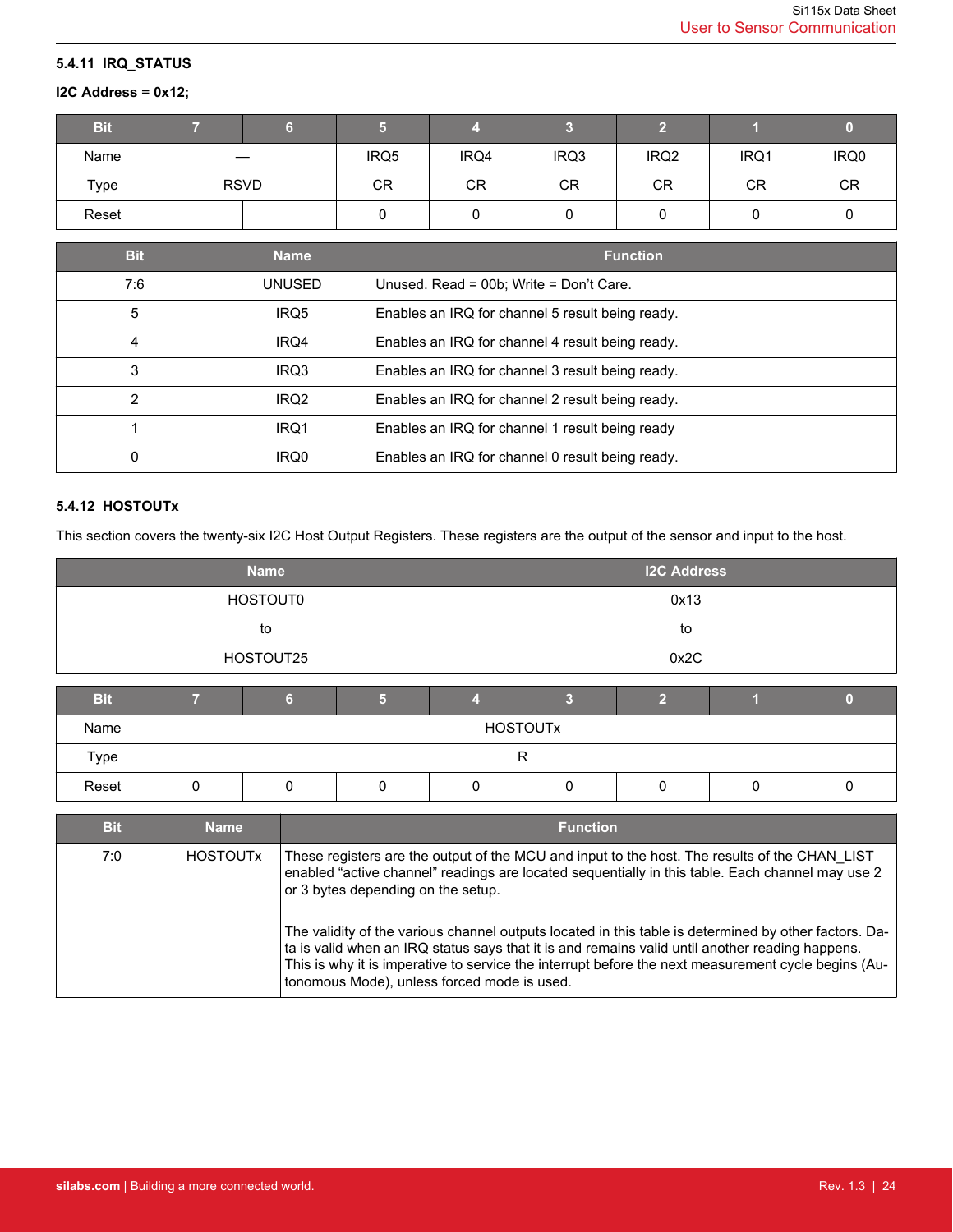# <span id="page-23-0"></span>**5.4.11 IRQ\_STATUS**

# **I2C Address = 0x12;**

| <b>Bit</b> |                   |      |      |           |                  |      |      |
|------------|-------------------|------|------|-----------|------------------|------|------|
| Name       | $\hspace{0.05cm}$ | IRQ5 | IRQ4 | IRQ3      | IRQ <sub>2</sub> | IRQ1 | IRQ0 |
| Type       | <b>RSVD</b>       | CR   | CR   | <b>CR</b> | CR               | CR   | CR   |
| Reset      |                   |      |      |           |                  |      |      |

| <b>Bit</b> | <b>Name</b>      | <b>Function</b>                                  |
|------------|------------------|--------------------------------------------------|
| 7:6        | UNUSED           | Unused. Read = 00b; Write = Don't Care.          |
| 5          | IRQ5             | Enables an IRQ for channel 5 result being ready. |
| 4          | IRQ4             | Enables an IRQ for channel 4 result being ready. |
| 3          | IRQ3             | Enables an IRQ for channel 3 result being ready. |
| 2          | IRQ <sub>2</sub> | Enables an IRQ for channel 2 result being ready. |
|            | IRQ1             | Enables an IRQ for channel 1 result being ready  |
| 0          | IRQ0             | Enables an IRQ for channel 0 result being ready. |

# **5.4.12 HOSTOUTx**

This section covers the twenty-six I2C Host Output Registers. These registers are the output of the sensor and input to the host.

| <b>Name</b>     |   |                 |   |   | <b>I2C Address</b> |                |   |   |
|-----------------|---|-----------------|---|---|--------------------|----------------|---|---|
| <b>HOSTOUT0</b> |   |                 |   |   | 0x13               |                |   |   |
| to              |   |                 |   |   | to                 |                |   |   |
| HOSTOUT25       |   |                 |   |   | 0x2C               |                |   |   |
| <b>Bit</b>      |   | 6               | 5 |   | З                  | $\overline{2}$ |   |   |
| Name            |   | <b>HOSTOUTX</b> |   |   |                    |                |   |   |
| Type            | R |                 |   |   |                    |                |   |   |
| Reset           | 0 | $\Omega$        | O | O | 0                  | 0              | U | 0 |

| <b>Bit</b> | <b>Name</b>     | <b>Function</b>                                                                                                                                                                                                                                                                                                                                                                                                                                                                                                                                                                                           |
|------------|-----------------|-----------------------------------------------------------------------------------------------------------------------------------------------------------------------------------------------------------------------------------------------------------------------------------------------------------------------------------------------------------------------------------------------------------------------------------------------------------------------------------------------------------------------------------------------------------------------------------------------------------|
| 7:0        | <b>HOSTOUTX</b> | These registers are the output of the MCU and input to the host. The results of the CHAN LIST<br>enabled "active channel" readings are located sequentially in this table. Each channel may use 2<br>or 3 bytes depending on the setup.<br>The validity of the various channel outputs located in this table is determined by other factors. Da-<br>ta is valid when an IRQ status says that it is and remains valid until another reading happens.<br>This is why it is imperative to service the interrupt before the next measurement cycle begins (Au-<br>tonomous Mode), unless forced mode is used. |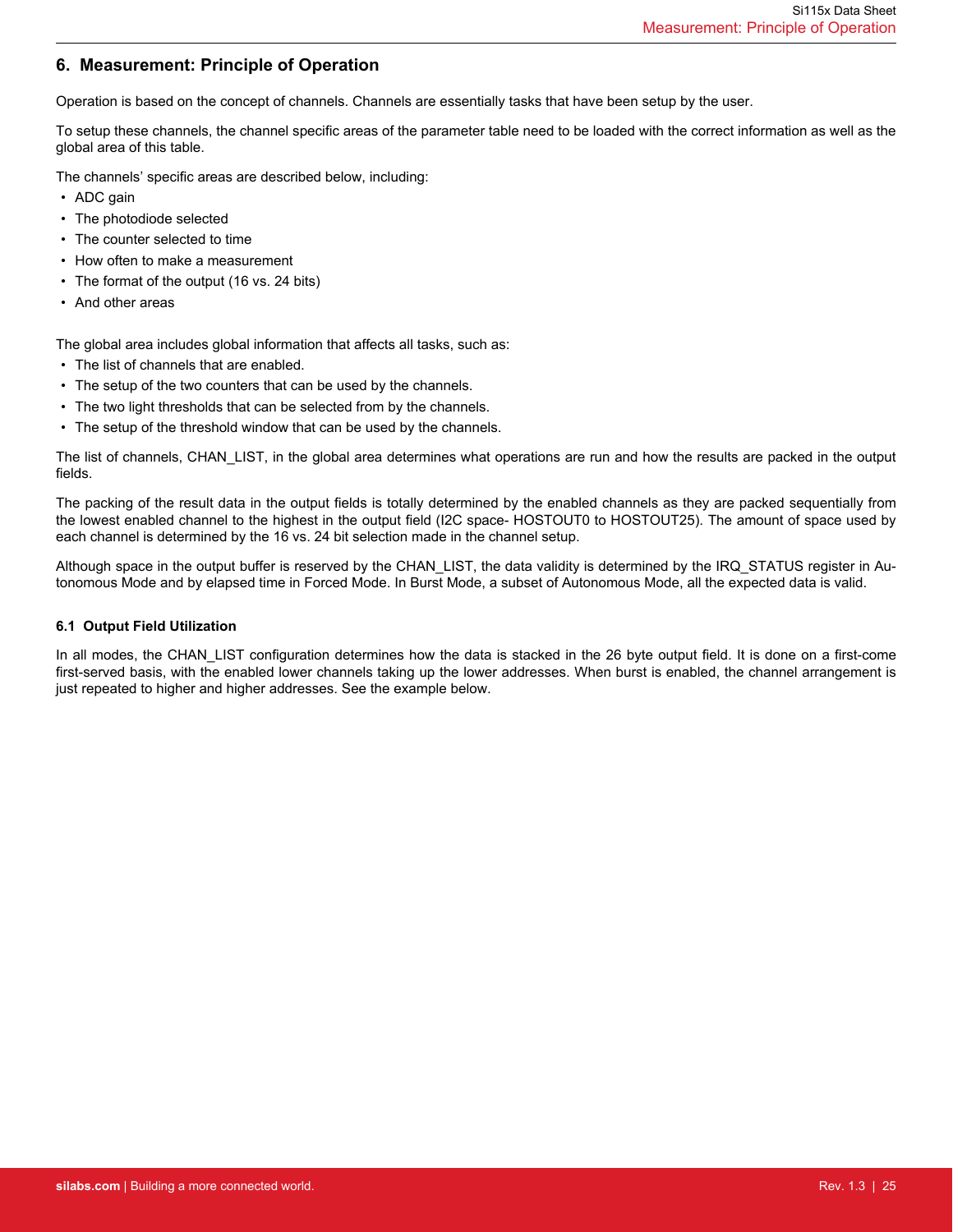# <span id="page-24-0"></span>**6. Measurement: Principle of Operation**

Operation is based on the concept of channels. Channels are essentially tasks that have been setup by the user.

To setup these channels, the channel specific areas of the parameter table need to be loaded with the correct information as well as the global area of this table.

The channels' specific areas are described below, including:

- ADC gain
- The photodiode selected
- The counter selected to time
- How often to make a measurement
- The format of the output (16 vs. 24 bits)
- And other areas

The global area includes global information that affects all tasks, such as:

- The list of channels that are enabled.
- The setup of the two counters that can be used by the channels.
- The two light thresholds that can be selected from by the channels.
- The setup of the threshold window that can be used by the channels.

The list of channels, CHAN\_LIST, in the global area determines what operations are run and how the results are packed in the output fields.

The packing of the result data in the output fields is totally determined by the enabled channels as they are packed sequentially from the lowest enabled channel to the highest in the output field (I2C space- HOSTOUT0 to HOSTOUT25). The amount of space used by each channel is determined by the 16 vs. 24 bit selection made in the channel setup.

Although space in the output buffer is reserved by the CHAN\_LIST, the data validity is determined by the IRQ\_STATUS register in Autonomous Mode and by elapsed time in Forced Mode. In Burst Mode, a subset of Autonomous Mode, all the expected data is valid.

### **6.1 Output Field Utilization**

In all modes, the CHAN LIST configuration determines how the data is stacked in the 26 byte output field. It is done on a first-come first-served basis, with the enabled lower channels taking up the lower addresses. When burst is enabled, the channel arrangement is just repeated to higher and higher addresses. See the example below.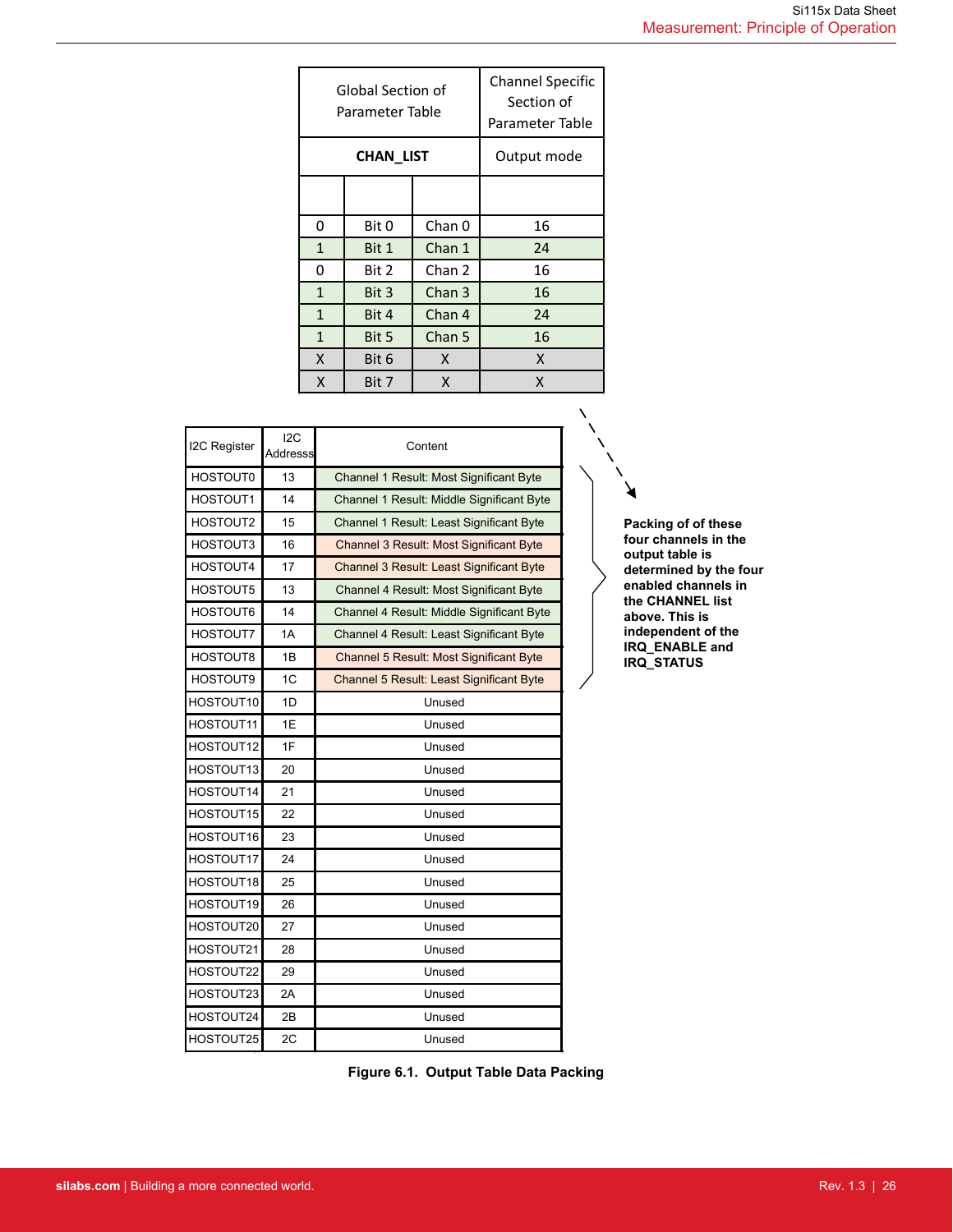|              | Global Section of<br>Parameter Table | <b>Channel Specific</b><br>Section of<br>Parameter Table |    |  |  |  |  |  |
|--------------|--------------------------------------|----------------------------------------------------------|----|--|--|--|--|--|
|              | CHAN LIST                            | Output mode                                              |    |  |  |  |  |  |
|              |                                      |                                                          |    |  |  |  |  |  |
| 0            | Bit 0                                | Chan 0                                                   | 16 |  |  |  |  |  |
| 1            | Bit 1                                | Chan 1                                                   | 24 |  |  |  |  |  |
| 0            | Bit 2                                | Chan 2                                                   | 16 |  |  |  |  |  |
| $\mathbf{1}$ | Bit 3                                | Chan 3                                                   | 16 |  |  |  |  |  |
| 1            | Bit 4                                | Chan 4                                                   | 24 |  |  |  |  |  |
| $\mathbf{1}$ | Bit 5                                | Chan 5                                                   | 16 |  |  |  |  |  |
| X            | Bit 6                                | X                                                        | X  |  |  |  |  |  |
| X            | Bit 7                                | X                                                        | x  |  |  |  |  |  |

| I2C Register    | 12C<br>Addresss | Content                                        |
|-----------------|-----------------|------------------------------------------------|
| HOSTOUT0        | 13              | Channel 1 Result: Most Significant Byte        |
| HOSTOUT1        | 14              | Channel 1 Result: Middle Significant Byte      |
| HOSTOUT2        | 15              | Channel 1 Result: Least Significant Byte       |
| HOSTOUT3        | 16              | <b>Channel 3 Result: Most Significant Byte</b> |
| HOSTOUT4        | 17              | Channel 3 Result: Least Significant Byte       |
| HOSTOUT5        | 13              | Channel 4 Result: Most Significant Byte        |
| HOSTOUT6        | 14              | Channel 4 Result: Middle Significant Byte      |
| HOSTOUT7        | 1A              | Channel 4 Result: Least Significant Byte       |
| HOSTOUT8        | 1B              | Channel 5 Result: Most Significant Byte        |
| <b>HOSTOUT9</b> | 1C              | Channel 5 Result: Least Significant Byte       |
| HOSTOUT10       | 1D              | Unused                                         |
| HOSTOUT11       | 1E              | Unused                                         |
| HOSTOUT12       | 1F              | Unused                                         |
| HOSTOUT13       | 20              | Unused                                         |
| HOSTOUT14       | 21              | Unused                                         |
| HOSTOUT15       | 22              | Unused                                         |
| HOSTOUT16       | 23              | Unused                                         |
| HOSTOUT17       | 24              | Unused                                         |
| HOSTOUT18       | 25              | Unused                                         |
| HOSTOUT19       | 26              | Unused                                         |
| HOSTOUT20       | 27              | Unused                                         |
| HOSTOUT21       | 28              | Unused                                         |
| HOSTOUT22       | 29              | Unused                                         |
| HOSTOUT23       | 2A              | Unused                                         |
| HOSTOUT24       | 2B              | Unused                                         |
| HOSTOUT25       | 2C              | Unused                                         |

**Packing of of these four channels in the output table is determined by the four enabled channels in the CHANNEL list above. This is independent of the IRQ\_ENABLE and IRQ\_STATUS**

**Figure 6.1. Output Table Data Packing**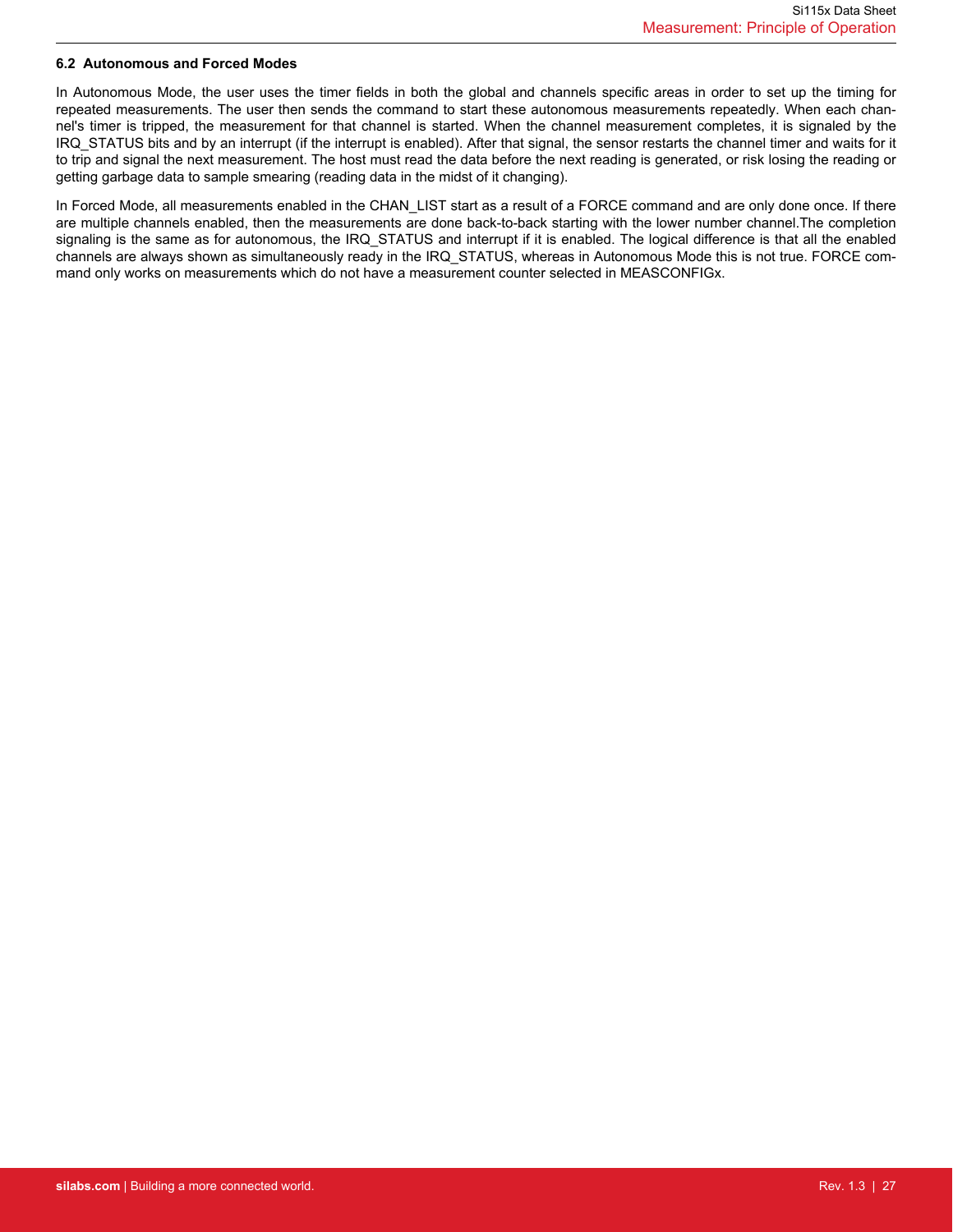### <span id="page-26-0"></span>**6.2 Autonomous and Forced Modes**

In Autonomous Mode, the user uses the timer fields in both the global and channels specific areas in order to set up the timing for repeated measurements. The user then sends the command to start these autonomous measurements repeatedly. When each channel's timer is tripped, the measurement for that channel is started. When the channel measurement completes, it is signaled by the IRQ\_STATUS bits and by an interrupt (if the interrupt is enabled). After that signal, the sensor restarts the channel timer and waits for it to trip and signal the next measurement. The host must read the data before the next reading is generated, or risk losing the reading or getting garbage data to sample smearing (reading data in the midst of it changing).

In Forced Mode, all measurements enabled in the CHAN\_LIST start as a result of a FORCE command and are only done once. If there are multiple channels enabled, then the measurements are done back-to-back starting with the lower number channel.The completion signaling is the same as for autonomous, the IRQ\_STATUS and interrupt if it is enabled. The logical difference is that all the enabled channels are always shown as simultaneously ready in the IRQ\_STATUS, whereas in Autonomous Mode this is not true. FORCE command only works on measurements which do not have a measurement counter selected in MEASCONFIGx.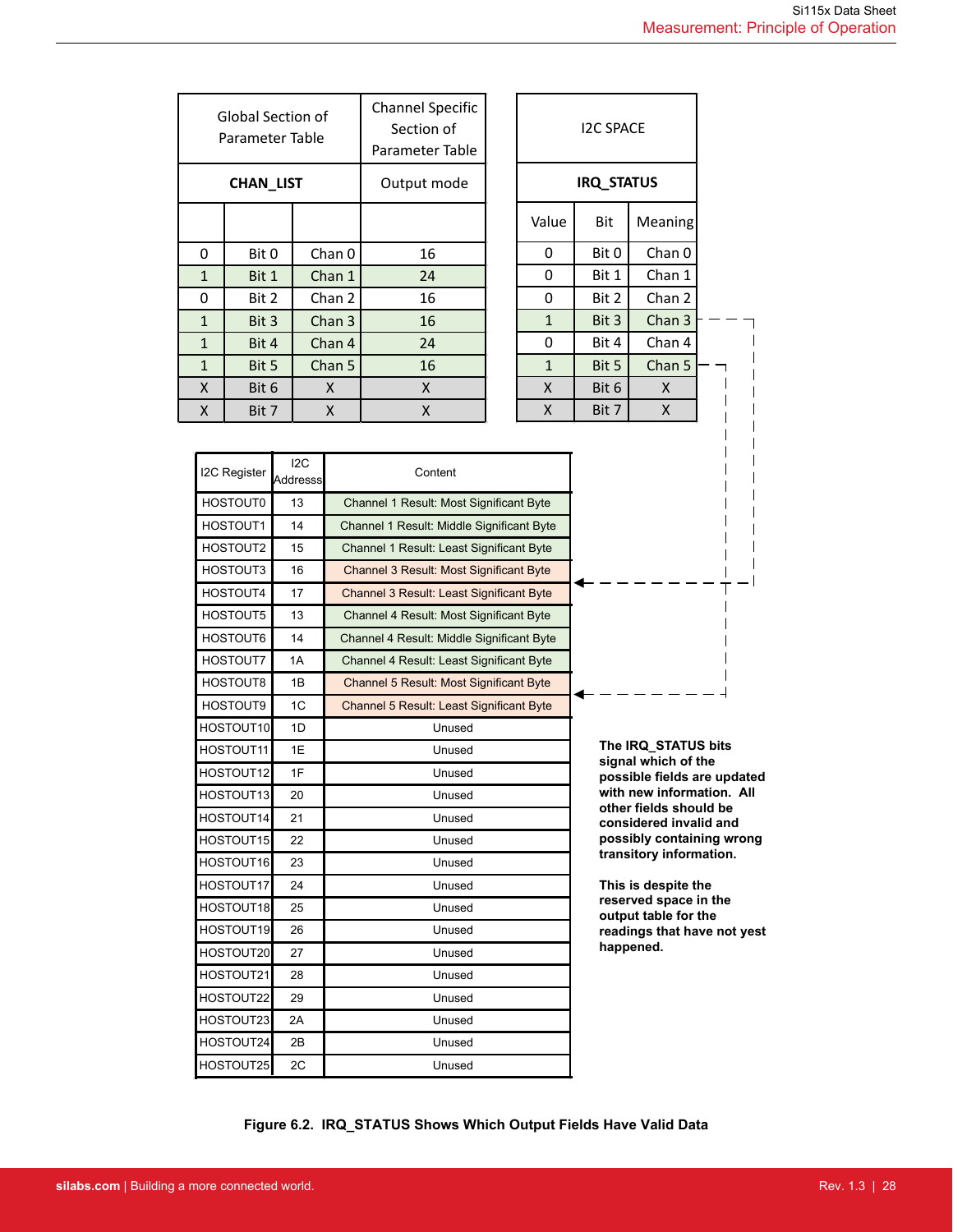|              |                                      | <b>Channel Specific</b>       |    |
|--------------|--------------------------------------|-------------------------------|----|
|              | Global Section of<br>Parameter Table | Section of<br>Parameter Table |    |
|              |                                      |                               |    |
|              | CHAN LIST                            | Output mode                   |    |
|              |                                      |                               |    |
| 0            | Bit 0                                | Chan 0                        | 16 |
| $\mathbf{1}$ | Bit 1                                | Chan 1                        | 24 |
| 0            | Bit 2                                | Chan 2                        | 16 |
| $\mathbf{1}$ | Bit 3                                | Chan 3                        | 16 |
| $\mathbf{1}$ | Bit 4                                | Chan 4                        | 24 |
| $\mathbf{1}$ | Bit 5                                | Chan 5                        | 16 |
| X            | Bit 6                                | X                             | X  |
| X            | Bit 7                                | X                             | X  |

I2C Register 12C

|                |                | <b>IRQ STATUS</b> |                         |  |
|----------------|----------------|-------------------|-------------------------|--|
|                | Value          | Bit               | Meaning                 |  |
|                | 0              | Bit 0             | Chan 0                  |  |
|                | 0              | Bit 1             | Chan 1                  |  |
|                | 0              | Bit 2             | Chan 2                  |  |
|                | $\mathbf{1}$   | Bit 3             | Chan 3                  |  |
|                | 0              | Bit 4             | Chan 4                  |  |
|                | $\mathbf{1}$   | Bit 5             | Chan 5                  |  |
|                | X              | Bit 6             | X                       |  |
|                | X              | Bit 7             | $\overline{\mathsf{x}}$ |  |
|                |                |                   |                         |  |
|                | ificant Byte   |                   |                         |  |
|                | Inificant Byte |                   |                         |  |
|                | nificant Byte  |                   |                         |  |
| ificant Byte   |                |                   |                         |  |
| nificant Byte  |                |                   |                         |  |
| ificant Byte   |                |                   |                         |  |
| Inificant Byte |                |                   |                         |  |
|                | nificant Byte  |                   |                         |  |
|                | ificant Byte   |                   |                         |  |
|                |                |                   |                         |  |

| I2C Register | ∪∡ا<br>Addresss | Content                                   |                                                     |
|--------------|-----------------|-------------------------------------------|-----------------------------------------------------|
| HOSTOUT0     | 13              | Channel 1 Result: Most Significant Byte   |                                                     |
| HOSTOUT1     | 14              | Channel 1 Result: Middle Significant Byte |                                                     |
| HOSTOUT2     | 15              | Channel 1 Result: Least Significant Byte  |                                                     |
| HOSTOUT3     | 16              | Channel 3 Result: Most Significant Byte   |                                                     |
| HOSTOUT4     | 17              | Channel 3 Result: Least Significant Byte  |                                                     |
| HOSTOUT5     | 13              | Channel 4 Result: Most Significant Byte   |                                                     |
| HOSTOUT6     | 14              | Channel 4 Result: Middle Significant Byte |                                                     |
| HOSTOUT7     | 1A              | Channel 4 Result: Least Significant Byte  |                                                     |
| HOSTOUT8     | 1B              | Channel 5 Result: Most Significant Byte   |                                                     |
| HOSTOUT9     | 1 <sup>C</sup>  | Channel 5 Result: Least Significant Byte  |                                                     |
| HOSTOUT10    | 1D              | Unused                                    |                                                     |
| HOSTOUT11    | 1E              | Unused                                    | The IRQ STATUS bits<br>signal which of the          |
| HOSTOUT12    | 1F              | Unused                                    | possible fields are updated                         |
| HOSTOUT13    | 20              | Unused                                    | with new information. All<br>other fields should be |
| HOSTOUT14    | 21              | Unused                                    | considered invalid and                              |
| HOSTOUT15    | 22              | Unused                                    | possibly containing wrong                           |
| HOSTOUT16    | 23              | Unused                                    | transitory information.                             |
| HOSTOUT17    | 24              | Unused                                    | This is despite the                                 |
| HOSTOUT18    | 25              | Unused                                    | reserved space in the<br>output table for the       |
| HOSTOUT19    | 26              | Unused                                    | readings that have not yest                         |
| HOSTOUT20    | 27              | Unused                                    | happened.                                           |
| HOSTOUT21    | 28              | Unused                                    |                                                     |
| HOSTOUT22    | 29              | Unused                                    |                                                     |
| HOSTOUT23    | 2A              | Unused                                    |                                                     |
| HOSTOUT24    | 2B              | Unused                                    |                                                     |
| HOSTOUT25    | 2C              | Unused                                    |                                                     |

**Figure 6.2. IRQ\_STATUS Shows Which Output Fields Have Valid Data**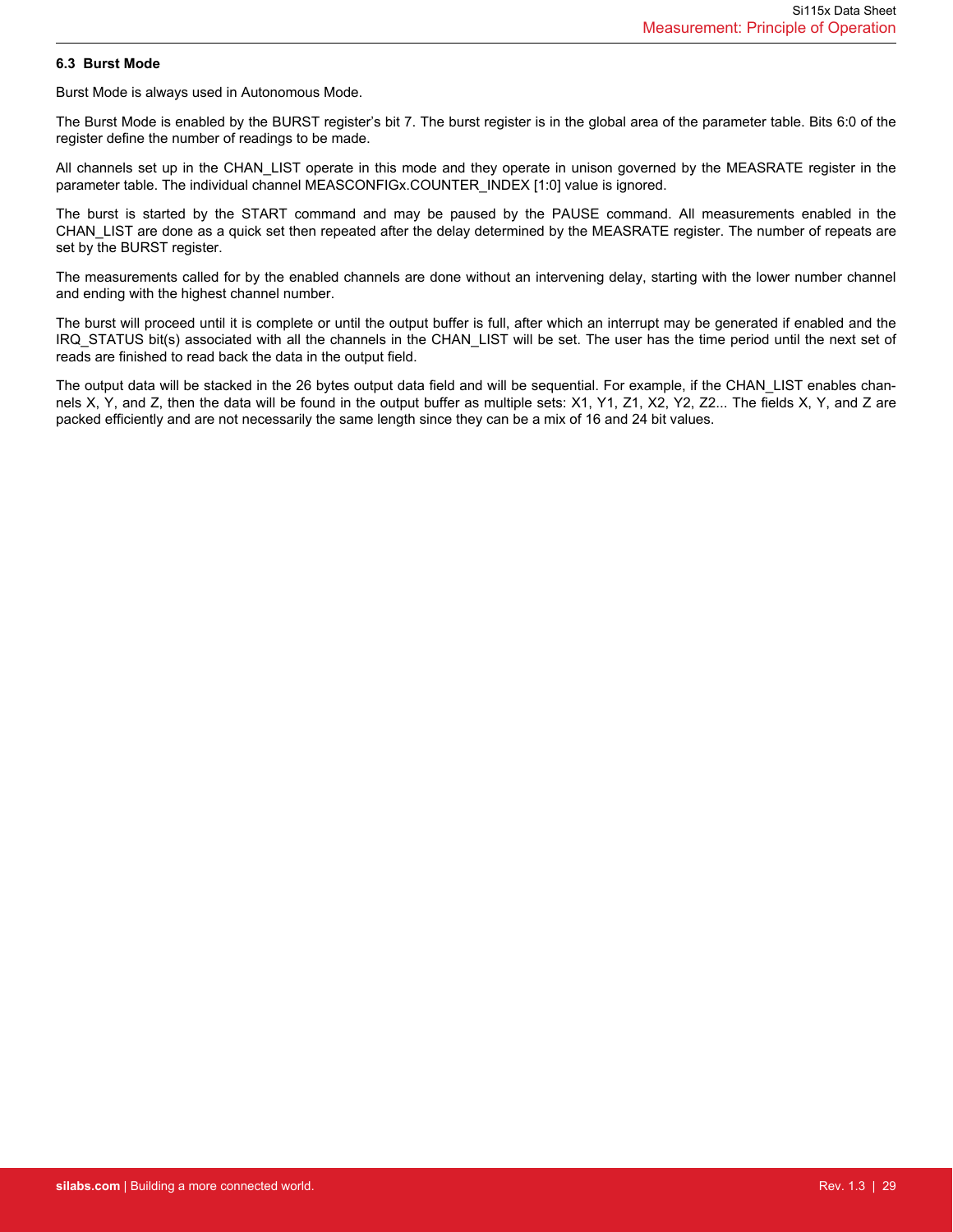### <span id="page-28-0"></span>**6.3 Burst Mode**

Burst Mode is always used in Autonomous Mode.

The Burst Mode is enabled by the BURST register's bit 7. The burst register is in the global area of the parameter table. Bits 6:0 of the register define the number of readings to be made.

All channels set up in the CHAN\_LIST operate in this mode and they operate in unison governed by the MEASRATE register in the parameter table. The individual channel MEASCONFIGx.COUNTER\_INDEX [1:0] value is ignored.

The burst is started by the START command and may be paused by the PAUSE command. All measurements enabled in the CHAN\_LIST are done as a quick set then repeated after the delay determined by the MEASRATE register. The number of repeats are set by the BURST register.

The measurements called for by the enabled channels are done without an intervening delay, starting with the lower number channel and ending with the highest channel number.

The burst will proceed until it is complete or until the output buffer is full, after which an interrupt may be generated if enabled and the IRQ\_STATUS bit(s) associated with all the channels in the CHAN\_LIST will be set. The user has the time period until the next set of reads are finished to read back the data in the output field.

The output data will be stacked in the 26 bytes output data field and will be sequential. For example, if the CHAN\_LIST enables channels X, Y, and Z, then the data will be found in the output buffer as multiple sets: X1, Y1, Z1, X2, Y2, Z2... The fields X, Y, and Z are packed efficiently and are not necessarily the same length since they can be a mix of 16 and 24 bit values.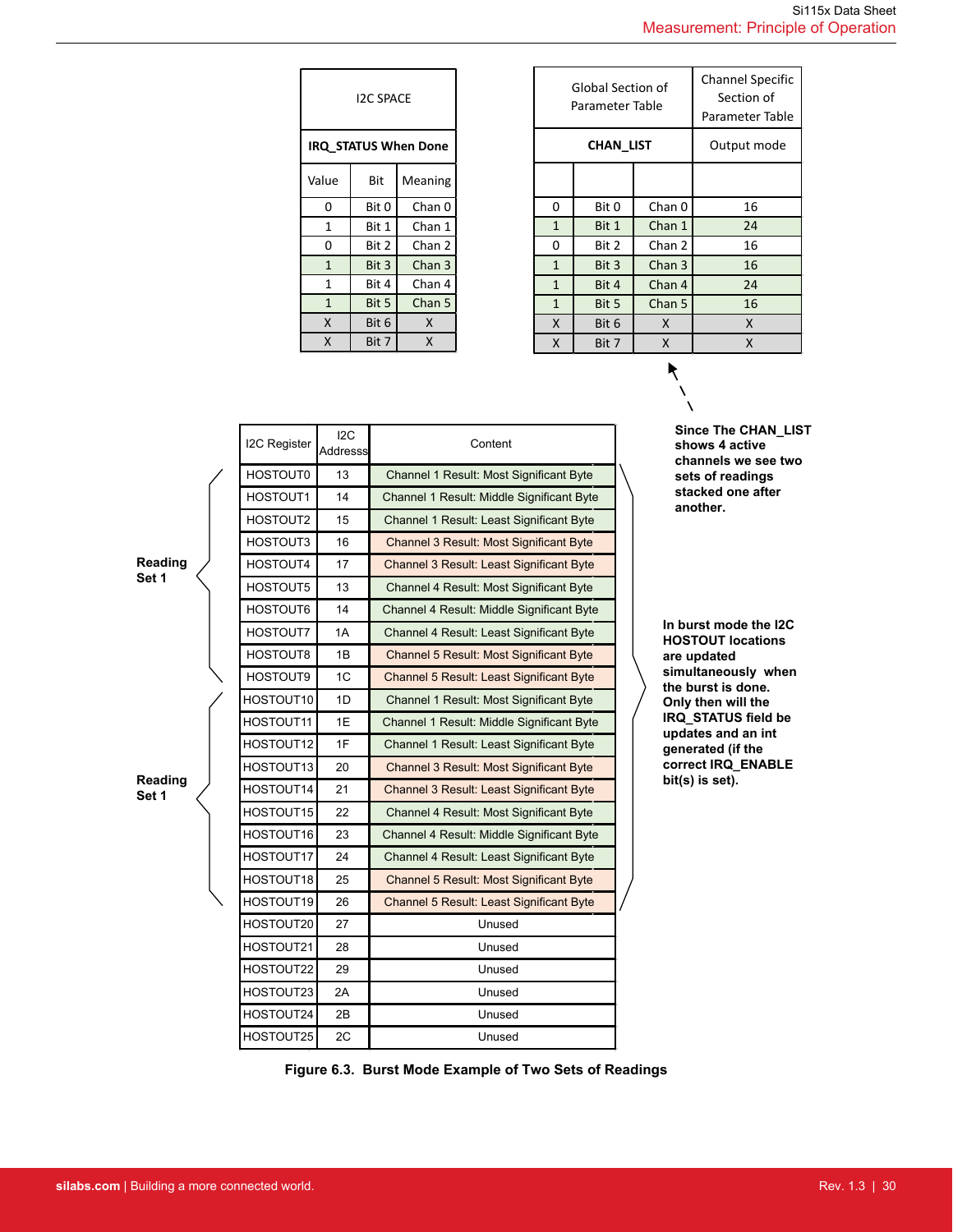| <b>I2C SPACE</b>            |       |                   |  |  |  |  |
|-----------------------------|-------|-------------------|--|--|--|--|
| <b>IRQ STATUS When Done</b> |       |                   |  |  |  |  |
| Value                       | Bit   | Meaning           |  |  |  |  |
| 0                           | Bit 0 | Chan <sub>0</sub> |  |  |  |  |
| 1                           | Bit 1 | Chan 1            |  |  |  |  |
| 0                           | Bit 2 | Chan 2            |  |  |  |  |
| $\mathbf{1}$                | Bit 3 | Chan 3            |  |  |  |  |
| 1                           | Bit 4 | Chan 4            |  |  |  |  |
| $\mathbf{1}$                | Bit 5 | Chan 5            |  |  |  |  |
| X                           | Bit 6 | X                 |  |  |  |  |
| X                           | Bit 7 | Χ                 |  |  |  |  |

| <b>Channel Specific</b> |
|-------------------------|
| Parameter Table         |
| Output mode             |
|                         |
|                         |
|                         |
|                         |
|                         |
|                         |
|                         |
|                         |
|                         |
|                         |

**Since The CHAN\_LIST shows 4 active channels we see two sets of readings stacked one after another.**

|                  | I2C Register    | 12C<br>Addresss                                | Content                                        |  |
|------------------|-----------------|------------------------------------------------|------------------------------------------------|--|
|                  | <b>HOSTOUT0</b> | 13                                             | Channel 1 Result: Most Significant Byte        |  |
|                  | HOSTOUT1        | 14                                             | Channel 1 Result: Middle Significant Byte      |  |
|                  | HOSTOUT2        | 15                                             | Channel 1 Result: Least Significant Byte       |  |
|                  | HOSTOUT3        | 16                                             | Channel 3 Result: Most Significant Byte        |  |
| Reading          | HOSTOUT4        | 17                                             | Channel 3 Result: Least Significant Byte       |  |
| Set 1            | HOSTOUT5        | 13                                             | Channel 4 Result: Most Significant Byte        |  |
|                  | HOSTOUT6        | 14                                             | Channel 4 Result: Middle Significant Byte      |  |
|                  | HOSTOUT7        | 1A                                             | Channel 4 Result: Least Significant Byte       |  |
|                  | HOSTOUT8        | 1B                                             | Channel 5 Result: Most Significant Byte        |  |
|                  | HOSTOUT9        | 1C                                             | Channel 5 Result: Least Significant Byte       |  |
|                  | HOSTOUT10       | 1D                                             | Channel 1 Result: Most Significant Byte        |  |
|                  | HOSTOUT11       | 1E                                             | Channel 1 Result: Middle Significant Byte      |  |
|                  | HOSTOUT12       | 1F<br>Channel 1 Result: Least Significant Byte |                                                |  |
|                  | HOSTOUT13       | 20                                             | <b>Channel 3 Result: Most Significant Byte</b> |  |
| Reading<br>Set 1 | HOSTOUT14       | 21                                             | Channel 3 Result: Least Significant Byte       |  |
|                  | HOSTOUT15       | 22                                             | Channel 4 Result: Most Significant Byte        |  |
|                  | HOSTOUT16       | 23                                             | Channel 4 Result: Middle Significant Byte      |  |
|                  | HOSTOUT17       | 24                                             | Channel 4 Result: Least Significant Byte       |  |
|                  | HOSTOUT18       | 25                                             | Channel 5 Result: Most Significant Byte        |  |
|                  | HOSTOUT19       | 26                                             | Channel 5 Result: Least Significant Byte       |  |
|                  | HOSTOUT20       | 27                                             | Unused                                         |  |
|                  | HOSTOUT21       | 28                                             | Unused                                         |  |
|                  | HOSTOUT22       | 29                                             | Unused                                         |  |
|                  | HOSTOUT23       | 2A                                             | Unused                                         |  |
|                  | HOSTOUT24       | 2B                                             | Unused                                         |  |
|                  | HOSTOUT25       | 2C                                             | Unused                                         |  |

**In burst mode the I2C HOSTOUT locations are updated simultaneously when the burst is done. Only then will the IRQ\_STATUS field be updates and an int generated (if the correct IRQ\_ENABLE bit(s) is set).**

**Figure 6.3. Burst Mode Example of Two Sets of Readings**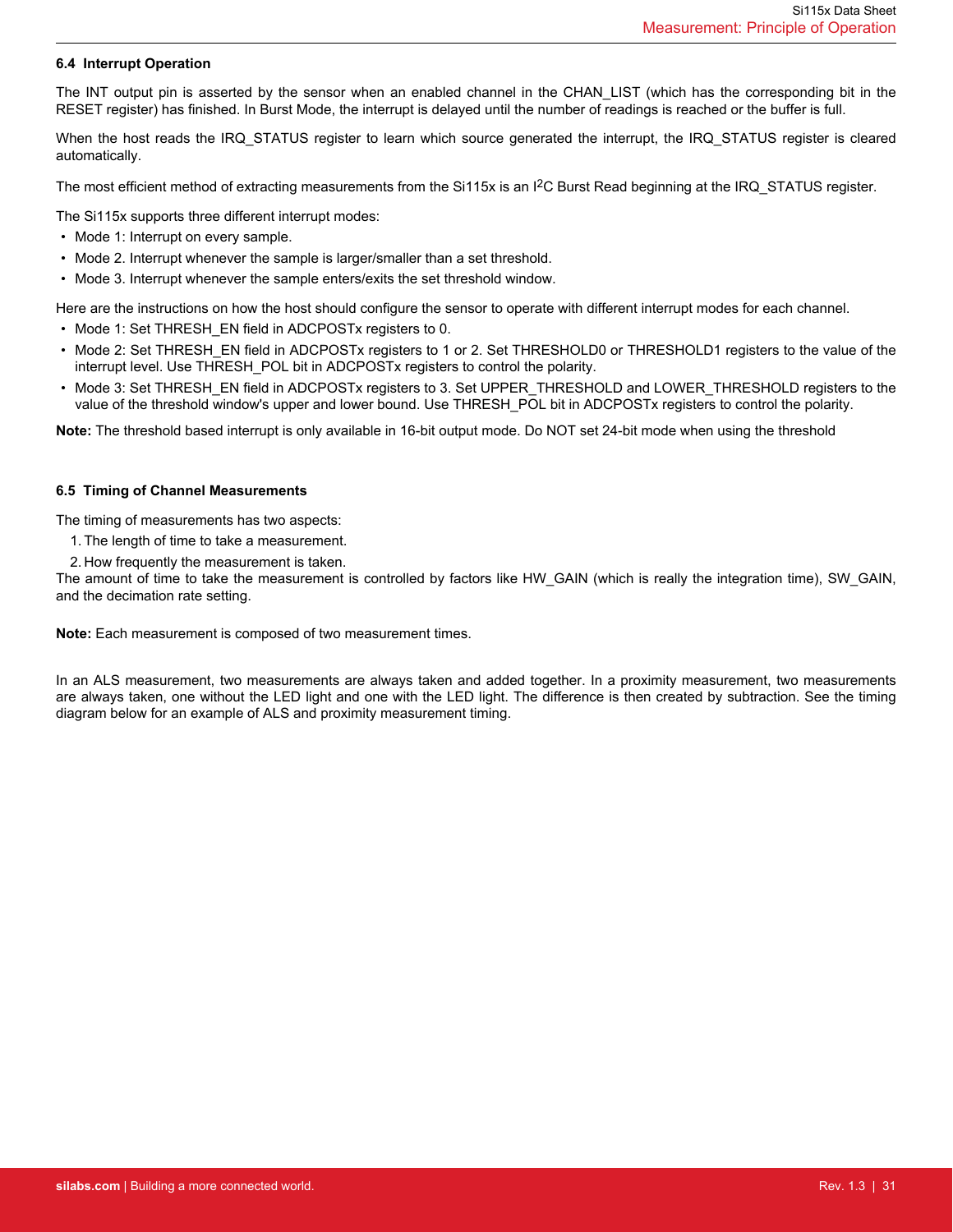### <span id="page-30-0"></span>**6.4 Interrupt Operation**

The INT output pin is asserted by the sensor when an enabled channel in the CHAN\_LIST (which has the corresponding bit in the RESET register) has finished. In Burst Mode, the interrupt is delayed until the number of readings is reached or the buffer is full.

When the host reads the IRQ STATUS register to learn which source generated the interrupt, the IRQ STATUS register is cleared automatically.

The most efficient method of extracting measurements from the Si115x is an I<sup>2</sup>C Burst Read beginning at the IRQ\_STATUS register.

The Si115x supports three different interrupt modes:

- Mode 1: Interrupt on every sample.
- Mode 2. Interrupt whenever the sample is larger/smaller than a set threshold.
- Mode 3. Interrupt whenever the sample enters/exits the set threshold window.

Here are the instructions on how the host should configure the sensor to operate with different interrupt modes for each channel.

- Mode 1: Set THRESH\_EN field in ADCPOSTx registers to 0.
- Mode 2: Set THRESH\_EN field in ADCPOSTx registers to 1 or 2. Set THRESHOLD0 or THRESHOLD1 registers to the value of the interrupt level. Use THRESH\_POL bit in ADCPOSTx registers to control the polarity.
- Mode 3: Set THRESH\_EN field in ADCPOSTx registers to 3. Set UPPER\_THRESHOLD and LOWER\_THRESHOLD registers to the value of the threshold window's upper and lower bound. Use THRESH\_POL bit in ADCPOSTx registers to control the polarity.

**Note:** The threshold based interrupt is only available in 16-bit output mode. Do NOT set 24-bit mode when using the threshold

#### **6.5 Timing of Channel Measurements**

The timing of measurements has two aspects:

- 1. The length of time to take a measurement.
- 2. How frequently the measurement is taken.

The amount of time to take the measurement is controlled by factors like HW\_GAIN (which is really the integration time), SW\_GAIN, and the decimation rate setting.

**Note:** Each measurement is composed of two measurement times.

In an ALS measurement, two measurements are always taken and added together. In a proximity measurement, two measurements are always taken, one without the LED light and one with the LED light. The difference is then created by subtraction. See the timing diagram below for an example of ALS and proximity measurement timing.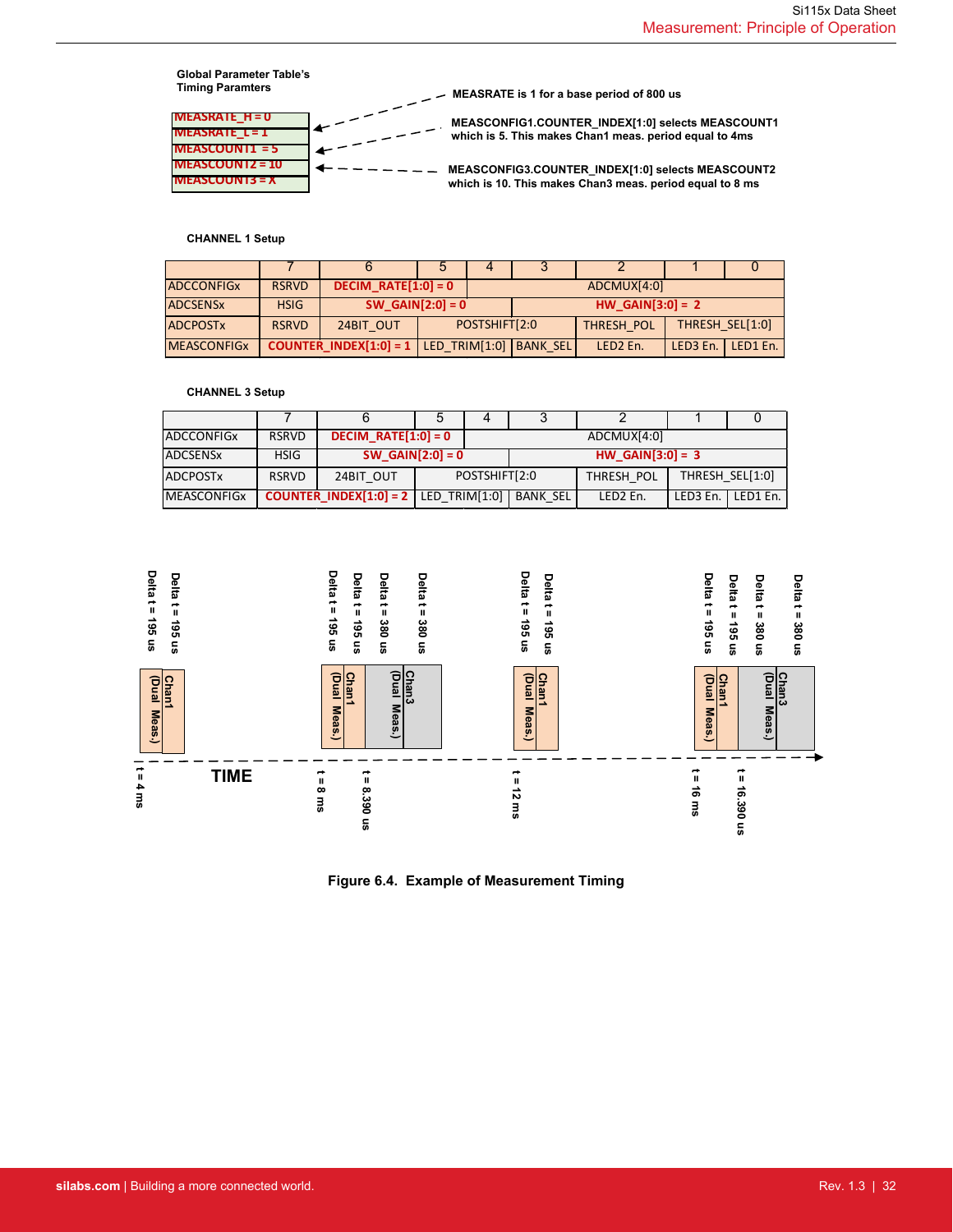

### **CHANNEL 1 Setup**

| <b>ADCCONFIGX</b>          | <b>RSRVD</b> | DECIM RATE[1:0] = 0                                        |  | ADCMUX[4:0]   |  |                      |                      |          |  |
|----------------------------|--------------|------------------------------------------------------------|--|---------------|--|----------------------|----------------------|----------|--|
| <b>ADCSENS<sub>x</sub></b> | <b>HSIG</b>  | SW GAIN[2:0] = $0$                                         |  |               |  | HW GAIN[3:0] = $2$   |                      |          |  |
| <b>ADCPOSTX</b>            | <b>RSRVD</b> | 24BIT OUT                                                  |  | POSTSHIFT[2:0 |  | THRESH POL           | THRESH SEL[1:0]      |          |  |
| <b>MEASCONFIGX</b>         |              | <b>COUNTER INDEX[1:0] = 1   LED TRIM[1:0]   BANK SEL  </b> |  |               |  | LED <sub>2</sub> En. | LED <sub>3</sub> En. | LED1 En. |  |

#### **CHANNEL 3 Setup**

| <b>ADCCONFIGX</b>  | <b>RSRVD</b> | $DECIM_RATE[1:0] = 0$                         |               |  |                  | ADCMUX[4:0]          |                     |  |
|--------------------|--------------|-----------------------------------------------|---------------|--|------------------|----------------------|---------------------|--|
| <b>ADCSENSx</b>    | <b>HSIG</b>  | SW GAIN[2:0] = 0                              |               |  | HW GAIN[3:0] = 3 |                      |                     |  |
| <b>ADCPOSTX</b>    | <b>RSRVD</b> | 24BIT OUT                                     | POSTSHIFT[2:0 |  | THRESH POL       | THRESH SEL[1:0]      |                     |  |
| <b>MEASCONFIGX</b> |              | <b>COUNTER INDEX[1:0] = 2</b>   LED TRIM[1:0] |               |  | <b>BANK SEL</b>  | LED <sub>2</sub> En. | LED3 En.   LED1 En. |  |



**Figure 6.4. Example of Measurement Timing**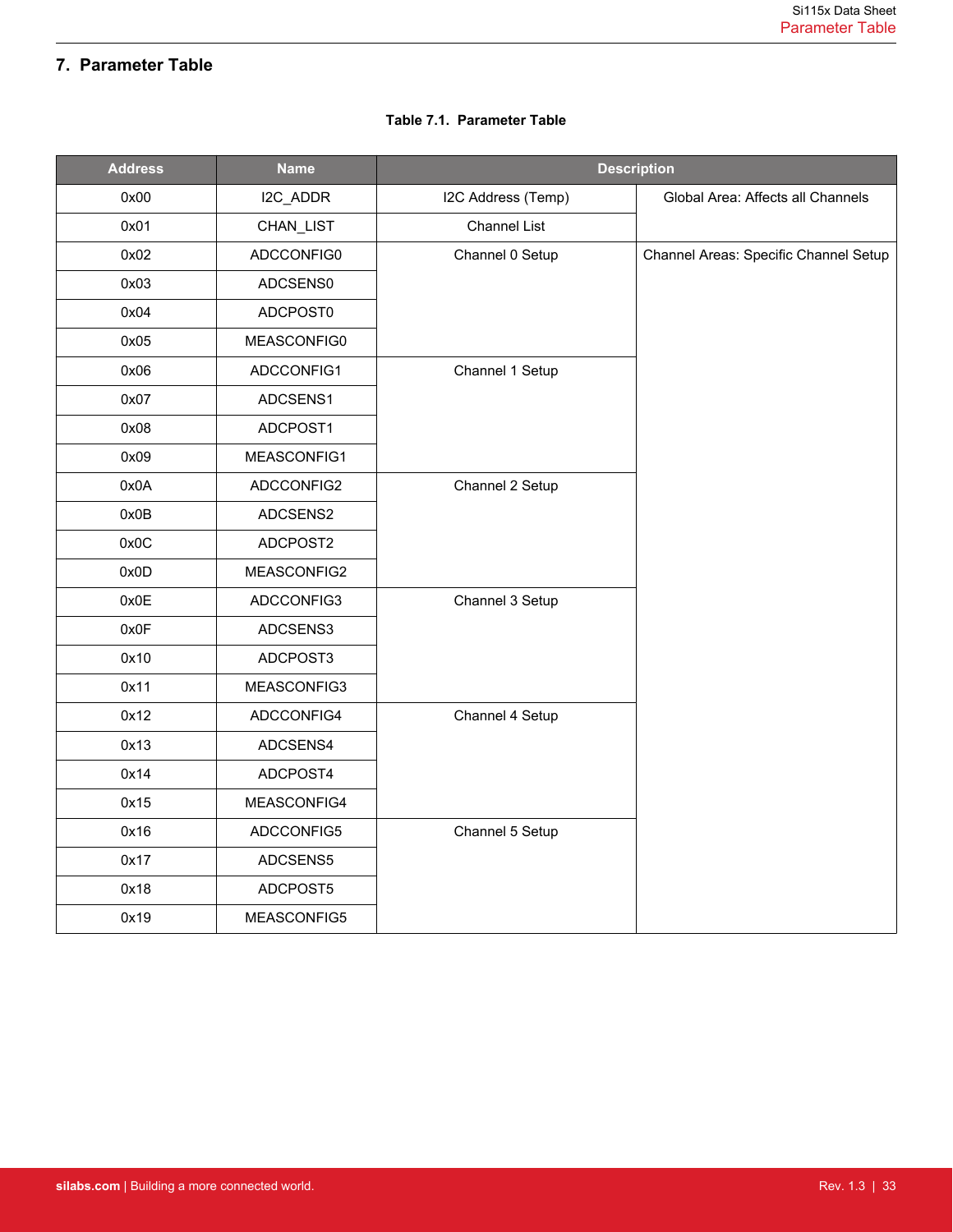# <span id="page-32-0"></span>**7. Parameter Table**

| <b>Address</b> | <b>Name</b> | <b>Description</b>  |                                       |  |  |  |
|----------------|-------------|---------------------|---------------------------------------|--|--|--|
| 0x00           | I2C_ADDR    | I2C Address (Temp)  | Global Area: Affects all Channels     |  |  |  |
| 0x01           | CHAN_LIST   | <b>Channel List</b> |                                       |  |  |  |
| 0x02           | ADCCONFIG0  | Channel 0 Setup     | Channel Areas: Specific Channel Setup |  |  |  |
| 0x03           | ADCSENS0    |                     |                                       |  |  |  |
| 0x04           | ADCPOST0    |                     |                                       |  |  |  |
| 0x05           | MEASCONFIG0 |                     |                                       |  |  |  |
| 0x06           | ADCCONFIG1  | Channel 1 Setup     |                                       |  |  |  |
| 0x07           | ADCSENS1    |                     |                                       |  |  |  |
| 0x08           | ADCPOST1    |                     |                                       |  |  |  |
| 0x09           | MEASCONFIG1 |                     |                                       |  |  |  |
| 0x0A           | ADCCONFIG2  | Channel 2 Setup     |                                       |  |  |  |
| 0x0B           | ADCSENS2    |                     |                                       |  |  |  |
| 0x0C           | ADCPOST2    |                     |                                       |  |  |  |
| 0x0D           | MEASCONFIG2 |                     |                                       |  |  |  |
| 0x0E           | ADCCONFIG3  | Channel 3 Setup     |                                       |  |  |  |
| 0x0F           | ADCSENS3    |                     |                                       |  |  |  |
| 0x10           | ADCPOST3    |                     |                                       |  |  |  |
| 0x11           | MEASCONFIG3 |                     |                                       |  |  |  |
| 0x12           | ADCCONFIG4  | Channel 4 Setup     |                                       |  |  |  |
| 0x13           | ADCSENS4    |                     |                                       |  |  |  |
| 0x14           | ADCPOST4    |                     |                                       |  |  |  |
| 0x15           | MEASCONFIG4 |                     |                                       |  |  |  |
| 0x16           | ADCCONFIG5  | Channel 5 Setup     |                                       |  |  |  |
| 0x17           | ADCSENS5    |                     |                                       |  |  |  |
| 0x18           | ADCPOST5    |                     |                                       |  |  |  |
| 0x19           | MEASCONFIG5 |                     |                                       |  |  |  |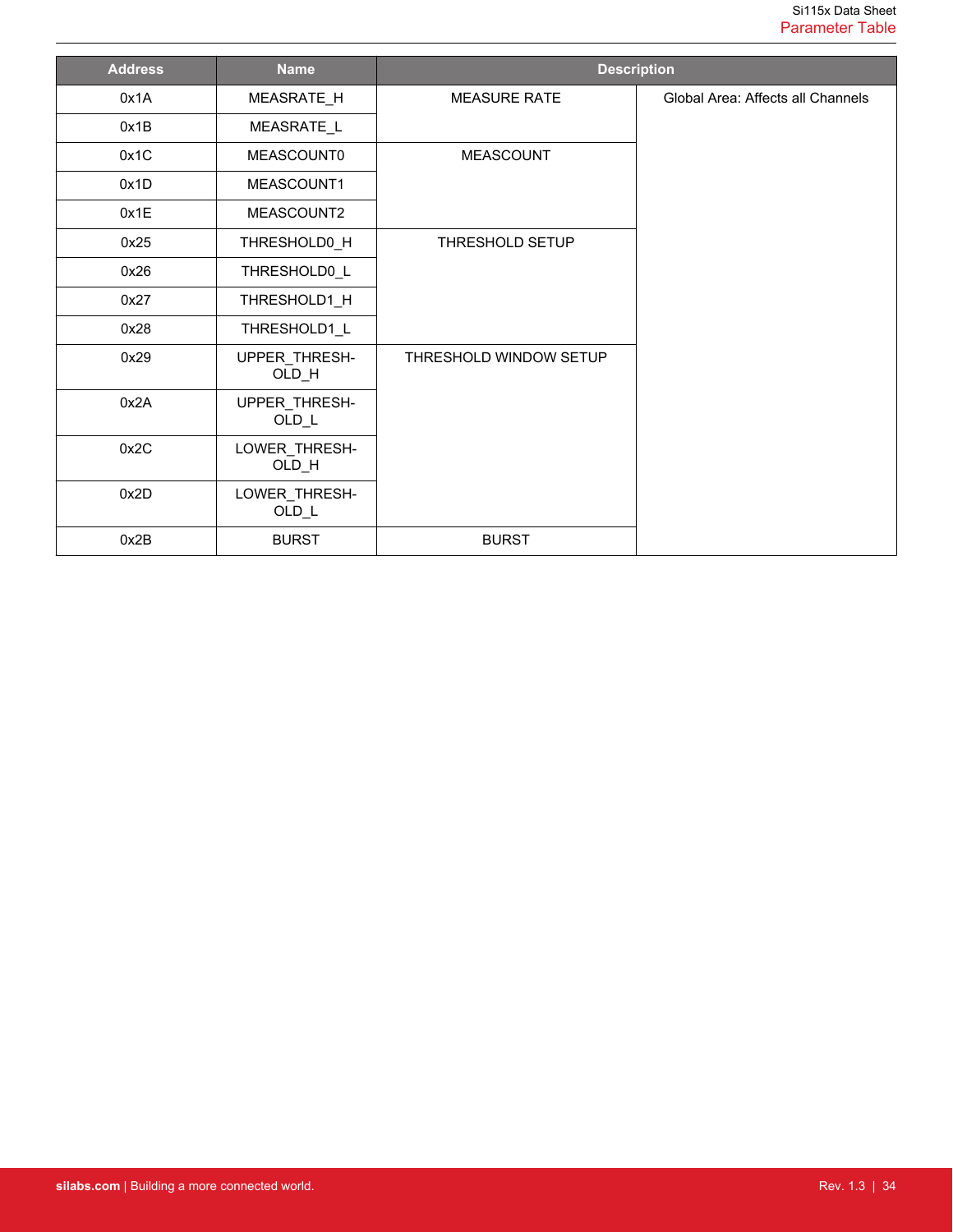| <b>Address</b> | <b>Name</b>              | <b>Description</b>     |                                   |
|----------------|--------------------------|------------------------|-----------------------------------|
| 0x1A           | MEASRATE_H               | <b>MEASURE RATE</b>    | Global Area: Affects all Channels |
| 0x1B           | MEASRATE_L               |                        |                                   |
| 0x1C           | MEASCOUNT0               | <b>MEASCOUNT</b>       |                                   |
| 0x1D           | MEASCOUNT1               |                        |                                   |
| 0x1E           | MEASCOUNT2               |                        |                                   |
| 0x25           | THRESHOLD0_H             | <b>THRESHOLD SETUP</b> |                                   |
| 0x26           | THRESHOLD0_L             |                        |                                   |
| 0x27           | THRESHOLD1_H             |                        |                                   |
| 0x28           | THRESHOLD1 L             |                        |                                   |
| 0x29           | UPPER_THRESH-<br>OLD_H   | THRESHOLD WINDOW SETUP |                                   |
| 0x2A           | UPPER_THRESH-<br>$OLD_L$ |                        |                                   |
| 0x2C           | LOWER_THRESH-<br>OLD_H   |                        |                                   |
| 0x2D           | LOWER_THRESH-<br>$OLD_L$ |                        |                                   |
| 0x2B           | <b>BURST</b>             | <b>BURST</b>           |                                   |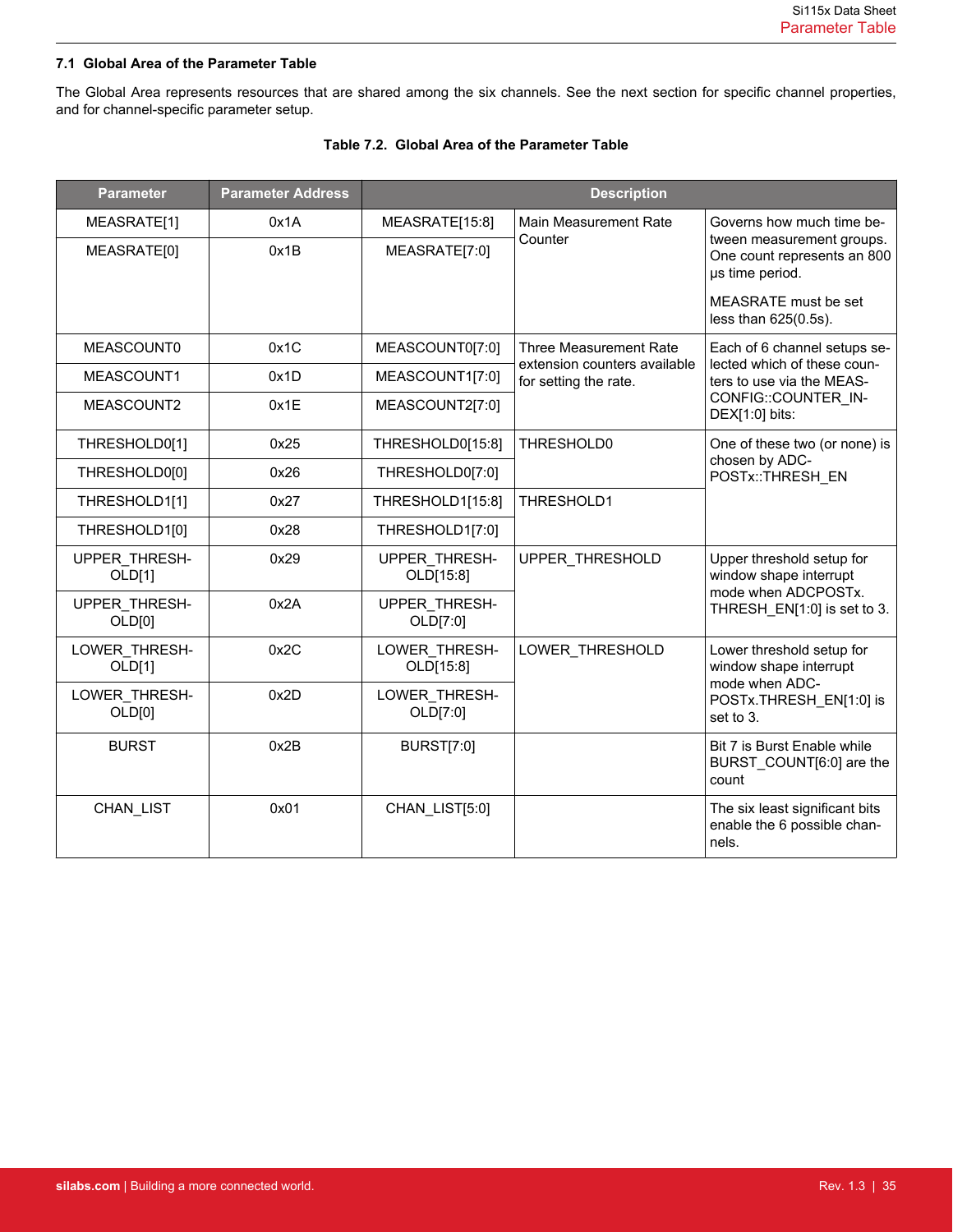### <span id="page-34-0"></span>**7.1 Global Area of the Parameter Table**

The Global Area represents resources that are shared among the six channels. See the next section for specific channel properties, and for channel-specific parameter setup.

| <b>Parameter</b>        | <b>Parameter Address</b> | <b>Description</b>         |                                                       |                                                                             |  |  |  |
|-------------------------|--------------------------|----------------------------|-------------------------------------------------------|-----------------------------------------------------------------------------|--|--|--|
| MEASRATE[1]             | 0x1A                     | MEASRATE[15:8]             | Main Measurement Rate                                 | Governs how much time be-                                                   |  |  |  |
| MEASRATE[0]             | 0x1B                     | MEASRATE[7:0]              | Counter                                               | tween measurement groups.<br>One count represents an 800<br>µs time period. |  |  |  |
|                         |                          |                            |                                                       | MEASRATE must be set<br>less than 625(0.5s).                                |  |  |  |
| MEASCOUNT0              | 0x1C                     | MEASCOUNT0[7:0]            | Three Measurement Rate                                | Each of 6 channel setups se-                                                |  |  |  |
| MEASCOUNT1              | 0x1D                     | MEASCOUNT1[7:0]            | extension counters available<br>for setting the rate. | lected which of these coun-<br>ters to use via the MEAS-                    |  |  |  |
| MEASCOUNT2              | 0x1E                     | MEASCOUNT2[7:0]            |                                                       | CONFIG::COUNTER_IN-<br>DEX[1:0] bits:                                       |  |  |  |
| THRESHOLD0[1]           | 0x25                     | THRESHOLD0[15:8]           | THRESHOLD0                                            | One of these two (or none) is<br>chosen by ADC-<br>POSTx::THRESH EN         |  |  |  |
| THRESHOLD0[0]           | 0x26                     | THRESHOLD0[7:0]            |                                                       |                                                                             |  |  |  |
| THRESHOLD1[1]           | 0x27                     | THRESHOLD1[15:8]           | THRESHOLD1                                            |                                                                             |  |  |  |
| THRESHOLD1[0]           | 0x28                     | THRESHOLD1[7:0]            |                                                       |                                                                             |  |  |  |
| UPPER_THRESH-<br>OLD[1] | 0x29                     | UPPER THRESH-<br>OLD[15:8] | UPPER THRESHOLD                                       | Upper threshold setup for<br>window shape interrupt                         |  |  |  |
| UPPER_THRESH-<br>OLD[0] | 0x2A                     | UPPER THRESH-<br>OLD[7:0]  |                                                       | mode when ADCPOSTx.<br>THRESH_EN[1:0] is set to 3.                          |  |  |  |
| LOWER_THRESH-<br>OLD[1] | 0x2C                     | LOWER THRESH-<br>OLD[15:8] | LOWER_THRESHOLD                                       | Lower threshold setup for<br>window shape interrupt<br>mode when ADC-       |  |  |  |
| LOWER_THRESH-<br>OLD[0] | 0x2D                     | LOWER_THRESH-<br>OLD[7:0]  |                                                       | POSTx.THRESH EN[1:0] is<br>set to 3.                                        |  |  |  |
| <b>BURST</b>            | 0x2B                     | <b>BURST[7:0]</b>          |                                                       | Bit 7 is Burst Enable while<br>BURST_COUNT[6:0] are the<br>count            |  |  |  |
| CHAN_LIST               | 0x01                     | CHAN_LIST[5:0]             |                                                       | The six least significant bits<br>enable the 6 possible chan-<br>nels.      |  |  |  |

# **Table 7.2. Global Area of the Parameter Table**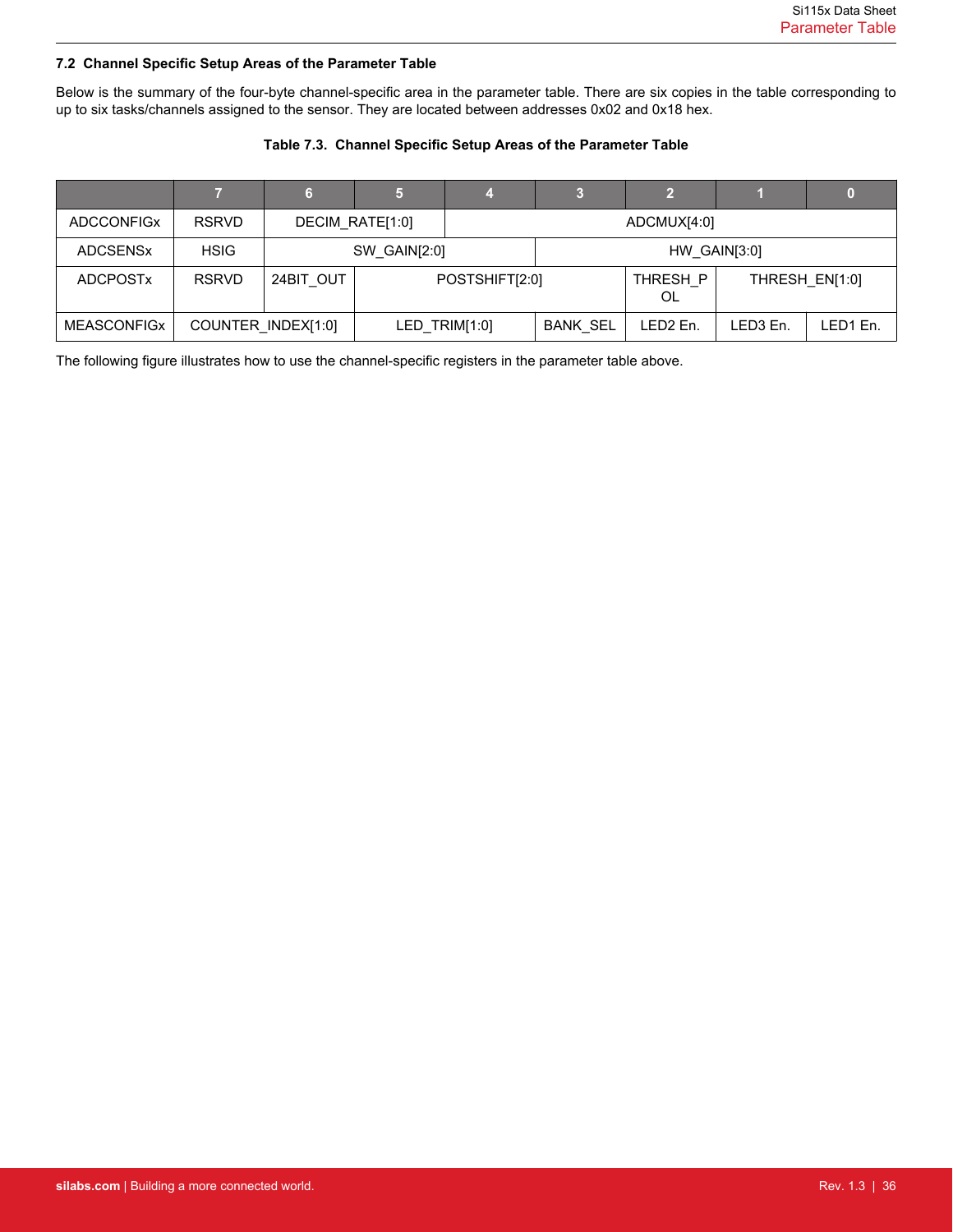### <span id="page-35-0"></span>**7.2 Channel Specific Setup Areas of the Parameter Table**

Below is the summary of the four-byte channel-specific area in the parameter table. There are six copies in the table corresponding to up to six tasks/channels assigned to the sensor. They are located between addresses 0x02 and 0x18 hex.

# **Table 7.3. Channel Specific Setup Areas of the Parameter Table**

|                    |              | 6                  | 15,             |             | 3               | 12                   |                      |          |
|--------------------|--------------|--------------------|-----------------|-------------|-----------------|----------------------|----------------------|----------|
| <b>ADCCONFIGX</b>  | <b>RSRVD</b> |                    | DECIM_RATE[1:0] | ADCMUX[4:0] |                 |                      |                      |          |
| <b>ADCSENSX</b>    | <b>HSIG</b>  |                    | SW_GAIN[2:0]    |             | HW GAIN[3:0]    |                      |                      |          |
| <b>ADCPOSTX</b>    | <b>RSRVD</b> | 24BIT OUT          | POSTSHIFT[2:0]  |             | THRESH P<br>OL  |                      | THRESH EN[1:0]       |          |
| <b>MEASCONFIGX</b> |              | COUNTER INDEX[1:0] | LED_TRIM[1:0]   |             | <b>BANK SEL</b> | LED <sub>2</sub> En. | LED <sub>3</sub> En. | LED1 En. |

The following figure illustrates how to use the channel-specific registers in the parameter table above.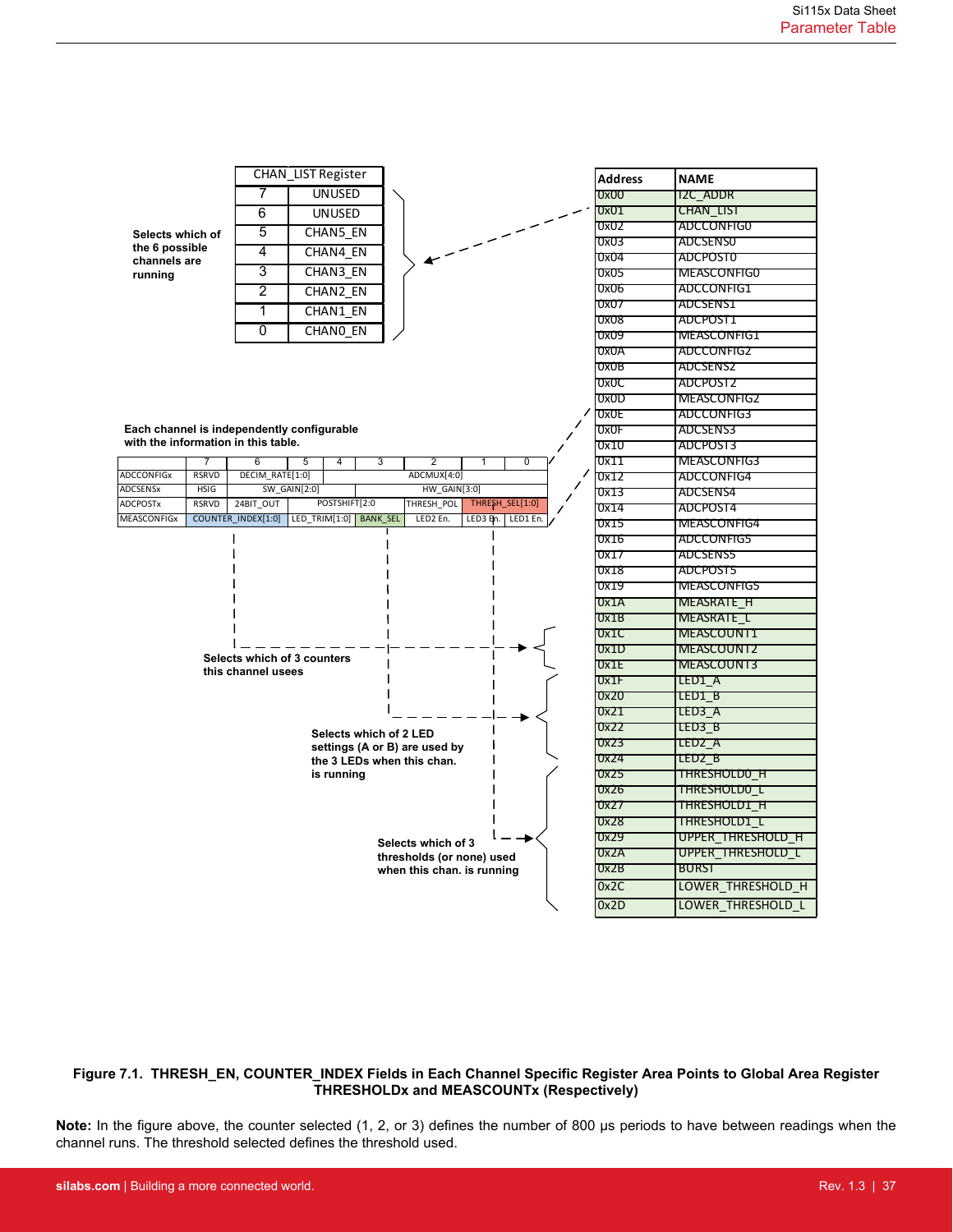

### **Figure 7.1. THRESH\_EN, COUNTER\_INDEX Fields in Each Channel Specific Register Area Points to Global Area Register THRESHOLDx and MEASCOUNTx (Respectively)**

**Note:** In the figure above, the counter selected (1, 2, or 3) defines the number of 800 µs periods to have between readings when the channel runs. The threshold selected defines the threshold used.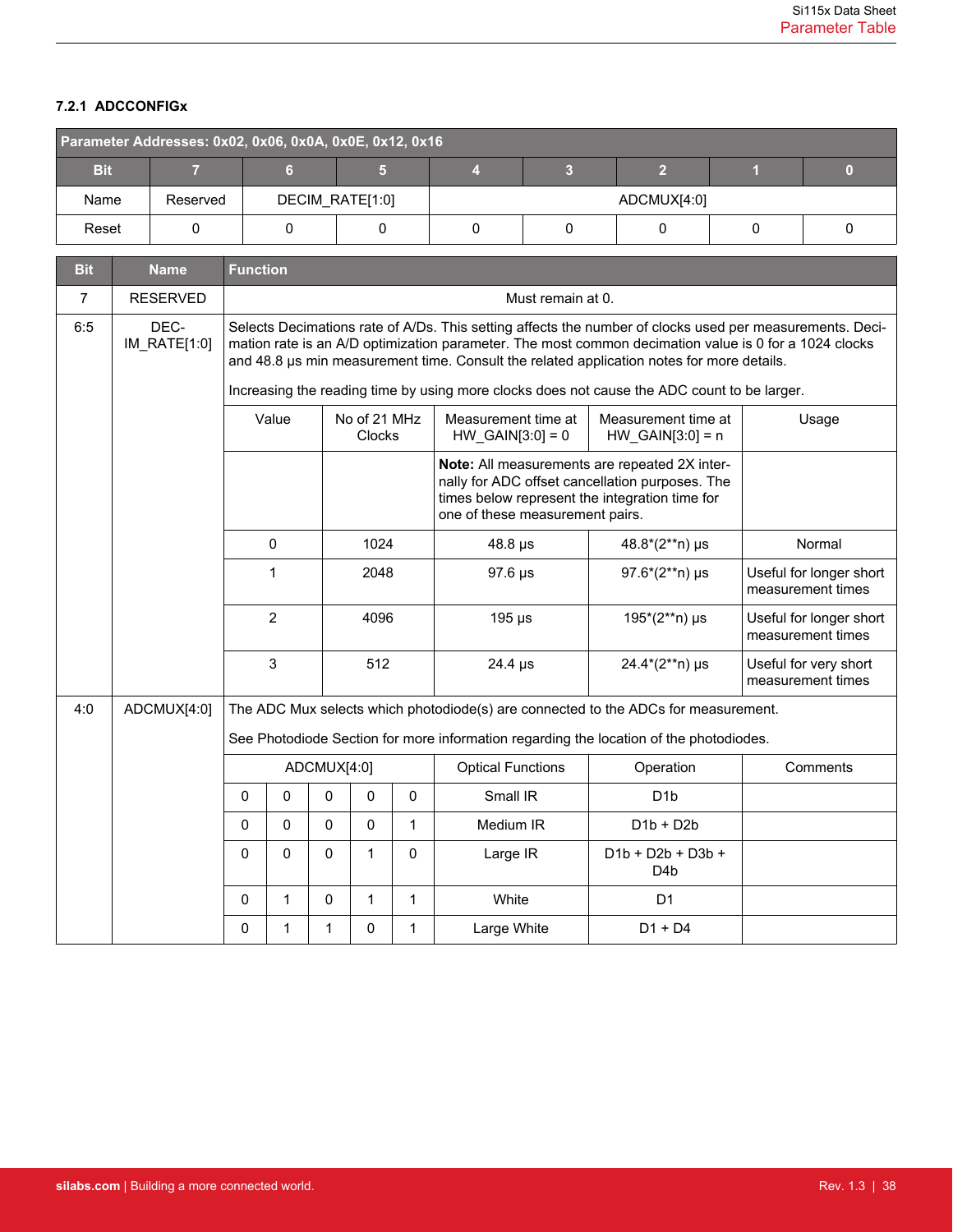# <span id="page-37-0"></span>**7.2.1 ADCCONFIGx**

| Parameter Addresses: 0x02, 0x06, 0x0A, 0x0E, 0x12, 0x16 |          |                 |  |  |  |             |  |  |  |  |
|---------------------------------------------------------|----------|-----------------|--|--|--|-------------|--|--|--|--|
| <b>Bit</b>                                              |          |                 |  |  |  |             |  |  |  |  |
| Name                                                    | Reserved | DECIM_RATE[1:0] |  |  |  | ADCMUX[4:0] |  |  |  |  |
| Reset                                                   |          |                 |  |  |  |             |  |  |  |  |

| <b>Bit</b>     | <b>Name</b>          | <b>Function</b> |              |              |                        |              |                                                                                                                                                                                                                                                                                                                                                                                                               |                                           |                                              |
|----------------|----------------------|-----------------|--------------|--------------|------------------------|--------------|---------------------------------------------------------------------------------------------------------------------------------------------------------------------------------------------------------------------------------------------------------------------------------------------------------------------------------------------------------------------------------------------------------------|-------------------------------------------|----------------------------------------------|
| $\overline{7}$ | <b>RESERVED</b>      |                 |              |              |                        |              | Must remain at 0.                                                                                                                                                                                                                                                                                                                                                                                             |                                           |                                              |
| 6:5            | DEC-<br>IM_RATE[1:0] |                 |              |              |                        |              | Selects Decimations rate of A/Ds. This setting affects the number of clocks used per measurements. Deci-<br>mation rate is an A/D optimization parameter. The most common decimation value is 0 for a 1024 clocks<br>and 48.8 us min measurement time. Consult the related application notes for more details.<br>Increasing the reading time by using more clocks does not cause the ADC count to be larger. |                                           |                                              |
|                |                      |                 | Value        |              | No of 21 MHz<br>Clocks |              | Measurement time at<br>$HW_GAIN[3:0] = 0$                                                                                                                                                                                                                                                                                                                                                                     | Measurement time at<br>$HW_GAIN[3:0] = n$ | Usage                                        |
|                |                      |                 |              |              |                        |              |                                                                                                                                                                                                                                                                                                                                                                                                               |                                           |                                              |
|                |                      |                 | $\mathbf 0$  |              | 1024                   |              | $48.8 \,\mu s$                                                                                                                                                                                                                                                                                                                                                                                                | $48.8*(2**n)$ µs                          | Normal                                       |
|                |                      |                 | 1            |              | 2048                   |              | 97.6 µs                                                                                                                                                                                                                                                                                                                                                                                                       | $97.6*(2**n)$ µs                          |                                              |
|                |                      |                 | 2            |              | 4096                   |              | $195 \,\mathrm{\mu s}$                                                                                                                                                                                                                                                                                                                                                                                        | 195*(2**n) µs                             | Useful for longer short<br>measurement times |
|                |                      |                 | 3            |              | 512                    |              | $24.4 \,\mu s$                                                                                                                                                                                                                                                                                                                                                                                                | 24.4*(2**n) µs                            | Useful for very short<br>measurement times   |
| 4:0            | ADCMUX[4:0]          |                 |              |              |                        |              | The ADC Mux selects which photodiode(s) are connected to the ADCs for measurement.                                                                                                                                                                                                                                                                                                                            |                                           |                                              |
|                |                      |                 |              |              |                        |              | See Photodiode Section for more information regarding the location of the photodiodes.                                                                                                                                                                                                                                                                                                                        |                                           |                                              |
|                |                      |                 |              | ADCMUX[4:0]  |                        |              | <b>Optical Functions</b>                                                                                                                                                                                                                                                                                                                                                                                      | Operation                                 | Comments                                     |
|                |                      | $\Omega$        | $\mathbf{0}$ | $\Omega$     | 0                      | $\mathbf{0}$ | Small IR                                                                                                                                                                                                                                                                                                                                                                                                      | D <sub>1</sub> b                          |                                              |
|                |                      | $\Omega$        | 0            | $\mathbf{0}$ | 0                      | 1            | Medium IR                                                                                                                                                                                                                                                                                                                                                                                                     | $D1b + D2b$                               |                                              |
|                |                      | $\Omega$        | $\mathbf 0$  | $\mathbf{0}$ | $\mathbf{1}$           | $\Omega$     | Large IR                                                                                                                                                                                                                                                                                                                                                                                                      | $D1b + D2b + D3b +$<br>D <sub>4</sub> b   |                                              |
|                |                      | $\Omega$        | 1            | $\Omega$     | 1                      | 1            | White                                                                                                                                                                                                                                                                                                                                                                                                         | D <sub>1</sub>                            |                                              |
|                |                      | 0               | 1            | 1            | 0                      | 1            | Large White                                                                                                                                                                                                                                                                                                                                                                                                   | $D1 + D4$                                 |                                              |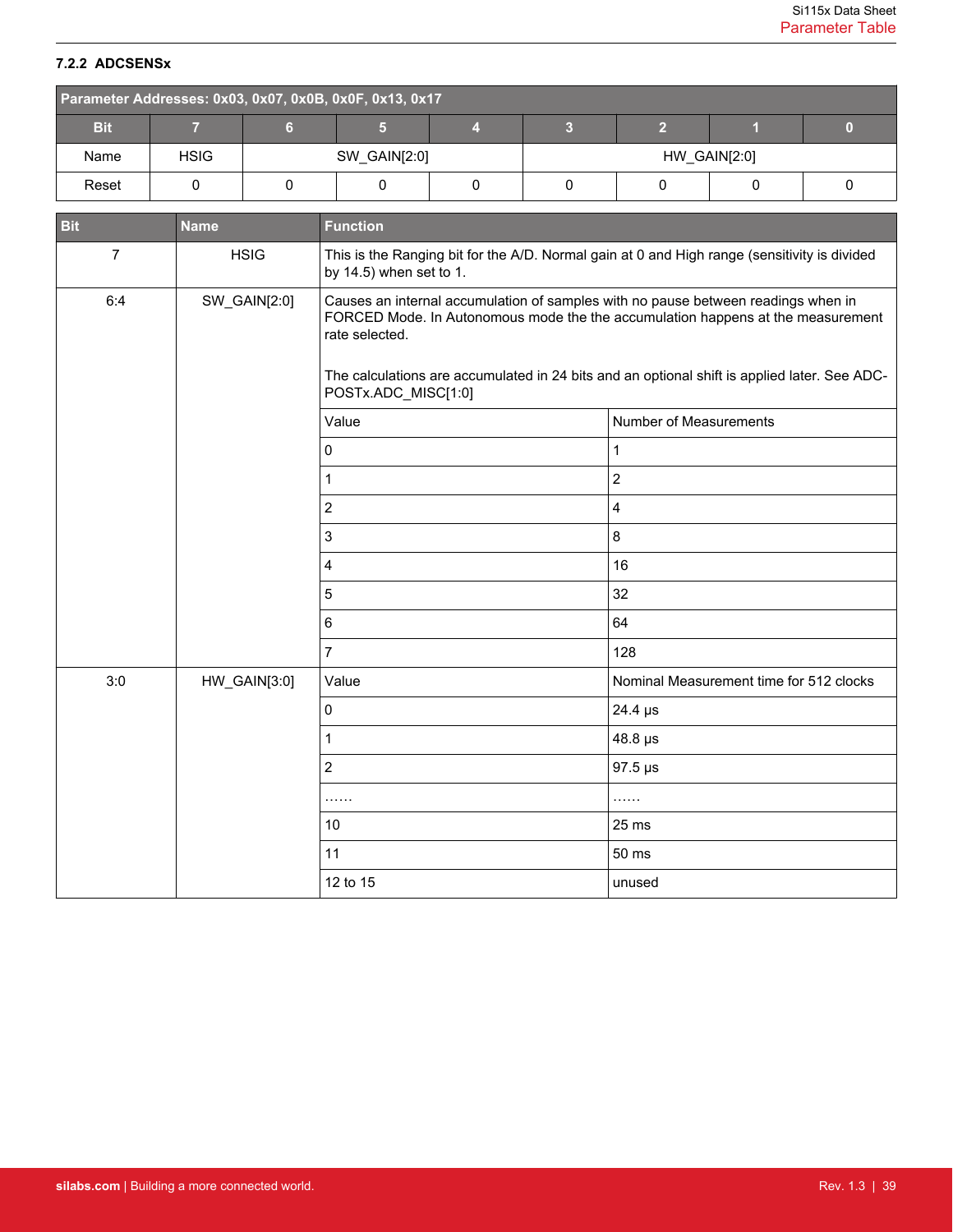# <span id="page-38-0"></span>**7.2.2 ADCSENSx**

|            | Parameter Addresses: 0x03, 0x07, 0x0B, 0x0F, 0x13, 0x17 |  |              |  |              |  |  |  |  |  |  |
|------------|---------------------------------------------------------|--|--------------|--|--------------|--|--|--|--|--|--|
| <b>Bit</b> |                                                         |  |              |  |              |  |  |  |  |  |  |
| Name       | <b>HSIG</b>                                             |  | SW_GAIN[2:0] |  | HW_GAIN[2:0] |  |  |  |  |  |  |
| Reset      |                                                         |  |              |  |              |  |  |  |  |  |  |

| <b>Bit</b>     | <b>Name</b>  | <b>Function</b>                                                                                                                                                                                                                                                                                               |                                         |  |  |  |  |  |
|----------------|--------------|---------------------------------------------------------------------------------------------------------------------------------------------------------------------------------------------------------------------------------------------------------------------------------------------------------------|-----------------------------------------|--|--|--|--|--|
| $\overline{7}$ | <b>HSIG</b>  | This is the Ranging bit for the A/D. Normal gain at 0 and High range (sensitivity is divided<br>by 14.5) when set to 1.                                                                                                                                                                                       |                                         |  |  |  |  |  |
| 6:4            | SW_GAIN[2:0] | Causes an internal accumulation of samples with no pause between readings when in<br>FORCED Mode. In Autonomous mode the the accumulation happens at the measurement<br>rate selected.<br>The calculations are accumulated in 24 bits and an optional shift is applied later. See ADC-<br>POSTx.ADC_MISC[1:0] |                                         |  |  |  |  |  |
|                |              | Value                                                                                                                                                                                                                                                                                                         | Number of Measurements                  |  |  |  |  |  |
|                |              | 0                                                                                                                                                                                                                                                                                                             | 1                                       |  |  |  |  |  |
|                |              | 1                                                                                                                                                                                                                                                                                                             | $\sqrt{2}$                              |  |  |  |  |  |
|                |              | $\overline{2}$                                                                                                                                                                                                                                                                                                | $\overline{\mathbf{4}}$                 |  |  |  |  |  |
|                |              | $\mathsf 3$                                                                                                                                                                                                                                                                                                   | $\,8\,$                                 |  |  |  |  |  |
|                |              | 4                                                                                                                                                                                                                                                                                                             | 16                                      |  |  |  |  |  |
|                |              | 5                                                                                                                                                                                                                                                                                                             | 32                                      |  |  |  |  |  |
|                |              | 6                                                                                                                                                                                                                                                                                                             | 64                                      |  |  |  |  |  |
|                |              | $\overline{7}$                                                                                                                                                                                                                                                                                                | 128                                     |  |  |  |  |  |
| 3:0            | HW_GAIN[3:0] | Value                                                                                                                                                                                                                                                                                                         | Nominal Measurement time for 512 clocks |  |  |  |  |  |
|                |              | $\mathbf 0$                                                                                                                                                                                                                                                                                                   | 24.4 µs                                 |  |  |  |  |  |
|                |              | 1                                                                                                                                                                                                                                                                                                             | 48.8 µs                                 |  |  |  |  |  |
|                |              | $\overline{2}$                                                                                                                                                                                                                                                                                                | $97.5 \,\mu s$                          |  |  |  |  |  |
|                |              | .                                                                                                                                                                                                                                                                                                             | .                                       |  |  |  |  |  |
|                |              | 10                                                                                                                                                                                                                                                                                                            | 25 ms                                   |  |  |  |  |  |
|                |              | 11                                                                                                                                                                                                                                                                                                            | 50 ms                                   |  |  |  |  |  |
|                |              | 12 to 15                                                                                                                                                                                                                                                                                                      | unused                                  |  |  |  |  |  |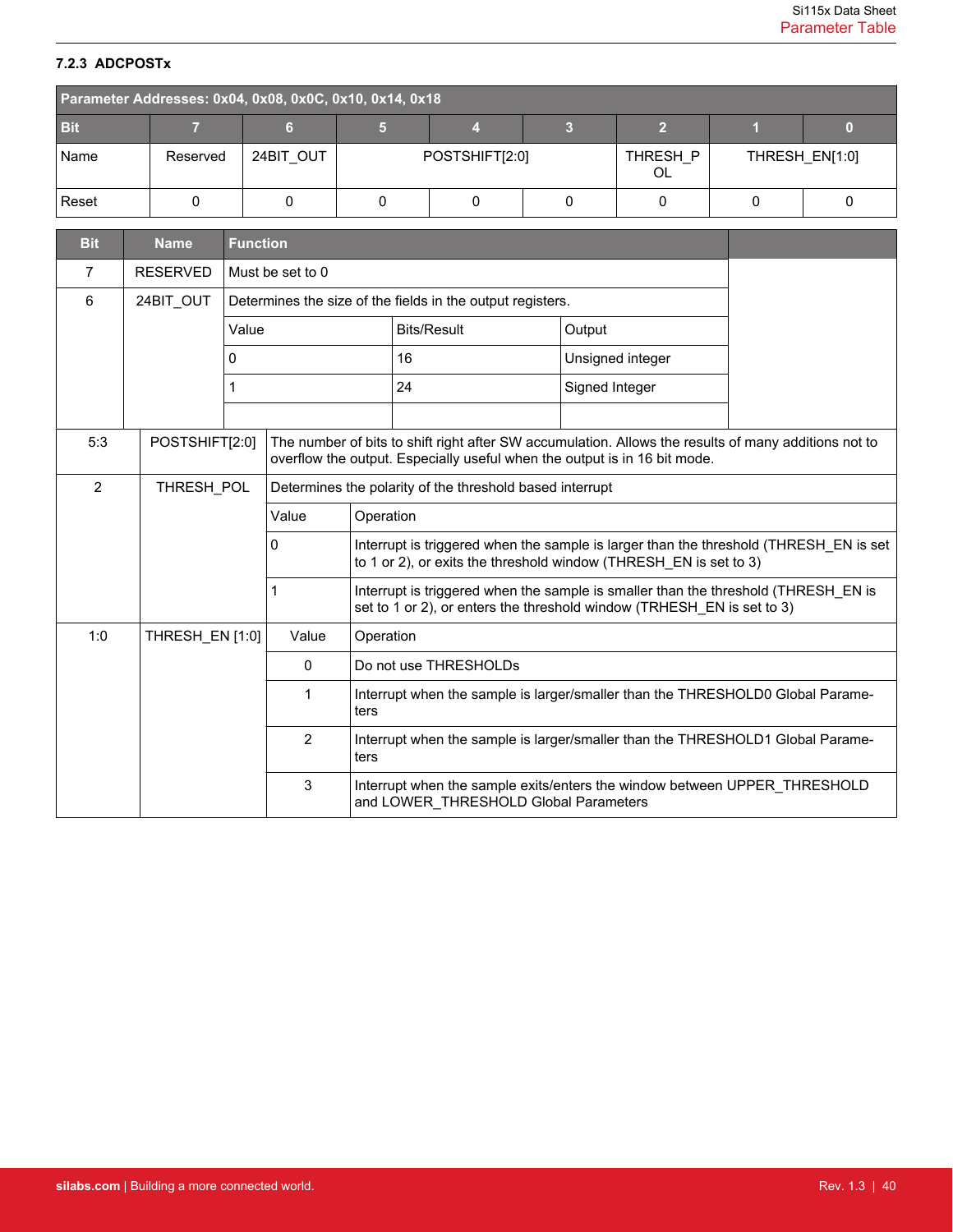# <span id="page-39-0"></span>**7.2.3 ADCPOSTx**

| Parameter Addresses: 0x04, 0x08, 0x0C, 0x10, 0x14, 0x18 |          |           |  |                |  |                |  |                |  |  |
|---------------------------------------------------------|----------|-----------|--|----------------|--|----------------|--|----------------|--|--|
| <b>Bit</b>                                              |          |           |  |                |  |                |  |                |  |  |
| Name                                                    | Reserved | 24BIT OUT |  | POSTSHIFT[2:0] |  | THRESH P<br>OL |  | THRESH EN[1:0] |  |  |
| Reset                                                   |          |           |  |                |  |                |  |                |  |  |

| <b>Bit</b>     | <b>Name</b>     | <b>Function</b>                                                                                                                                                                                     |                                                          |                                                                                                                                                            |                                                            |  |                                                                                                                                                              |  |
|----------------|-----------------|-----------------------------------------------------------------------------------------------------------------------------------------------------------------------------------------------------|----------------------------------------------------------|------------------------------------------------------------------------------------------------------------------------------------------------------------|------------------------------------------------------------|--|--------------------------------------------------------------------------------------------------------------------------------------------------------------|--|
| 7              | <b>RESERVED</b> |                                                                                                                                                                                                     | Must be set to 0                                         |                                                                                                                                                            |                                                            |  |                                                                                                                                                              |  |
| 6              | 24BIT OUT       |                                                                                                                                                                                                     |                                                          |                                                                                                                                                            | Determines the size of the fields in the output registers. |  |                                                                                                                                                              |  |
|                |                 | Value                                                                                                                                                                                               |                                                          |                                                                                                                                                            | <b>Bits/Result</b>                                         |  | Output                                                                                                                                                       |  |
|                |                 | 0                                                                                                                                                                                                   |                                                          |                                                                                                                                                            | 16                                                         |  | Unsigned integer                                                                                                                                             |  |
|                |                 | 1                                                                                                                                                                                                   |                                                          |                                                                                                                                                            | 24                                                         |  | Signed Integer                                                                                                                                               |  |
|                |                 |                                                                                                                                                                                                     |                                                          |                                                                                                                                                            |                                                            |  |                                                                                                                                                              |  |
| 5:3            |                 | POSTSHIFT[2:0]<br>The number of bits to shift right after SW accumulation. Allows the results of many additions not to<br>overflow the output. Especially useful when the output is in 16 bit mode. |                                                          |                                                                                                                                                            |                                                            |  |                                                                                                                                                              |  |
| $\overline{2}$ | THRESH POL      |                                                                                                                                                                                                     | Determines the polarity of the threshold based interrupt |                                                                                                                                                            |                                                            |  |                                                                                                                                                              |  |
|                |                 | Value                                                                                                                                                                                               |                                                          |                                                                                                                                                            | Operation                                                  |  |                                                                                                                                                              |  |
|                |                 |                                                                                                                                                                                                     | 0                                                        | Interrupt is triggered when the sample is larger than the threshold (THRESH EN is set<br>to 1 or 2), or exits the threshold window (THRESH EN is set to 3) |                                                            |  |                                                                                                                                                              |  |
|                |                 |                                                                                                                                                                                                     | 1                                                        |                                                                                                                                                            |                                                            |  | Interrupt is triggered when the sample is smaller than the threshold (THRESH EN is<br>set to 1 or 2), or enters the threshold window (TRHESH EN is set to 3) |  |
| 1:0            | THRESH EN [1:0] |                                                                                                                                                                                                     | Value                                                    | Operation                                                                                                                                                  |                                                            |  |                                                                                                                                                              |  |
|                |                 |                                                                                                                                                                                                     | 0                                                        |                                                                                                                                                            | Do not use THRESHOLDs                                      |  |                                                                                                                                                              |  |
|                |                 |                                                                                                                                                                                                     | 1                                                        | ters                                                                                                                                                       |                                                            |  | Interrupt when the sample is larger/smaller than the THRESHOLD0 Global Parame-                                                                               |  |
|                |                 |                                                                                                                                                                                                     | $\overline{2}$                                           | ters                                                                                                                                                       |                                                            |  | Interrupt when the sample is larger/smaller than the THRESHOLD1 Global Parame-                                                                               |  |
|                |                 |                                                                                                                                                                                                     | 3                                                        |                                                                                                                                                            | and LOWER THRESHOLD Global Parameters                      |  | Interrupt when the sample exits/enters the window between UPPER_THRESHOLD                                                                                    |  |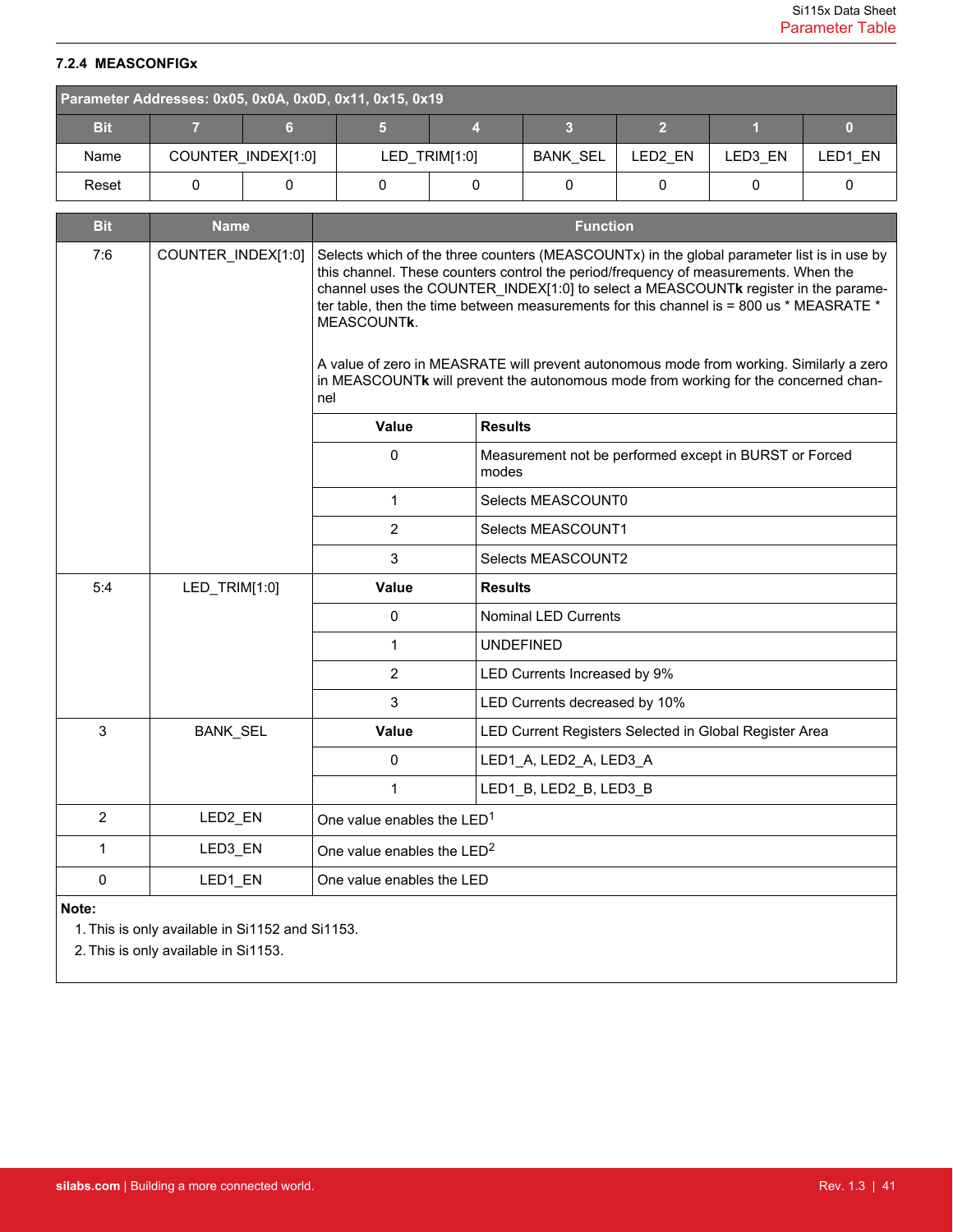# <span id="page-40-0"></span>**7.2.4 MEASCONFIGx**

| Parameter Addresses: 0x05, 0x0A, 0x0D, 0x11, 0x15, 0x19 |  |                    |  |                 |  |         |         |         |  |  |
|---------------------------------------------------------|--|--------------------|--|-----------------|--|---------|---------|---------|--|--|
| <b>Bit</b>                                              |  |                    |  |                 |  |         |         |         |  |  |
| Name                                                    |  | COUNTER INDEX[1:0] |  | $LED$ TRIM[1:0] |  | LED2 EN | LED3 EN | LED1 EN |  |  |
| Reset                                                   |  |                    |  |                 |  |         |         |         |  |  |

| <b>Bit</b>     | <b>Name</b>        |                                        | <b>Function</b>                                                                                                                                                                                                                                                                                                                                                                                                                                                                                                                                      |  |  |  |  |  |
|----------------|--------------------|----------------------------------------|------------------------------------------------------------------------------------------------------------------------------------------------------------------------------------------------------------------------------------------------------------------------------------------------------------------------------------------------------------------------------------------------------------------------------------------------------------------------------------------------------------------------------------------------------|--|--|--|--|--|
| 7:6            | COUNTER_INDEX[1:0] | MEASCOUNTK.<br>nel                     | Selects which of the three counters (MEASCOUNTx) in the global parameter list is in use by<br>this channel. These counters control the period/frequency of measurements. When the<br>channel uses the COUNTER_INDEX[1:0] to select a MEASCOUNTk register in the parame-<br>ter table, then the time between measurements for this channel is = 800 us * MEASRATE *<br>A value of zero in MEASRATE will prevent autonomous mode from working. Similarly a zero<br>in MEASCOUNTk will prevent the autonomous mode from working for the concerned chan- |  |  |  |  |  |
|                |                    | Value                                  | <b>Results</b>                                                                                                                                                                                                                                                                                                                                                                                                                                                                                                                                       |  |  |  |  |  |
|                |                    | 0                                      | Measurement not be performed except in BURST or Forced<br>modes                                                                                                                                                                                                                                                                                                                                                                                                                                                                                      |  |  |  |  |  |
|                |                    | $\mathbf 1$                            | Selects MEASCOUNT0                                                                                                                                                                                                                                                                                                                                                                                                                                                                                                                                   |  |  |  |  |  |
|                |                    | $\overline{2}$                         | Selects MEASCOUNT1                                                                                                                                                                                                                                                                                                                                                                                                                                                                                                                                   |  |  |  |  |  |
|                |                    | 3                                      | Selects MEASCOUNT2                                                                                                                                                                                                                                                                                                                                                                                                                                                                                                                                   |  |  |  |  |  |
| 5:4            | LED_TRIM[1:0]      | Value                                  | <b>Results</b>                                                                                                                                                                                                                                                                                                                                                                                                                                                                                                                                       |  |  |  |  |  |
|                |                    | 0                                      | <b>Nominal LED Currents</b>                                                                                                                                                                                                                                                                                                                                                                                                                                                                                                                          |  |  |  |  |  |
|                |                    | 1                                      | <b>UNDEFINED</b>                                                                                                                                                                                                                                                                                                                                                                                                                                                                                                                                     |  |  |  |  |  |
|                |                    | 2                                      | LED Currents Increased by 9%                                                                                                                                                                                                                                                                                                                                                                                                                                                                                                                         |  |  |  |  |  |
|                |                    | 3                                      | LED Currents decreased by 10%                                                                                                                                                                                                                                                                                                                                                                                                                                                                                                                        |  |  |  |  |  |
| 3              | <b>BANK_SEL</b>    | <b>Value</b>                           | LED Current Registers Selected in Global Register Area                                                                                                                                                                                                                                                                                                                                                                                                                                                                                               |  |  |  |  |  |
|                |                    | 0                                      | LED1_A, LED2_A, LED3_A                                                                                                                                                                                                                                                                                                                                                                                                                                                                                                                               |  |  |  |  |  |
|                |                    | 1                                      | LED1_B, LED2_B, LED3_B                                                                                                                                                                                                                                                                                                                                                                                                                                                                                                                               |  |  |  |  |  |
| $\overline{2}$ | LED2_EN            | One value enables the LED <sup>1</sup> |                                                                                                                                                                                                                                                                                                                                                                                                                                                                                                                                                      |  |  |  |  |  |
| 1              | LED3_EN            | One value enables the LED <sup>2</sup> |                                                                                                                                                                                                                                                                                                                                                                                                                                                                                                                                                      |  |  |  |  |  |
| 0              | LED1 EN            | One value enables the LED              |                                                                                                                                                                                                                                                                                                                                                                                                                                                                                                                                                      |  |  |  |  |  |
| Note:          |                    |                                        |                                                                                                                                                                                                                                                                                                                                                                                                                                                                                                                                                      |  |  |  |  |  |

1. This is only available in Si1152 and Si1153.

2. This is only available in Si1153.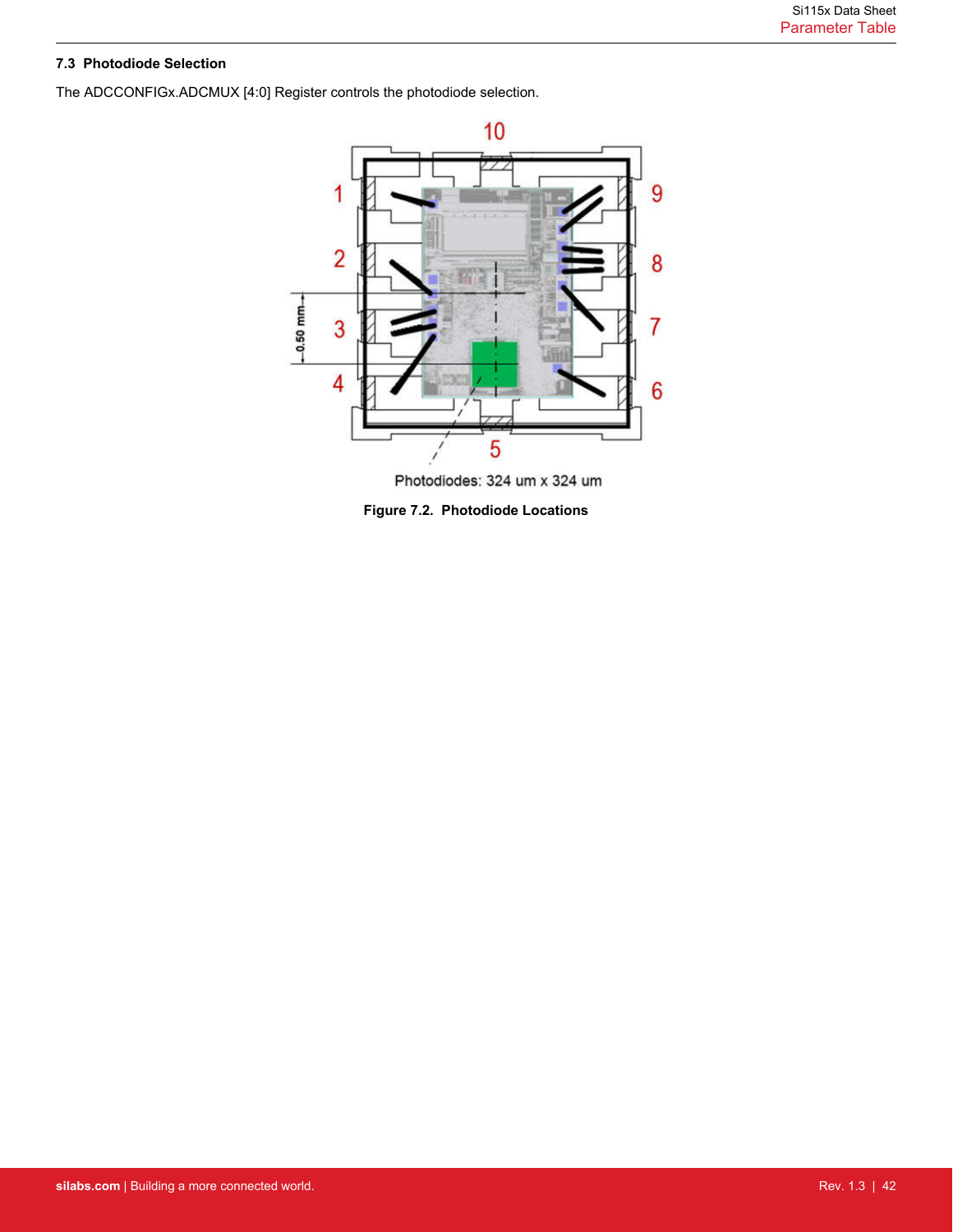# <span id="page-41-0"></span>**7.3 Photodiode Selection**

The ADCCONFIGx.ADCMUX [4:0] Register controls the photodiode selection.



Photodiodes: 324 um x 324 um

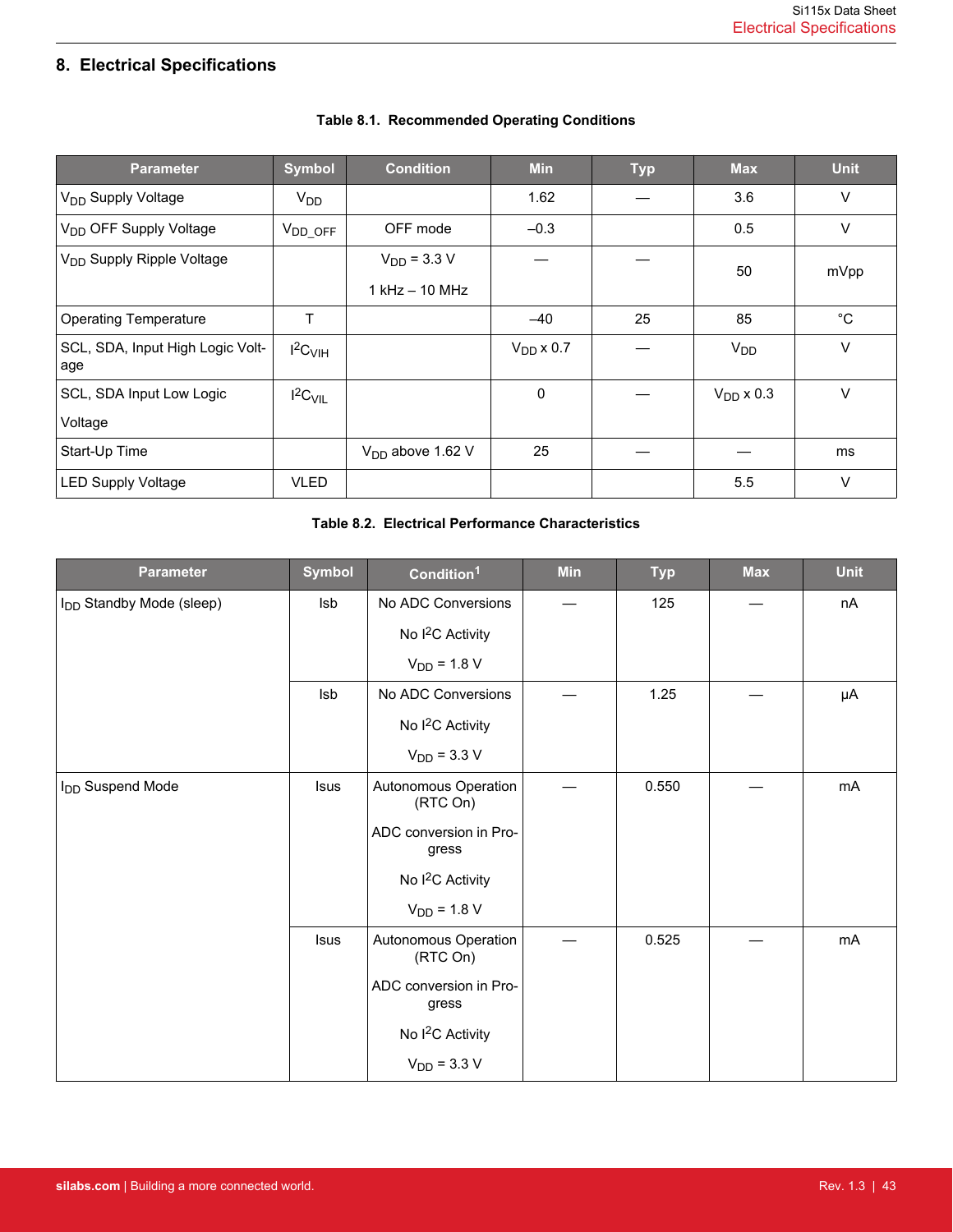# <span id="page-42-0"></span>**8. Electrical Specifications**

| <b>Parameter</b>                        | <b>Symbol</b>         | <b>Condition</b>   | <b>Min</b>     | <b>Typ</b> | <b>Max</b>     | <b>Unit</b>  |
|-----------------------------------------|-----------------------|--------------------|----------------|------------|----------------|--------------|
| V <sub>DD</sub> Supply Voltage          | V <sub>DD</sub>       |                    | 1.62           |            | 3.6            | $\vee$       |
| V <sub>DD</sub> OFF Supply Voltage      | $V_{DD\_OFF}$         | OFF mode           | $-0.3$         |            | 0.5            | $\vee$       |
| V <sub>DD</sub> Supply Ripple Voltage   |                       | $V_{DD}$ = 3.3 V   |                |            | 50             | mVpp         |
|                                         |                       | $1$ kHz $-$ 10 MHz |                |            |                |              |
| <b>Operating Temperature</b>            | Τ                     |                    | $-40$          | 25         | 85             | $^{\circ}$ C |
| SCL, SDA, Input High Logic Volt-<br>age | $I^2C$ <sub>VIH</sub> |                    | $V_{DD}$ x 0.7 |            | $V_{DD}$       | $\vee$       |
| SCL, SDA Input Low Logic                | $I^2C_{VIL}$          |                    | 0              |            | $V_{DD}$ x 0.3 | $\vee$       |
| Voltage                                 |                       |                    |                |            |                |              |
| Start-Up Time                           |                       | $VDD$ above 1.62 V | 25             |            |                | ms           |
| <b>LED Supply Voltage</b>               | <b>VLED</b>           |                    |                |            | 5.5            | $\vee$       |

# **Table 8.1. Recommended Operating Conditions**

# **Table 8.2. Electrical Performance Characteristics**

| <b>Parameter</b>                     | <b>Symbol</b> | Condition <sup>1</sup>           | <b>Min</b> | <b>Typ</b> | <b>Max</b> | <b>Unit</b> |
|--------------------------------------|---------------|----------------------------------|------------|------------|------------|-------------|
| I <sub>DD</sub> Standby Mode (sleep) | Isb           | No ADC Conversions               |            | 125        |            | nA          |
|                                      |               | No I <sup>2</sup> C Activity     |            |            |            |             |
|                                      |               | $V_{DD}$ = 1.8 V                 |            |            |            |             |
|                                      | Isb           | No ADC Conversions               |            | 1.25       |            | μA          |
|                                      |               | No I <sup>2</sup> C Activity     |            |            |            |             |
|                                      |               | $V_{DD}$ = 3.3 V                 |            |            |            |             |
| I <sub>DD</sub> Suspend Mode         | <b>Isus</b>   | Autonomous Operation<br>(RTC On) |            | 0.550      |            | mA          |
|                                      |               | ADC conversion in Pro-<br>gress  |            |            |            |             |
|                                      |               | No I <sup>2</sup> C Activity     |            |            |            |             |
|                                      |               | $V_{DD} = 1.8 V$                 |            |            |            |             |
|                                      | <b>Isus</b>   | Autonomous Operation<br>(RTC On) |            | 0.525      |            | mA          |
|                                      |               | ADC conversion in Pro-<br>gress  |            |            |            |             |
|                                      |               | No I <sup>2</sup> C Activity     |            |            |            |             |
|                                      |               | $V_{DD}$ = 3.3 V                 |            |            |            |             |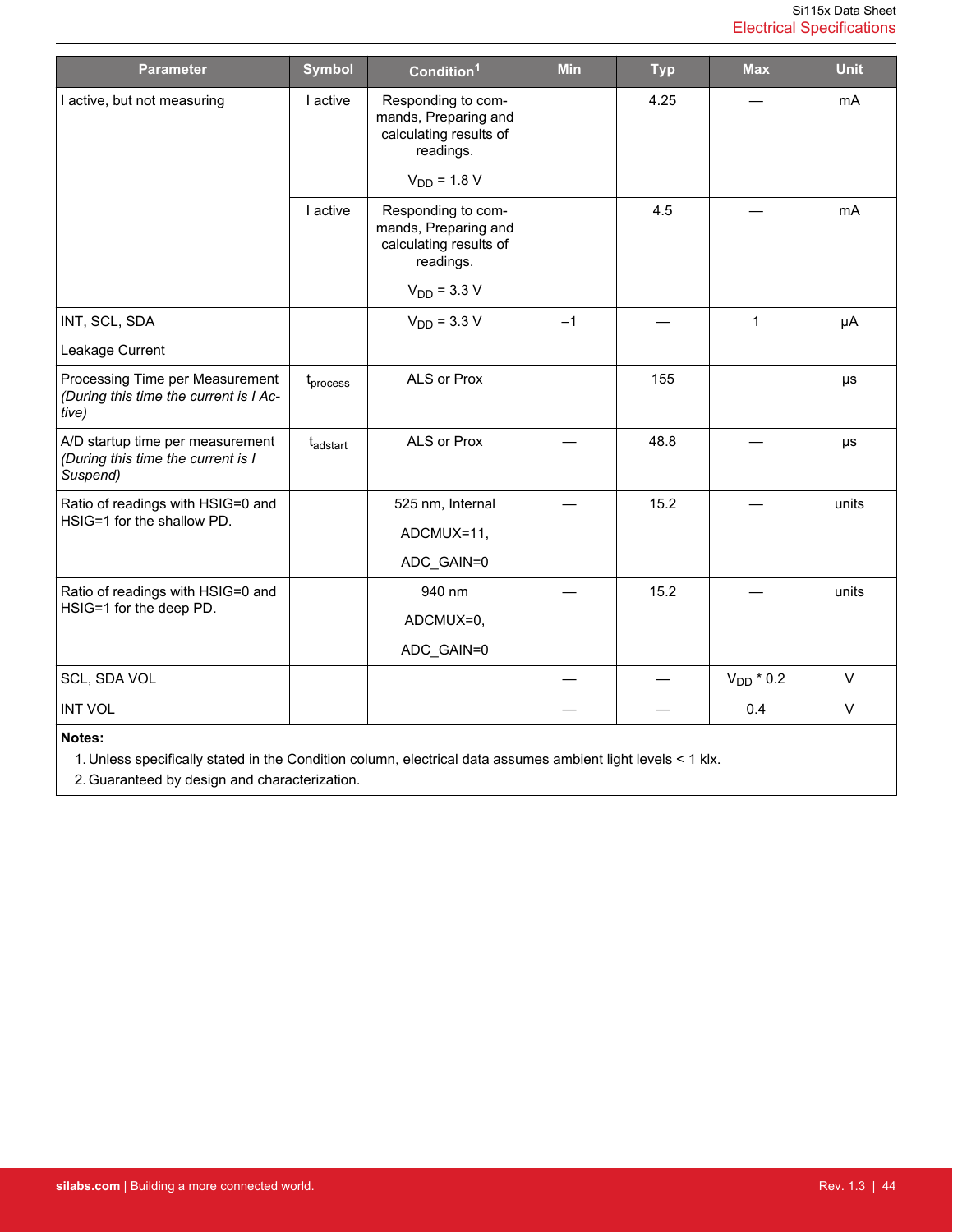<span id="page-43-0"></span>

| <b>Parameter</b>                                                                   | <b>Symbol</b>        | Condition <sup>1</sup>                                                            | <b>Min</b> | <b>Typ</b> | <b>Max</b>     | <b>Unit</b> |
|------------------------------------------------------------------------------------|----------------------|-----------------------------------------------------------------------------------|------------|------------|----------------|-------------|
| I active, but not measuring                                                        | I active             | Responding to com-<br>mands, Preparing and<br>calculating results of<br>readings. |            | 4.25       |                | mA          |
|                                                                                    |                      | $V_{DD}$ = 1.8 V                                                                  |            |            |                |             |
|                                                                                    | I active             | Responding to com-<br>mands, Preparing and<br>calculating results of<br>readings. |            | 4.5        |                | mA          |
|                                                                                    |                      | $V_{DD}$ = 3.3 V                                                                  |            |            |                |             |
| INT, SCL, SDA                                                                      |                      | $V_{DD}$ = 3.3 V                                                                  | $-1$       |            | $\mathbf{1}$   | μA          |
| Leakage Current                                                                    |                      |                                                                                   |            |            |                |             |
| Processing Time per Measurement<br>(During this time the current is I Ac-<br>tive) | t <sub>process</sub> | ALS or Prox                                                                       |            | 155        |                | $\mu s$     |
| A/D startup time per measurement<br>(During this time the current is I<br>Suspend) | tadstart             | ALS or Prox                                                                       |            | 48.8       |                | μs          |
| Ratio of readings with HSIG=0 and                                                  |                      | 525 nm, Internal                                                                  |            | 15.2       |                | units       |
| HSIG=1 for the shallow PD.                                                         |                      | ADCMUX=11,                                                                        |            |            |                |             |
|                                                                                    |                      | ADC_GAIN=0                                                                        |            |            |                |             |
| Ratio of readings with HSIG=0 and                                                  |                      | 940 nm                                                                            |            | 15.2       |                | units       |
| HSIG=1 for the deep PD.                                                            |                      | ADCMUX=0,                                                                         |            |            |                |             |
|                                                                                    |                      | ADC_GAIN=0                                                                        |            |            |                |             |
| SCL, SDA VOL                                                                       |                      |                                                                                   |            |            | $V_{DD}$ * 0.2 | $\vee$      |
| <b>INT VOL</b>                                                                     |                      |                                                                                   |            |            | 0.4            | $\vee$      |
| Notes:                                                                             |                      |                                                                                   |            |            |                |             |

1. Unless specifically stated in the Condition column, electrical data assumes ambient light levels < 1 klx.

2. Guaranteed by design and characterization.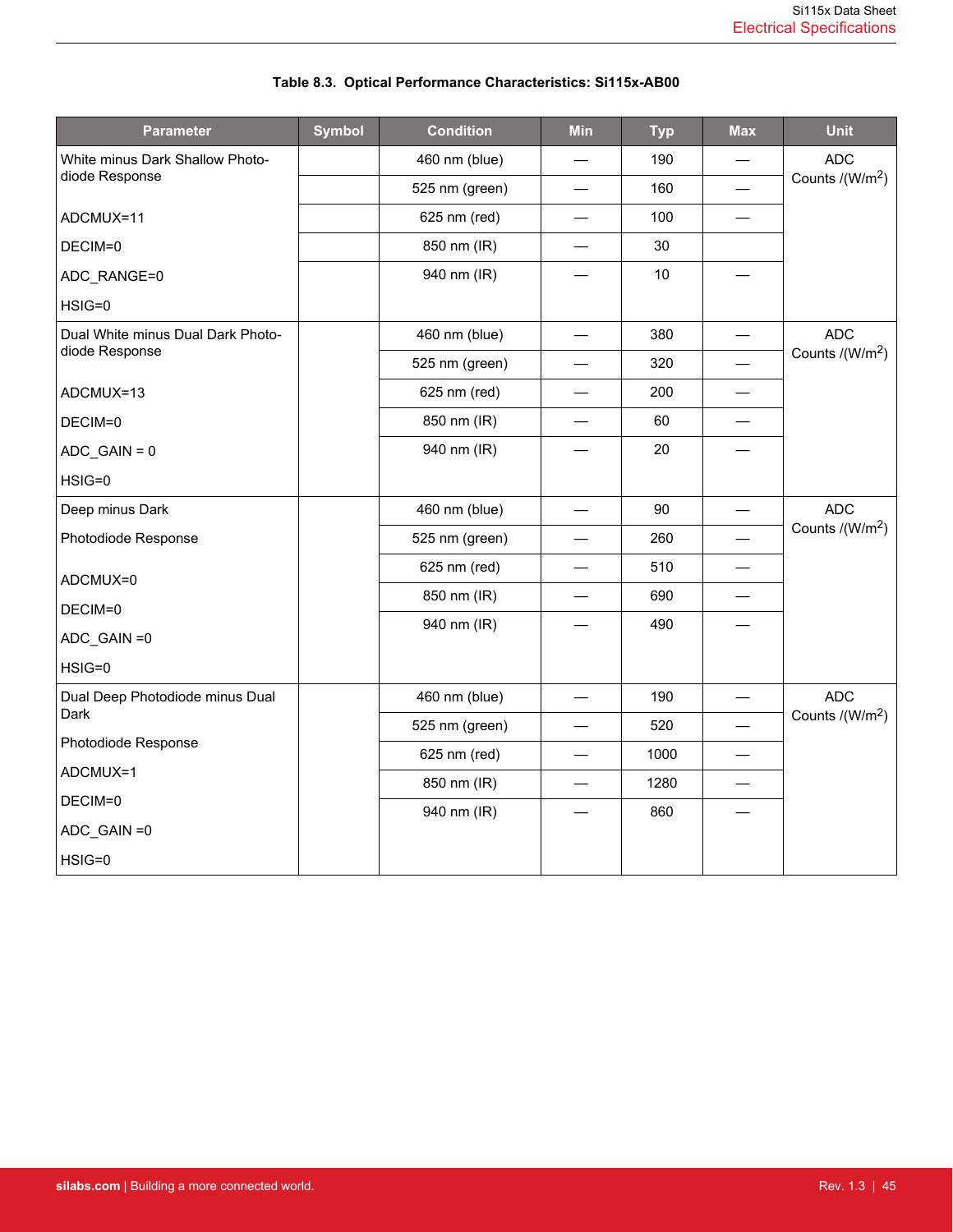| <b>Parameter</b>                        | <b>Symbol</b> | <b>Condition</b> | Min | <b>Typ</b> | <b>Max</b> | <b>Unit</b>                 |
|-----------------------------------------|---------------|------------------|-----|------------|------------|-----------------------------|
| White minus Dark Shallow Photo-         |               | 460 nm (blue)    |     | 190        |            | <b>ADC</b>                  |
| diode Response                          |               | 525 nm (green)   |     | 160        |            | Counts /(W/m <sup>2</sup> ) |
| ADCMUX=11                               |               | 625 nm (red)     |     | 100        |            |                             |
| DECIM=0                                 |               | 850 nm (IR)      |     | $30\,$     |            |                             |
| ADC_RANGE=0                             |               | 940 nm (IR)      |     | 10         |            |                             |
| HSIG=0                                  |               |                  |     |            |            |                             |
| Dual White minus Dual Dark Photo-       |               | 460 nm (blue)    |     | 380        |            | <b>ADC</b>                  |
| diode Response                          |               | 525 nm (green)   |     | 320        |            | Counts /(W/m <sup>2</sup> ) |
| ADCMUX=13                               |               | 625 nm (red)     |     | 200        |            |                             |
| DECIM=0                                 |               | 850 nm (IR)      |     | 60         |            |                             |
| $ADC_GAIN = 0$                          |               | 940 nm (IR)      |     | 20         |            |                             |
| HSIG=0                                  |               |                  |     |            |            |                             |
| Deep minus Dark                         |               | 460 nm (blue)    |     | 90         |            | <b>ADC</b>                  |
| Photodiode Response                     |               | 525 nm (green)   |     | 260        |            | Counts /(W/m <sup>2</sup> ) |
| ADCMUX=0                                |               | 625 nm (red)     |     | 510        |            |                             |
| DECIM=0                                 |               | 850 nm (IR)      |     | 690        |            |                             |
| ADC_GAIN = 0                            |               | 940 nm (IR)      |     | 490        |            |                             |
| HSIG=0                                  |               |                  |     |            |            |                             |
|                                         |               |                  |     | 190        |            | <b>ADC</b>                  |
| Dual Deep Photodiode minus Dual<br>Dark |               | 460 nm (blue)    |     |            |            | Counts /(W/m <sup>2</sup> ) |
| Photodiode Response                     |               | 525 nm (green)   |     | 520        |            |                             |
| ADCMUX=1                                |               | 625 nm (red)     |     | 1000       |            |                             |
| DECIM=0                                 |               | 850 nm (IR)      |     | 1280       |            |                             |
| ADC_GAIN=0                              |               | 940 nm (IR)      |     | 860        |            |                             |
| HSIG=0                                  |               |                  |     |            |            |                             |
|                                         |               |                  |     |            |            |                             |

# **Table 8.3. Optical Performance Characteristics: Si115x-AB00**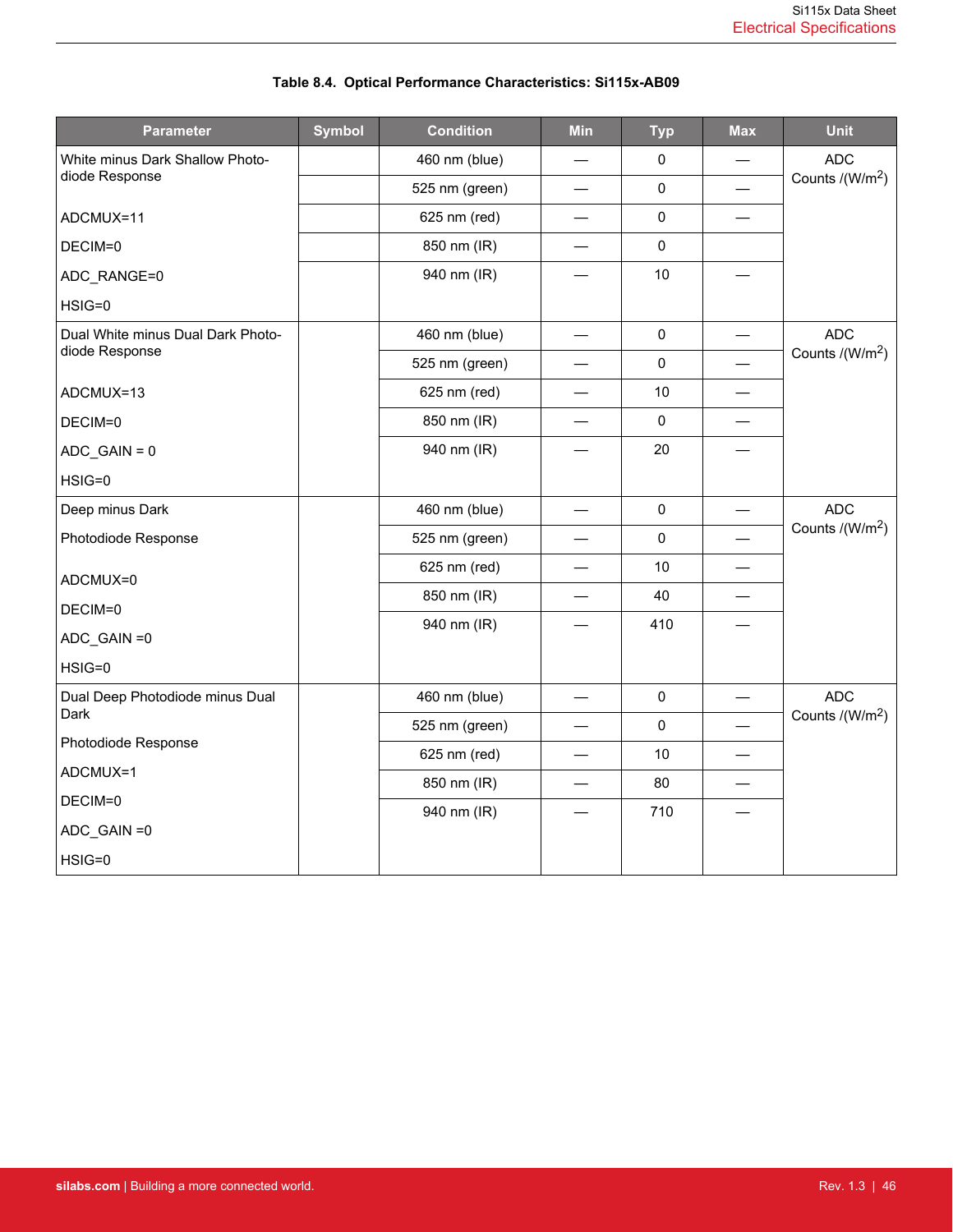| <b>Condition</b> | Min                                                                           | <b>Typ</b>  | <b>Max</b>                                | <b>Unit</b>                 |
|------------------|-------------------------------------------------------------------------------|-------------|-------------------------------------------|-----------------------------|
| 460 nm (blue)    |                                                                               | 0           |                                           | <b>ADC</b>                  |
| 525 nm (green)   |                                                                               | $\mathbf 0$ |                                           | Counts /(W/m <sup>2</sup> ) |
| 625 nm (red)     |                                                                               | $\pmb{0}$   |                                           |                             |
| 850 nm (IR)      |                                                                               | 0           |                                           |                             |
| 940 nm (IR)      |                                                                               | 10          |                                           |                             |
|                  |                                                                               |             |                                           |                             |
| 460 nm (blue)    |                                                                               | $\pmb{0}$   |                                           | <b>ADC</b>                  |
| 525 nm (green)   |                                                                               | $\pmb{0}$   |                                           | Counts /(W/m <sup>2</sup> ) |
| 625 nm (red)     |                                                                               | 10          | $\overline{\phantom{0}}$                  |                             |
| 850 nm (IR)      |                                                                               | $\pmb{0}$   |                                           |                             |
| 940 nm (IR)      |                                                                               | 20          |                                           |                             |
|                  |                                                                               |             |                                           |                             |
| 460 nm (blue)    |                                                                               | $\mathbf 0$ |                                           | <b>ADC</b>                  |
| 525 nm (green)   |                                                                               | $\pmb{0}$   |                                           | Counts /(W/m <sup>2</sup> ) |
| 625 nm (red)     |                                                                               | 10          |                                           |                             |
| 850 nm (IR)      |                                                                               | 40          |                                           |                             |
| 940 nm (IR)      |                                                                               | 410         |                                           |                             |
|                  |                                                                               |             |                                           |                             |
|                  |                                                                               |             |                                           | <b>ADC</b>                  |
|                  |                                                                               |             |                                           | Counts /(W/m <sup>2</sup> ) |
|                  |                                                                               |             |                                           |                             |
|                  |                                                                               |             |                                           |                             |
|                  |                                                                               |             |                                           |                             |
|                  |                                                                               |             |                                           |                             |
|                  |                                                                               |             |                                           |                             |
| <b>Symbol</b>    | 460 nm (blue)<br>525 nm (green)<br>625 nm (red)<br>850 nm (IR)<br>940 nm (IR) |             | $\pmb{0}$<br>$\pmb{0}$<br>10<br>80<br>710 | —                           |

# **Table 8.4. Optical Performance Characteristics: Si115x-AB09**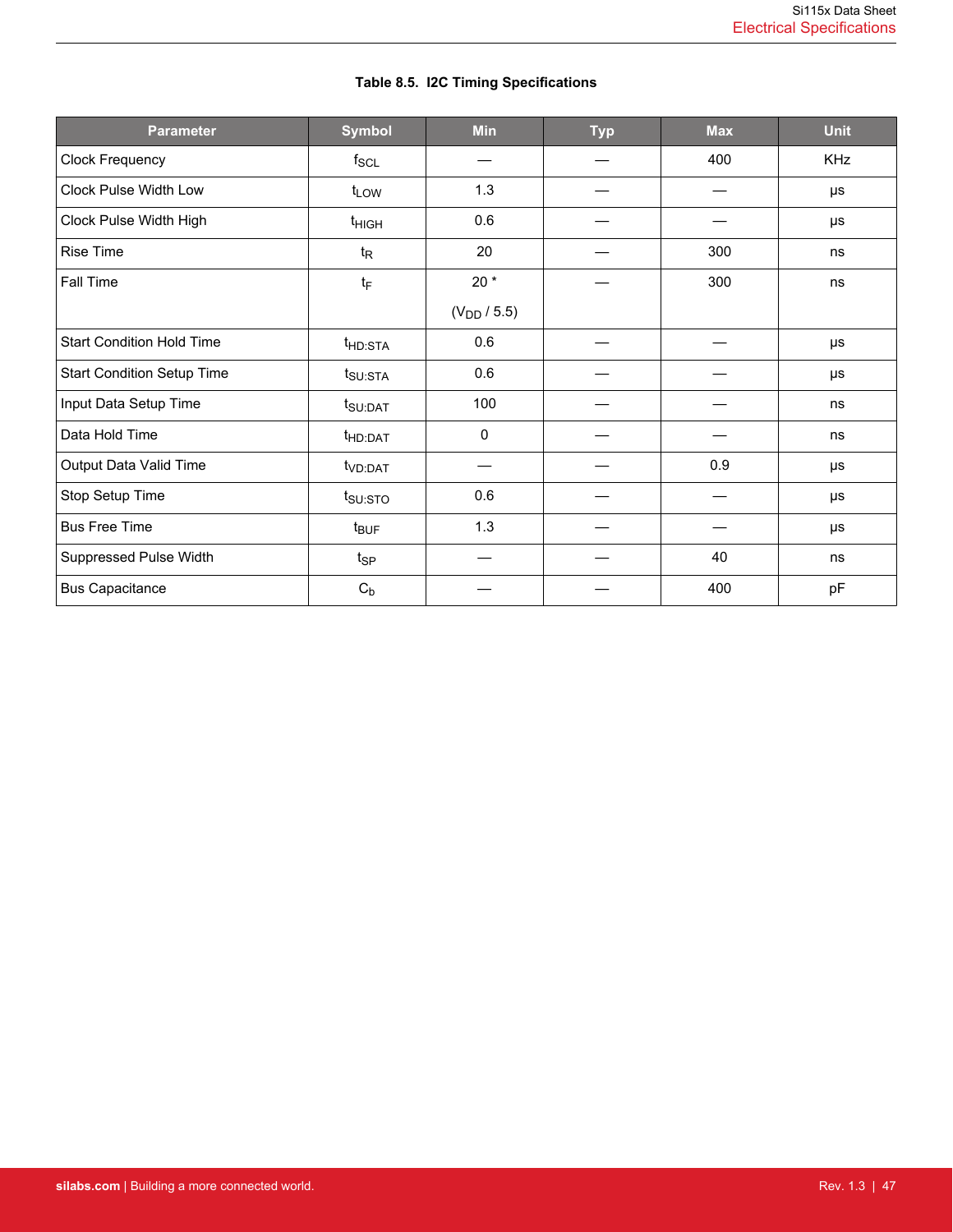| <b>Parameter</b>                  | <b>Symbol</b>       | <b>Min</b>       | <b>Typ</b> | <b>Max</b> | <b>Unit</b> |
|-----------------------------------|---------------------|------------------|------------|------------|-------------|
| Clock Frequency                   | $f_{SCL}$           |                  |            | 400        | <b>KHz</b>  |
| Clock Pulse Width Low             | $t_{LOW}$           | 1.3              |            |            | μs          |
| Clock Pulse Width High            | t <sub>HIGH</sub>   | 0.6              |            |            | μs          |
| <b>Rise Time</b>                  | $t_{\mathsf{R}}$    | 20               |            | 300        | ns          |
| Fall Time                         | $t_{F}$             | $20*$            |            | 300        | ns          |
|                                   |                     | $(V_{DD} / 5.5)$ |            |            |             |
| <b>Start Condition Hold Time</b>  | t <sub>HD:STA</sub> | 0.6              |            |            | $\mu s$     |
| <b>Start Condition Setup Time</b> | $t_{\text{SU:STA}}$ | 0.6              |            |            | μs          |
| Input Data Setup Time             | $t_{\text{SU:DAT}}$ | 100              |            |            | ns          |
| Data Hold Time                    | t <sub>HD:DAT</sub> | 0                |            |            | ns          |
| Output Data Valid Time            | t <sub>VD:DAT</sub> |                  |            | 0.9        | μs          |
| Stop Setup Time                   | t <sub>SU:STO</sub> | 0.6              |            |            | μs          |
| <b>Bus Free Time</b>              | t <sub>BUF</sub>    | 1.3              |            |            | μs          |
| Suppressed Pulse Width            | $t_{\mathsf{SP}}$   |                  |            | 40         | ns          |
| <b>Bus Capacitance</b>            | $C_b$               |                  |            | 400        | pF          |

# **Table 8.5. I2C Timing Specifications**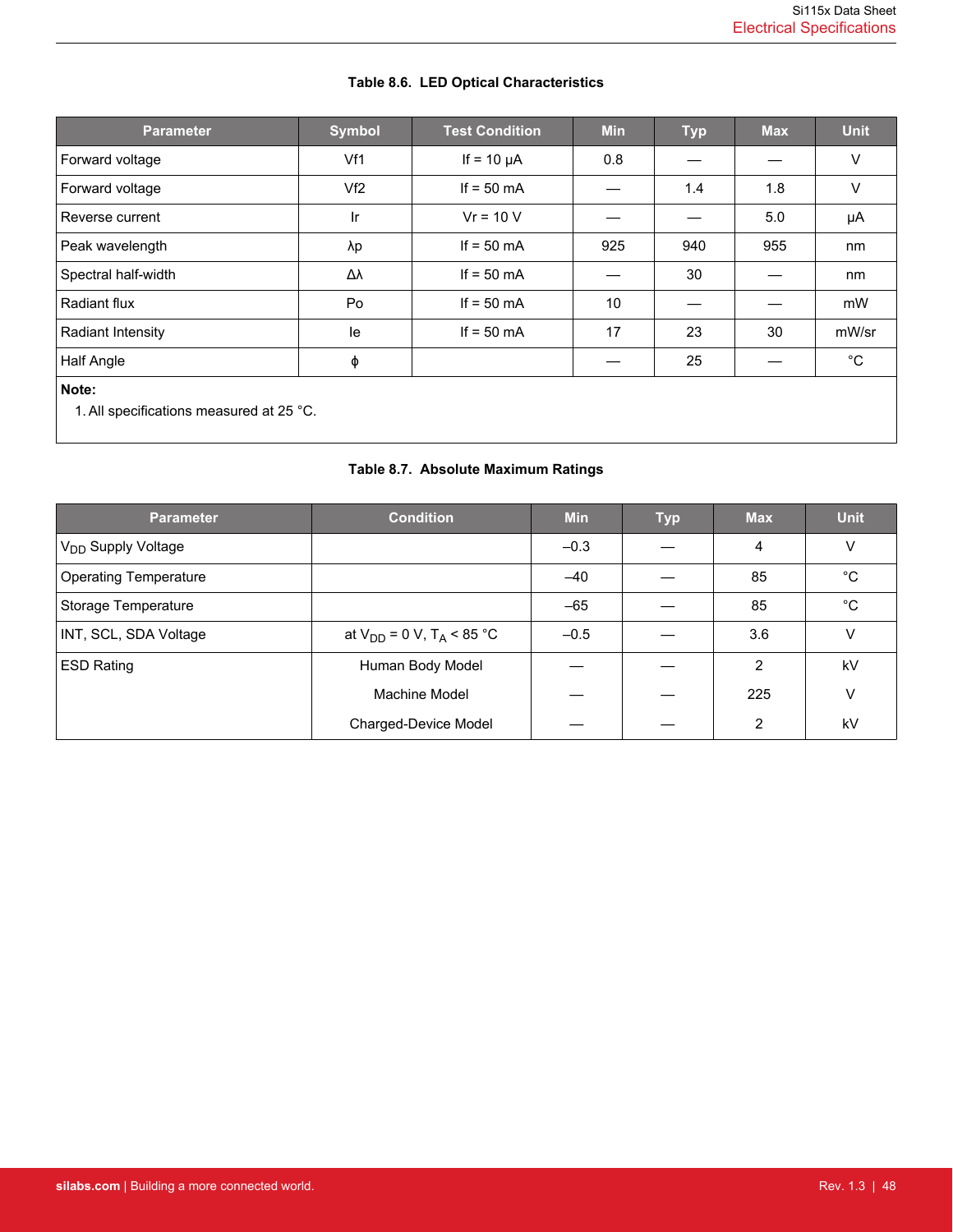<span id="page-47-0"></span>

| <b>Parameter</b>                                  | <b>Symbol</b>  | <b>Test Condition</b> | <b>Min</b> | <b>Typ</b> | <b>Max</b> | <b>Unit</b>  |
|---------------------------------------------------|----------------|-----------------------|------------|------------|------------|--------------|
| Forward voltage                                   | Vf1            | If = $10 \mu A$       | 0.8        |            |            | V            |
| Forward voltage                                   | Vf2            | If $= 50$ mA          |            | 1.4        | 1.8        | V            |
| Reverse current                                   | $\mathsf{I}$ r | $Vr = 10 V$           |            |            | 5.0        | μA           |
| Peak wavelength                                   | λp             | If $= 50$ mA          | 925        | 940        | 955        | nm           |
| Spectral half-width                               | Δλ             | If $= 50$ mA          |            | 30         |            | nm           |
| Radiant flux                                      | Po             | If $= 50$ mA          | 10         |            |            | mW           |
| <b>Radiant Intensity</b>                          | le             | If $= 50$ mA          | 17         | 23         | 30         | mW/sr        |
| Half Angle                                        | φ              |                       |            | 25         |            | $^{\circ}$ C |
| Note:<br>1. All specifications measured at 25 °C. |                |                       |            |            |            |              |

# **Table 8.6. LED Optical Characteristics**

# **Table 8.7. Absolute Maximum Ratings**

| <b>Parameter</b>               | <b>Condition</b>                           | <b>Min</b> | <b>Typ</b> | <b>Max</b> | <b>Unit</b> |
|--------------------------------|--------------------------------------------|------------|------------|------------|-------------|
| V <sub>DD</sub> Supply Voltage |                                            | $-0.3$     |            | 4          | ٧           |
| <b>Operating Temperature</b>   |                                            | $-40$      |            | 85         | °C          |
| Storage Temperature            |                                            | $-65$      |            | 85         | $^{\circ}C$ |
| INT, SCL, SDA Voltage          | at $V_{DD} = 0 V$ , T <sub>A</sub> < 85 °C | $-0.5$     |            | 3.6        | ٧           |
| <b>ESD Rating</b>              | Human Body Model                           |            |            | 2          | kV          |
|                                | Machine Model                              |            |            | 225        | ٧           |
|                                | Charged-Device Model                       |            |            | 2          | kV          |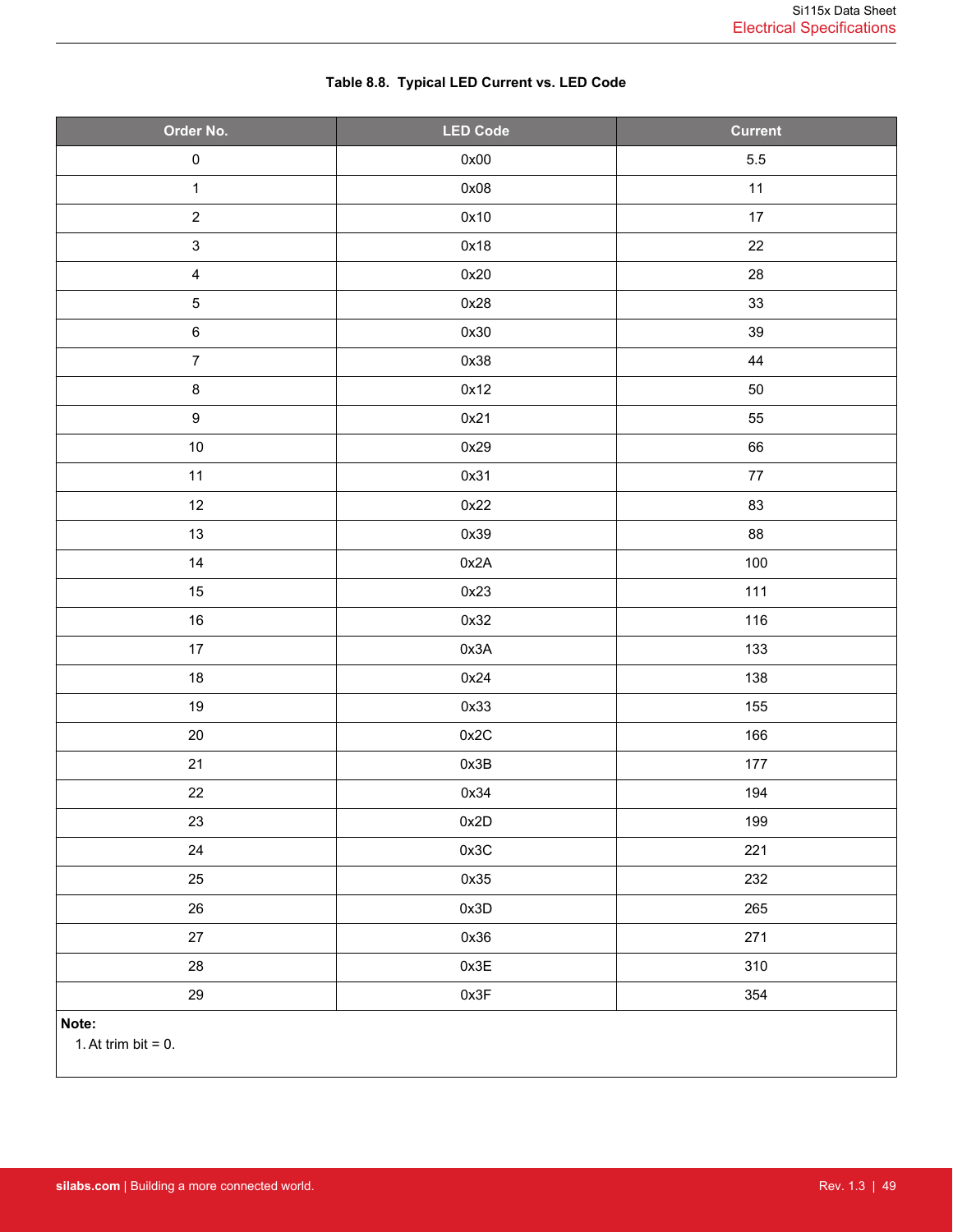<span id="page-48-0"></span>

| Order No.                 | <b>LED Code</b> | <b>Current</b> |
|---------------------------|-----------------|----------------|
| $\pmb{0}$                 | 0x00            | $5.5\,$        |
| $\mathbf 1$               | 0x08            | $11$           |
| $\sqrt{2}$                | 0x10            | $17\,$         |
| $\ensuremath{\mathsf{3}}$ | 0x18            | 22             |
| $\overline{\mathbf{4}}$   | 0x20            | ${\bf 28}$     |
| $\mathbf 5$               | 0x28            | 33             |
| $\,6\,$                   | 0x30            | 39             |
| $\overline{7}$            | 0x38            | 44             |
| $\bf 8$                   | 0x12            | 50             |
| $\boldsymbol{9}$          | 0x21            | 55             |
| $10\,$                    | 0x29            | 66             |
| 11                        | 0x31            | $77\,$         |
| 12                        | 0x22            | 83             |
| $13$                      | 0x39            | 88             |
| 14                        | 0x2A            | 100            |
| 15                        | 0x23            | 111            |
| $16\,$                    | 0x32            | 116            |
| $17\,$                    | 0x3A            | 133            |
| $18\,$                    | 0x24            | 138            |
| $19$                      | 0x33            | 155            |
| $20\,$                    | 0x2C            | 166            |
| 21                        | 0x3B            | $177$          |
| 22                        | 0x34            | 194            |
| 23                        | 0x2D            | 199            |
| 24                        | 0x3C            | 221            |
| 25                        | 0x35            | 232            |
| $26\,$                    | 0x3D            | 265            |
| $27\,$                    | 0x36            | 271            |
| 28                        | 0x3E            | 310            |
| 29                        | 0x3F            | 354            |
| Note:                     |                 |                |

# **Table 8.8. Typical LED Current vs. LED Code**

1. At trim bit  $= 0$ .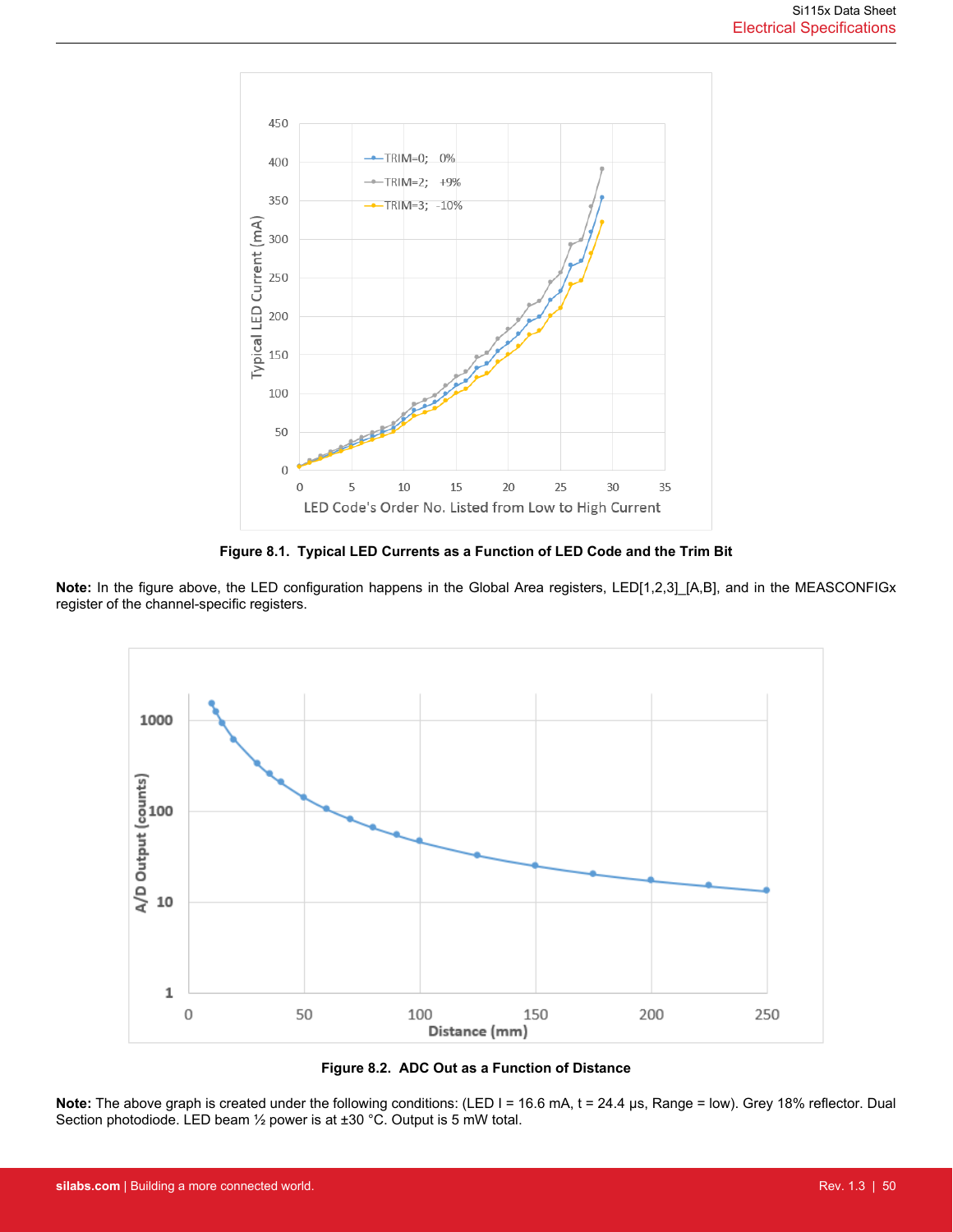

**Figure 8.1. Typical LED Currents as a Function of LED Code and the Trim Bit**

**Note:** In the figure above, the LED configuration happens in the Global Area registers, LED[1,2,3]\_[A,B], and in the MEASCONFIGx register of the channel-specific registers.





**Note:** The above graph is created under the following conditions: (LED I = 16.6 mA, t = 24.4 μs, Range = low). Grey 18% reflector. Dual Section photodiode. LED beam ½ power is at ±30 °C. Output is 5 mW total.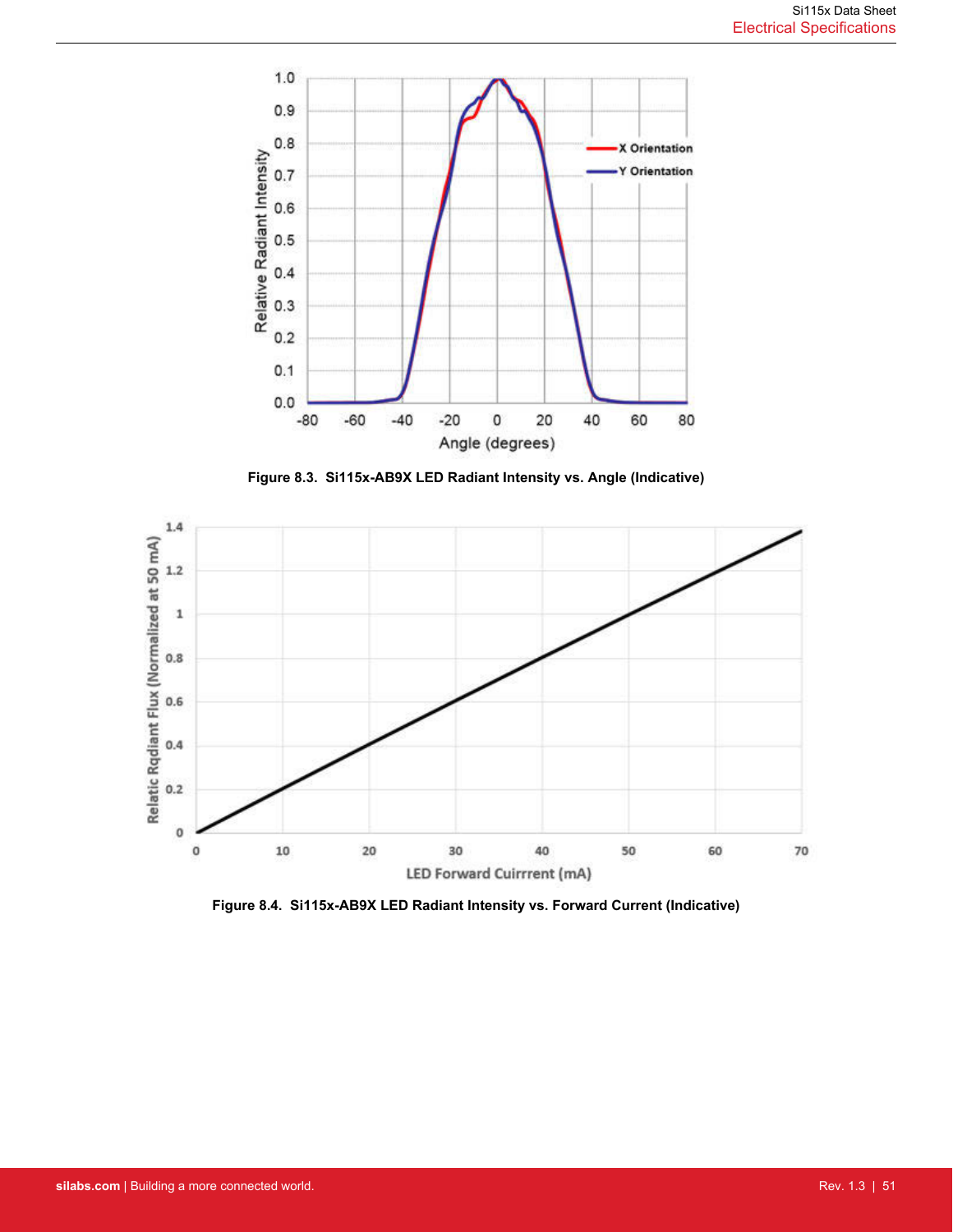

**Figure 8.3. Si115x-AB9X LED Radiant Intensity vs. Angle (Indicative)**



**Figure 8.4. Si115x-AB9X LED Radiant Intensity vs. Forward Current (Indicative)**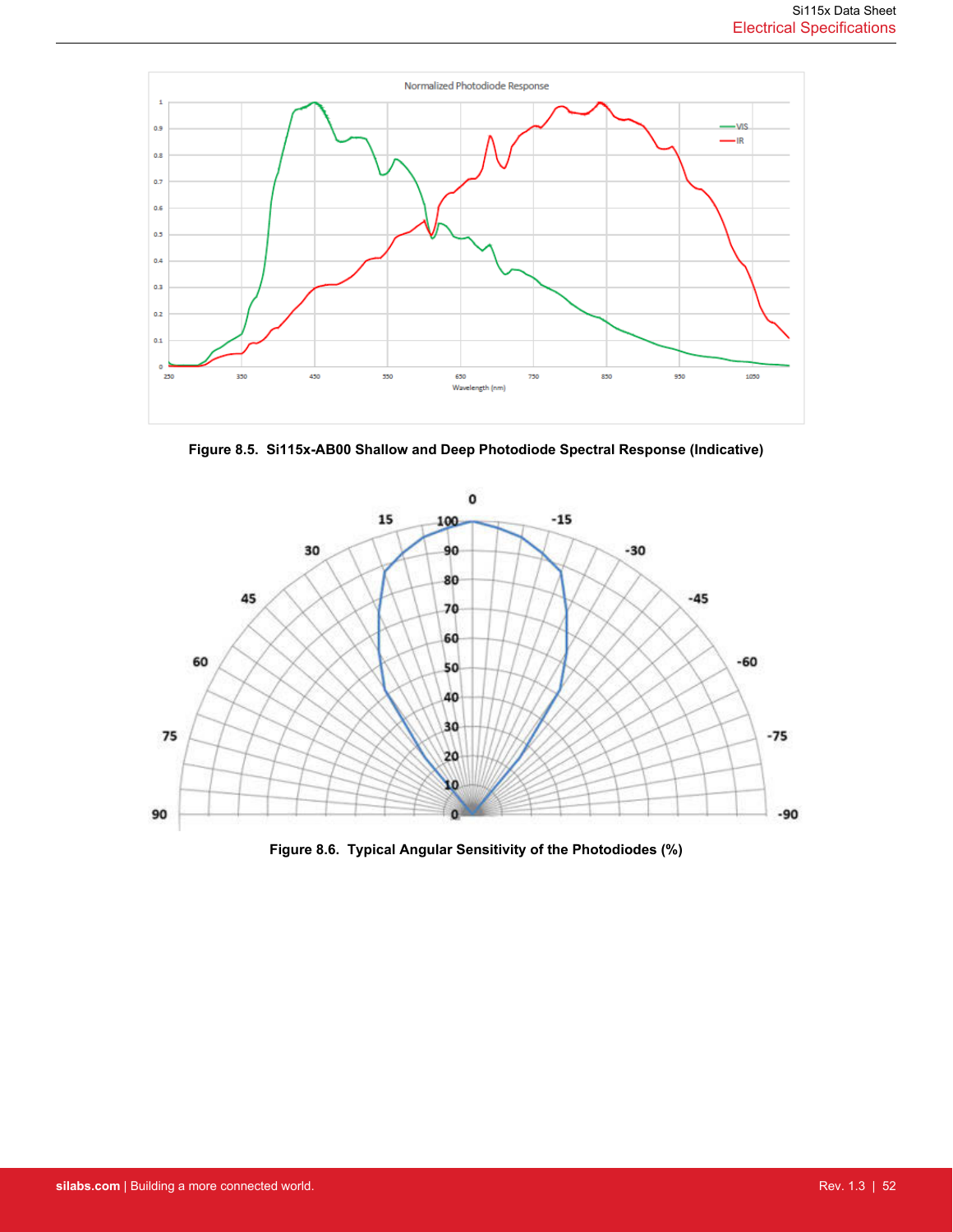

**Figure 8.5. Si115x-AB00 Shallow and Deep Photodiode Spectral Response (Indicative)**



**Figure 8.6. Typical Angular Sensitivity of the Photodiodes (%)**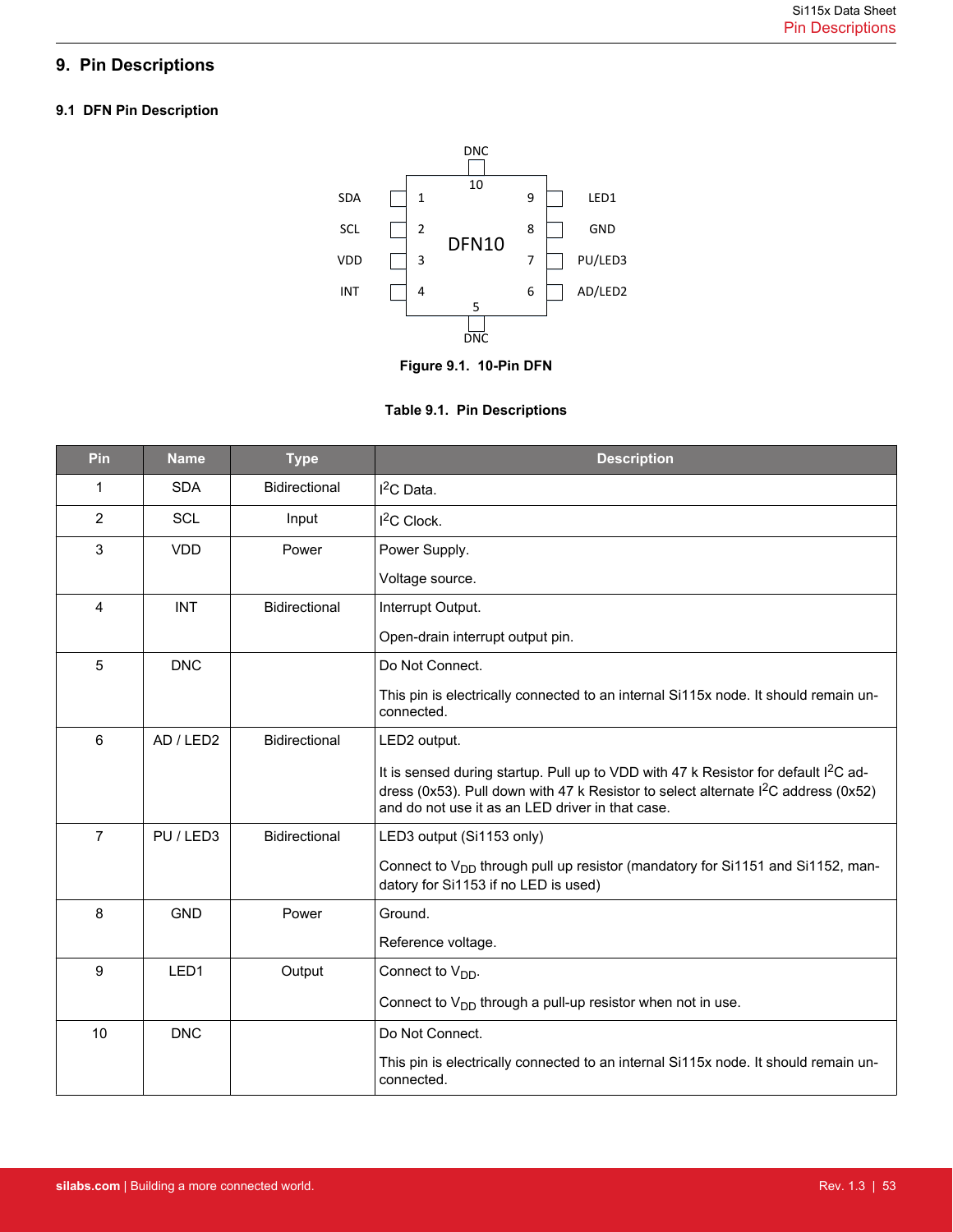# <span id="page-52-0"></span>**9. Pin Descriptions**

# **9.1 DFN Pin Description**



**Figure 9.1. 10-Pin DFN**



| Pin            | <b>Name</b> | <b>Type</b>          | <b>Description</b>                                                                                                                                                                                                                                    |
|----------------|-------------|----------------------|-------------------------------------------------------------------------------------------------------------------------------------------------------------------------------------------------------------------------------------------------------|
| 1              | <b>SDA</b>  | <b>Bidirectional</b> | I <sup>2</sup> C Data.                                                                                                                                                                                                                                |
| $\overline{2}$ | <b>SCL</b>  | Input                | I <sup>2</sup> C Clock.                                                                                                                                                                                                                               |
| 3              | <b>VDD</b>  | Power                | Power Supply.                                                                                                                                                                                                                                         |
|                |             |                      | Voltage source.                                                                                                                                                                                                                                       |
| $\overline{4}$ | <b>INT</b>  | Bidirectional        | Interrupt Output.                                                                                                                                                                                                                                     |
|                |             |                      | Open-drain interrupt output pin.                                                                                                                                                                                                                      |
| 5              | <b>DNC</b>  |                      | Do Not Connect.                                                                                                                                                                                                                                       |
|                |             |                      | This pin is electrically connected to an internal Si115x node. It should remain un-<br>connected.                                                                                                                                                     |
| 6              | AD / LED2   | Bidirectional        | LED2 output.                                                                                                                                                                                                                                          |
|                |             |                      | It is sensed during startup. Pull up to VDD with 47 k Resistor for default I <sup>2</sup> C ad-<br>dress (0x53). Pull down with 47 k Resistor to select alternate I <sup>2</sup> C address (0x52)<br>and do not use it as an LED driver in that case. |
| $\overline{7}$ | PU / LED3   | <b>Bidirectional</b> | LED3 output (Si1153 only)                                                                                                                                                                                                                             |
|                |             |                      | Connect to V <sub>DD</sub> through pull up resistor (mandatory for Si1151 and Si1152, man-<br>datory for Si1153 if no LED is used)                                                                                                                    |
| 8              | <b>GND</b>  | Power                | Ground.                                                                                                                                                                                                                                               |
|                |             |                      | Reference voltage.                                                                                                                                                                                                                                    |
| 9              | LED1        | Output               | Connect to $V_{DD}$ .                                                                                                                                                                                                                                 |
|                |             |                      | Connect to $V_{DD}$ through a pull-up resistor when not in use.                                                                                                                                                                                       |
| 10             | <b>DNC</b>  |                      | Do Not Connect.                                                                                                                                                                                                                                       |
|                |             |                      | This pin is electrically connected to an internal Si115x node. It should remain un-<br>connected.                                                                                                                                                     |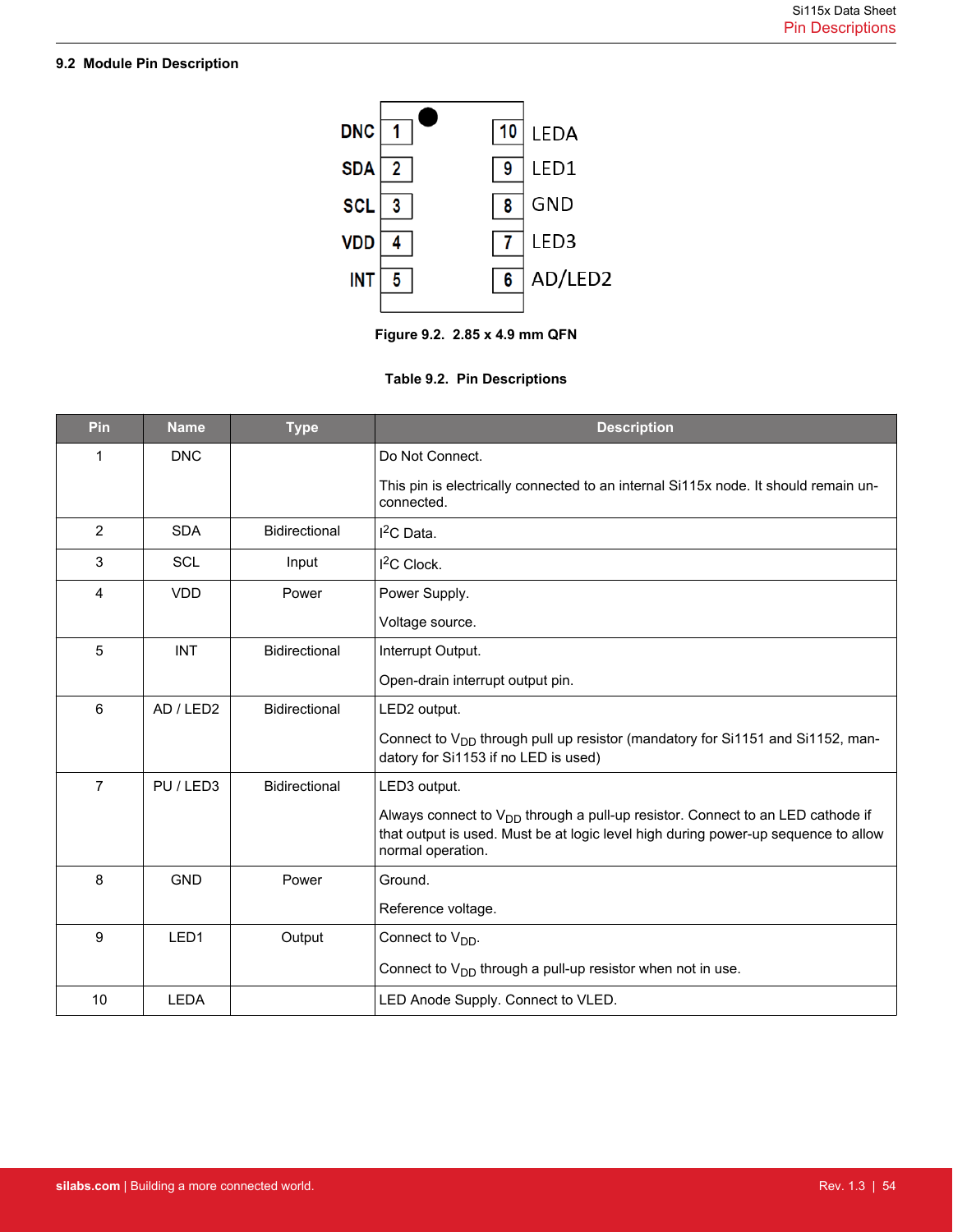# <span id="page-53-0"></span>**9.2 Module Pin Description**



**Figure 9.2. 2.85 x 4.9 mm QFN**



| Pin            | <b>Name</b> | <b>Type</b>          | <b>Description</b>                                                                                                                                                                             |
|----------------|-------------|----------------------|------------------------------------------------------------------------------------------------------------------------------------------------------------------------------------------------|
| 1              | <b>DNC</b>  |                      | Do Not Connect.                                                                                                                                                                                |
|                |             |                      | This pin is electrically connected to an internal Si115x node. It should remain un-<br>connected.                                                                                              |
| $\overline{2}$ | <b>SDA</b>  | <b>Bidirectional</b> | $I2C$ Data.                                                                                                                                                                                    |
| 3              | <b>SCL</b>  | Input                | I <sup>2</sup> C Clock.                                                                                                                                                                        |
| 4              | <b>VDD</b>  | Power                | Power Supply.                                                                                                                                                                                  |
|                |             |                      | Voltage source.                                                                                                                                                                                |
| 5              | <b>INT</b>  | Bidirectional        | Interrupt Output.                                                                                                                                                                              |
|                |             |                      | Open-drain interrupt output pin.                                                                                                                                                               |
| 6              | AD / LED2   | <b>Bidirectional</b> | LED2 output.                                                                                                                                                                                   |
|                |             |                      | Connect to V <sub>DD</sub> through pull up resistor (mandatory for Si1151 and Si1152, man-<br>datory for Si1153 if no LED is used)                                                             |
| $\overline{7}$ | PU / LED3   | <b>Bidirectional</b> | LED3 output.                                                                                                                                                                                   |
|                |             |                      | Always connect to $V_{DD}$ through a pull-up resistor. Connect to an LED cathode if<br>that output is used. Must be at logic level high during power-up sequence to allow<br>normal operation. |
| 8              | <b>GND</b>  | Power                | Ground.                                                                                                                                                                                        |
|                |             |                      | Reference voltage.                                                                                                                                                                             |
| 9              | LED1        | Output               | Connect to $V_{DD}$ .                                                                                                                                                                          |
|                |             |                      | Connect to $V_{DD}$ through a pull-up resistor when not in use.                                                                                                                                |
| 10             | <b>LEDA</b> |                      | LED Anode Supply. Connect to VLED.                                                                                                                                                             |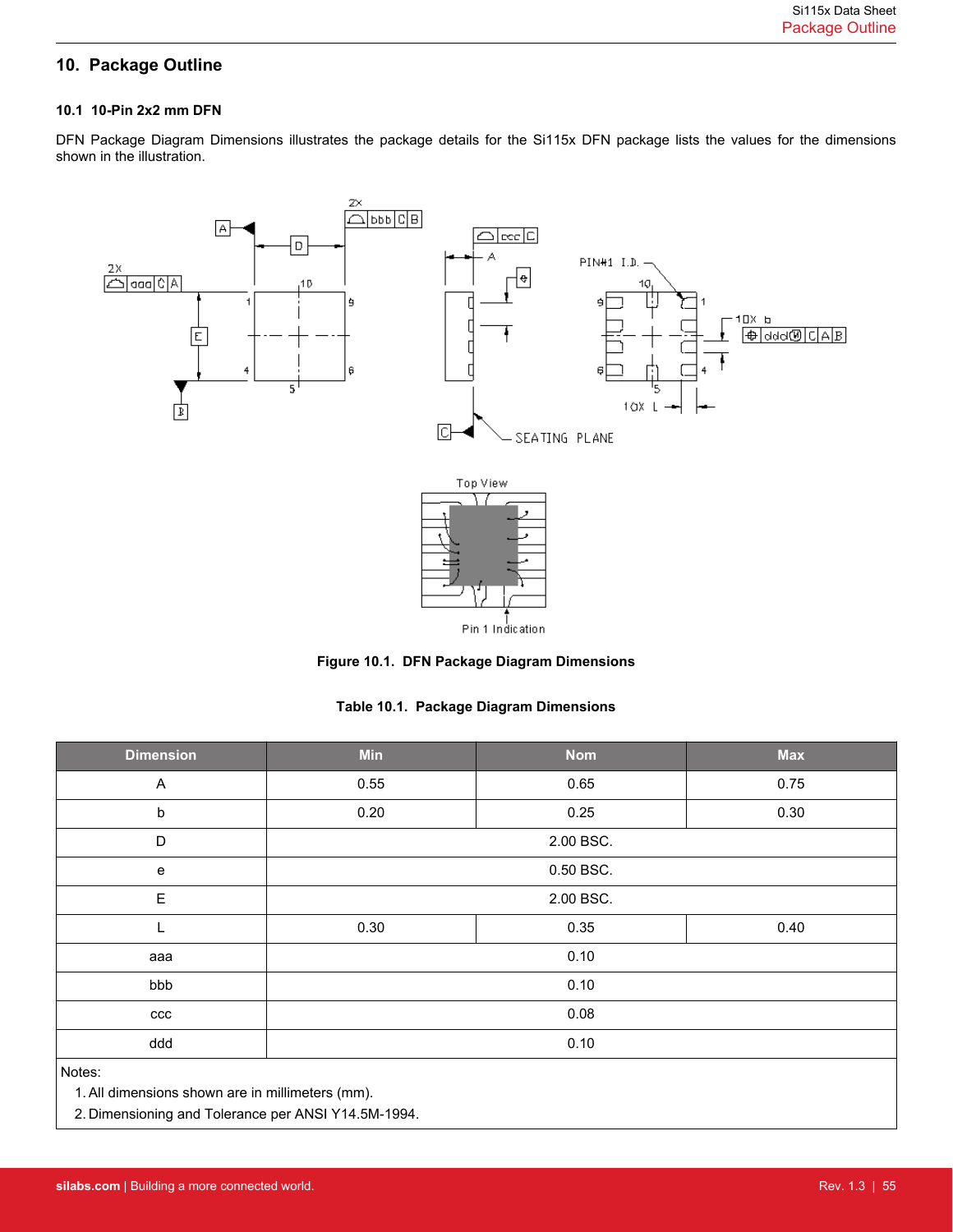# <span id="page-54-0"></span>**10. Package Outline**

### **10.1 10-Pin 2x2 mm DFN**

DFN Package Diagram Dimensions illustrates the package details for the Si115x DFN package lists the values for the dimensions shown in the illustration.



**Figure 10.1. DFN Package Diagram Dimensions**

|  |  |  | Table 10.1. Package Diagram Dimensions |
|--|--|--|----------------------------------------|
|--|--|--|----------------------------------------|

| <b>Dimension</b>                                           | Min  | <b>Nom</b> | <b>Max</b> |
|------------------------------------------------------------|------|------------|------------|
| A                                                          | 0.55 | 0.65       | 0.75       |
| $\sf b$                                                    | 0.20 | 0.25       | 0.30       |
| D                                                          |      | 2.00 BSC.  |            |
| ${\bf e}$                                                  |      | 0.50 BSC.  |            |
| E                                                          |      | 2.00 BSC.  |            |
|                                                            | 0.30 | 0.35       | 0.40       |
| aaa                                                        |      | 0.10       |            |
| bbb                                                        |      | 0.10       |            |
| ccc                                                        | 0.08 |            |            |
| ddd                                                        |      | 0.10       |            |
| Notes:<br>1. All dimensions shown are in millimeters (mm). |      |            |            |

2. Dimensioning and Tolerance per ANSI Y14.5M-1994.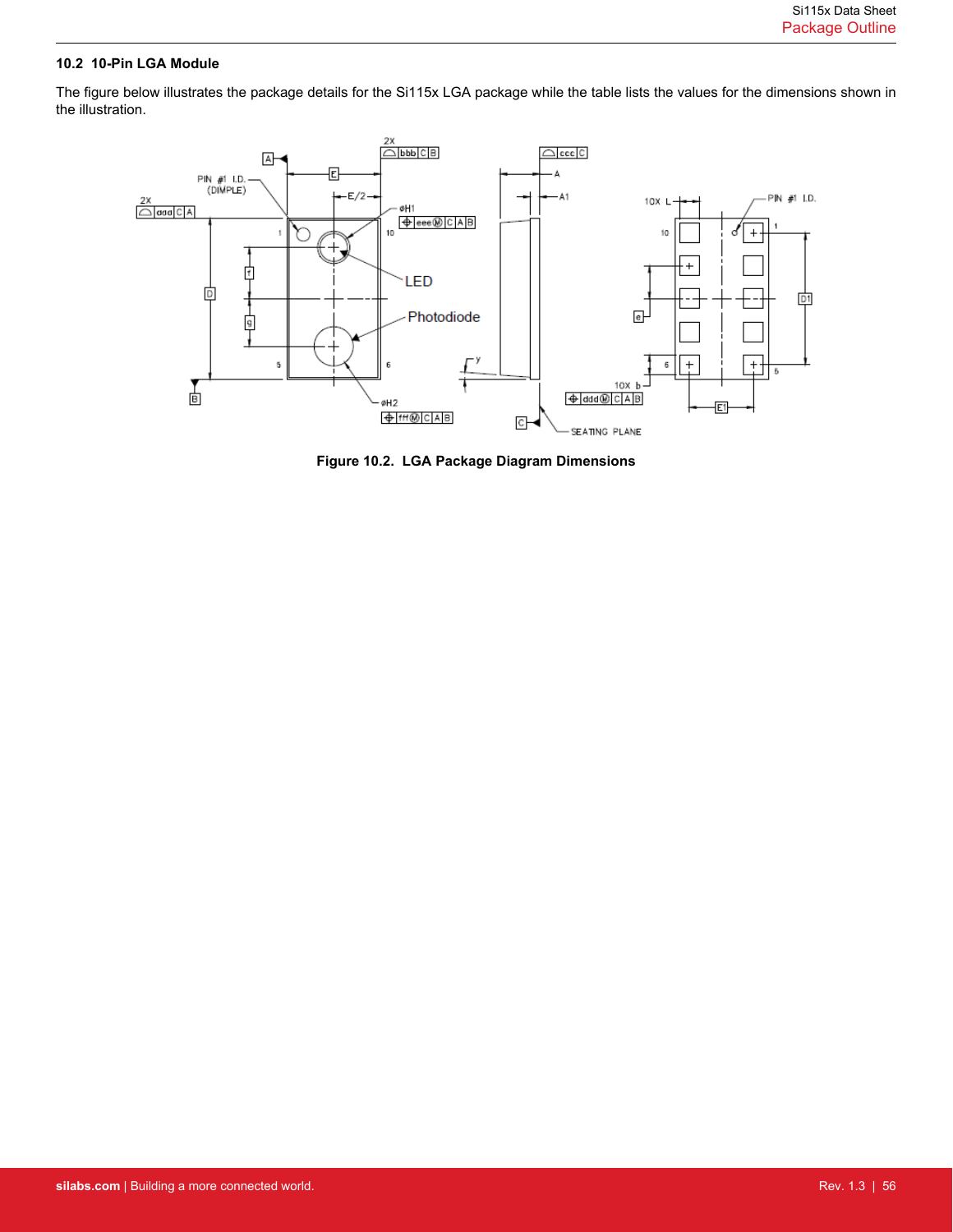### <span id="page-55-0"></span>**10.2 10-Pin LGA Module**

The figure below illustrates the package details for the Si115x LGA package while the table lists the values for the dimensions shown in the illustration.



**Figure 10.2. LGA Package Diagram Dimensions**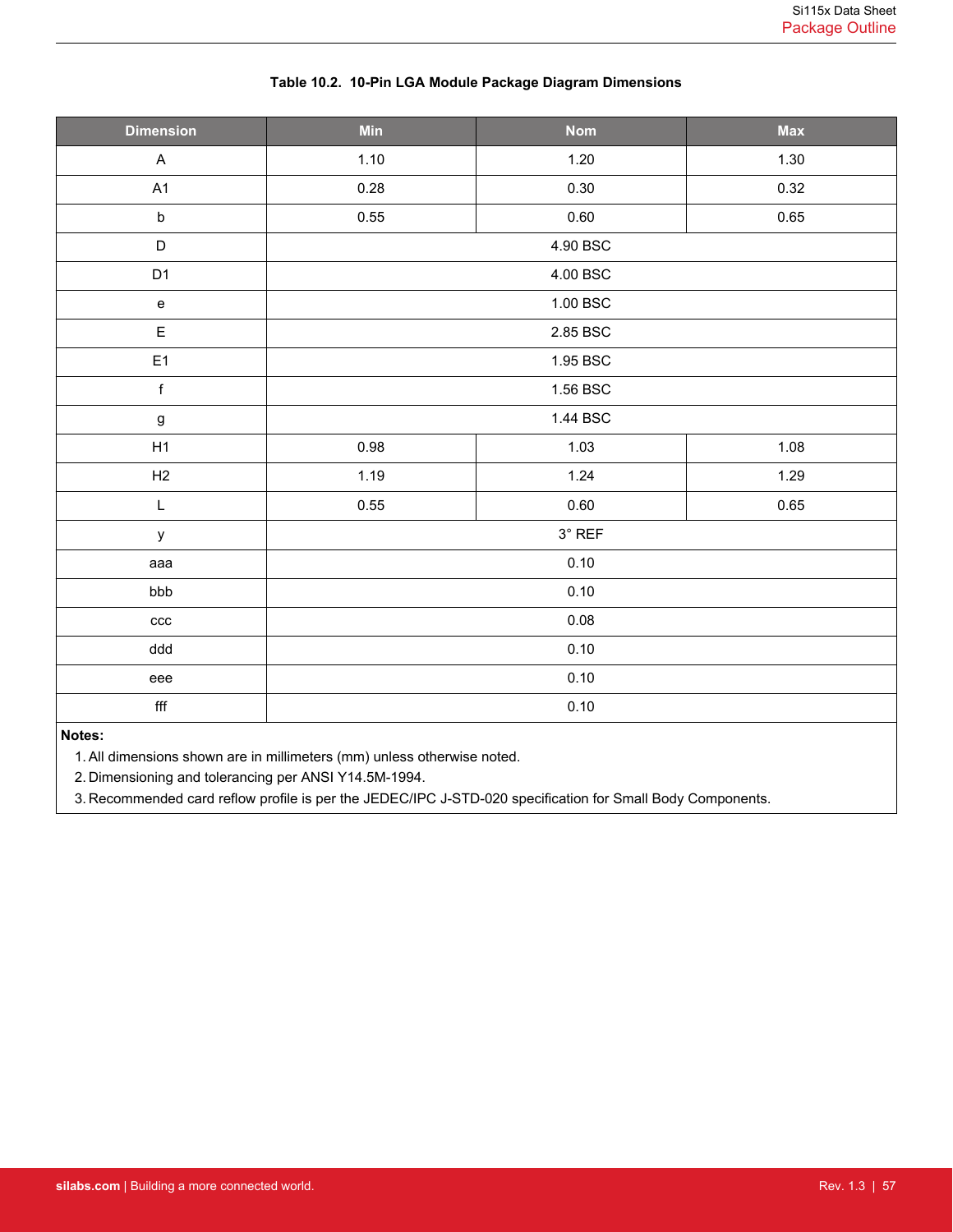| <b>Dimension</b>                  | Min      | <b>Nom</b>    | <b>Max</b> |
|-----------------------------------|----------|---------------|------------|
| $\boldsymbol{\mathsf{A}}$         | 1.10     | 1.20          | 1.30       |
| A1                                | 0.28     | 0.30          | 0.32       |
| $\mathsf b$                       | 0.55     | 0.60          | 0.65       |
| $\mathsf D$                       |          | 4.90 BSC      |            |
| D <sub>1</sub>                    |          | 4.00 BSC      |            |
| $\mathbf{e}% _{t}\left( t\right)$ |          | 1.00 BSC      |            |
| $\mathsf E$                       |          | 2.85 BSC      |            |
| E1                                |          | 1.95 BSC      |            |
| $\mathsf f$                       | 1.56 BSC |               |            |
| $\boldsymbol{g}$                  |          | 1.44 BSC      |            |
| H1                                | 0.98     | 1.03          | 1.08       |
| H2                                | 1.19     | 1.24          | 1.29       |
| $\mathsf L$                       | 0.55     | 0.60          | 0.65       |
| y                                 |          | $3^\circ$ REF |            |
| aaa                               |          | 0.10          |            |
| bbb                               |          | 0.10          |            |
| ccc                               |          | 0.08          |            |
| ddd                               |          | 0.10          |            |
| eee                               |          | 0.10          |            |
| $\mathsf{f}\mathsf{f}\mathsf{f}$  |          | 0.10          |            |
| Notes:                            |          |               |            |

### **Table 10.2. 10-Pin LGA Module Package Diagram Dimensions**

#### **Notes:**

1.All dimensions shown are in millimeters (mm) unless otherwise noted.

2. Dimensioning and tolerancing per ANSI Y14.5M-1994.

3. Recommended card reflow profile is per the JEDEC/IPC J-STD-020 specification for Small Body Components.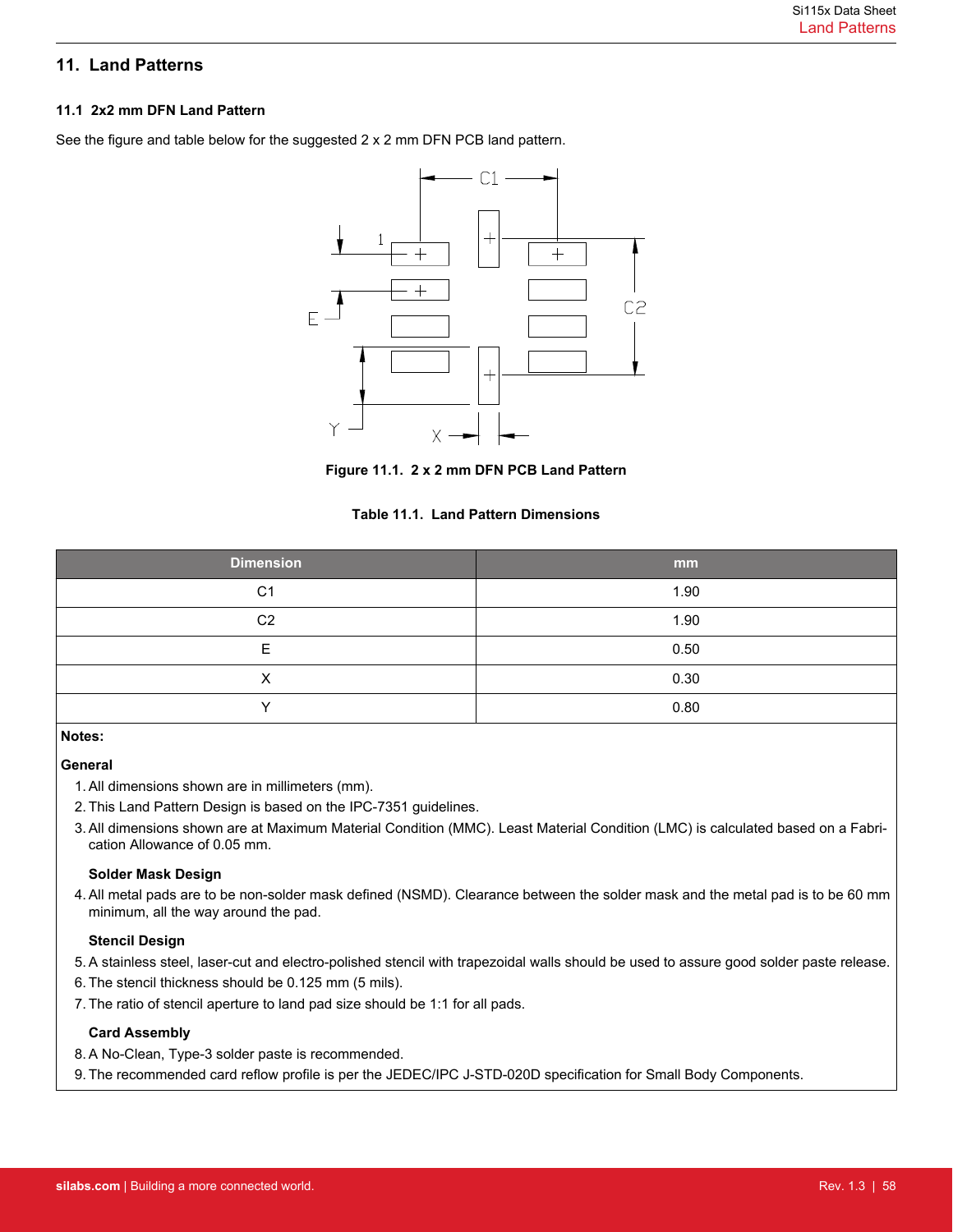# <span id="page-57-0"></span>**11. Land Patterns**

### **11.1 2x2 mm DFN Land Pattern**

See the figure and table below for the suggested 2 x 2 mm DFN PCB land pattern.



**Figure 11.1. 2 x 2 mm DFN PCB Land Pattern**

### **Table 11.1. Land Pattern Dimensions**

| <b>Dimension</b> | mm   |
|------------------|------|
| C <sub>1</sub>   | 1.90 |
| C <sub>2</sub>   | 1.90 |
| F                | 0.50 |
| X                | 0.30 |
| $\check{ }$      | 0.80 |

# **Notes:**

# **General**

- 1.All dimensions shown are in millimeters (mm).
- 2. This Land Pattern Design is based on the IPC-7351 guidelines.
- 3. All dimensions shown are at Maximum Material Condition (MMC). Least Material Condition (LMC) is calculated based on a Fabrication Allowance of 0.05 mm.

### **Solder Mask Design**

4. All metal pads are to be non-solder mask defined (NSMD). Clearance between the solder mask and the metal pad is to be 60 mm minimum, all the way around the pad.

### **Stencil Design**

- 5. A stainless steel, laser-cut and electro-polished stencil with trapezoidal walls should be used to assure good solder paste release.
- 6. The stencil thickness should be 0.125 mm (5 mils).
- 7. The ratio of stencil aperture to land pad size should be 1:1 for all pads.

### **Card Assembly**

- 8. A No-Clean, Type-3 solder paste is recommended.
- 9. The recommended card reflow profile is per the JEDEC/IPC J-STD-020D specification for Small Body Components.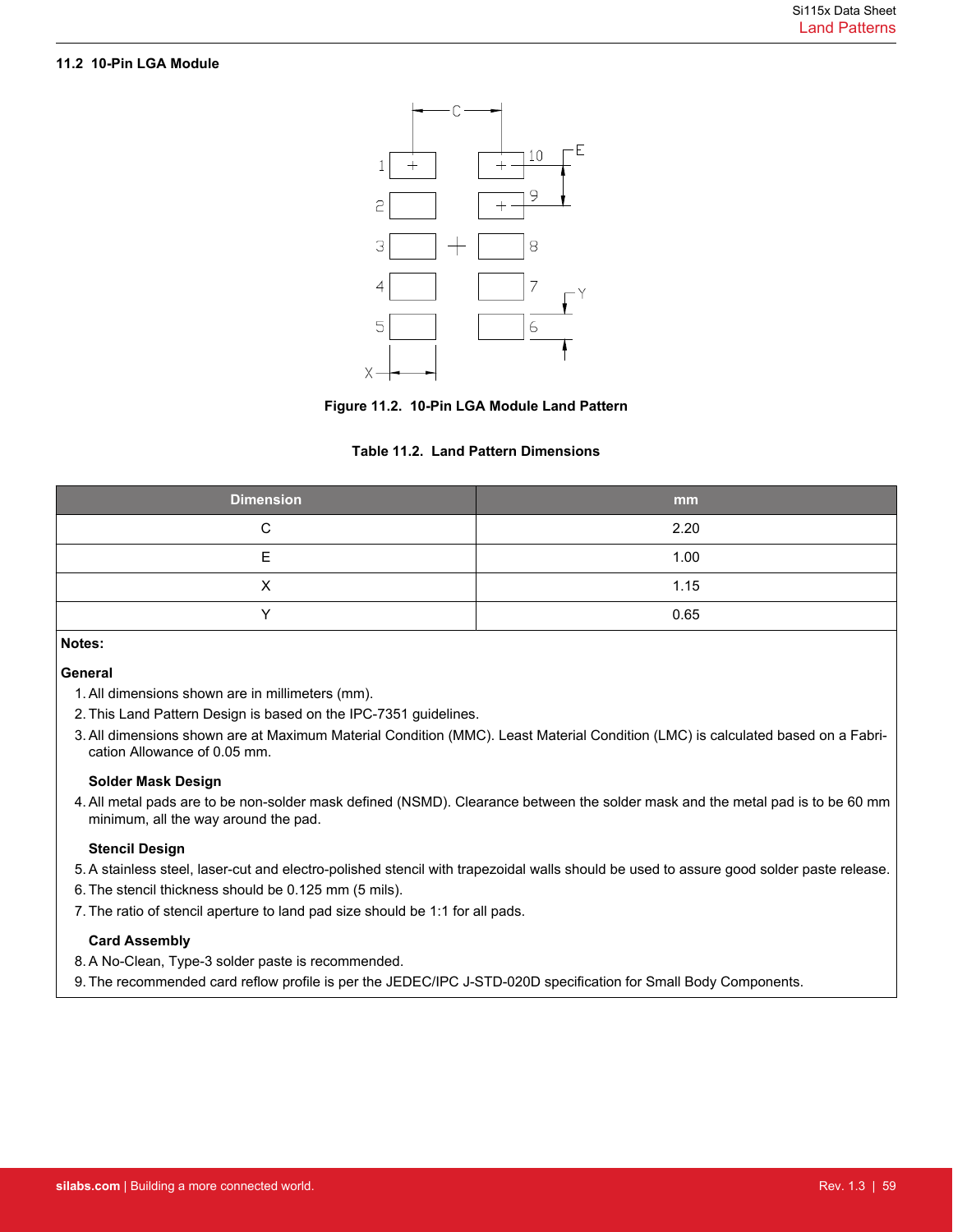# <span id="page-58-0"></span>**11.2 10-Pin LGA Module**





### **Table 11.2. Land Pattern Dimensions**

| <b>Dimension</b> | mm   |
|------------------|------|
| ⌒                | 2.20 |
| -                | 1.00 |
|                  | 1.15 |
|                  | 0.65 |

# **Notes:**

### **General**

- 1.All dimensions shown are in millimeters (mm).
- 2. This Land Pattern Design is based on the IPC-7351 guidelines.
- 3. All dimensions shown are at Maximum Material Condition (MMC). Least Material Condition (LMC) is calculated based on a Fabrication Allowance of 0.05 mm.

### **Solder Mask Design**

4. All metal pads are to be non-solder mask defined (NSMD). Clearance between the solder mask and the metal pad is to be 60 mm minimum, all the way around the pad.

### **Stencil Design**

- 5. A stainless steel, laser-cut and electro-polished stencil with trapezoidal walls should be used to assure good solder paste release.
- 6. The stencil thickness should be 0.125 mm (5 mils).
- 7. The ratio of stencil aperture to land pad size should be 1:1 for all pads.

### **Card Assembly**

- 8. A No-Clean, Type-3 solder paste is recommended.
- 9. The recommended card reflow profile is per the JEDEC/IPC J-STD-020D specification for Small Body Components.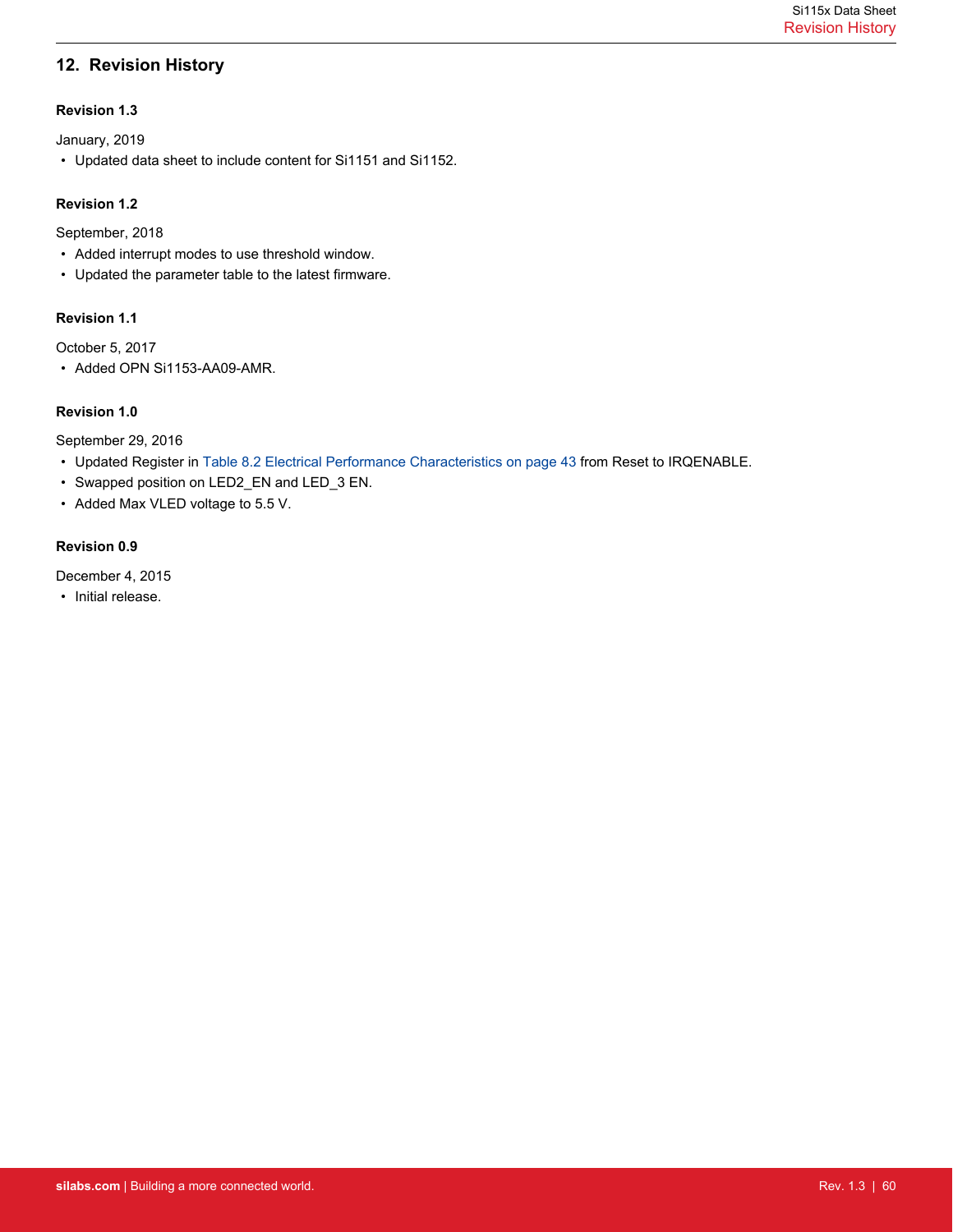# <span id="page-59-0"></span>**12. Revision History**

### **Revision 1.3**

January, 2019

• Updated data sheet to include content for Si1151 and Si1152.

### **Revision 1.2**

September, 2018

- Added interrupt modes to use threshold window.
- Updated the parameter table to the latest firmware.

# **Revision 1.1**

October 5, 2017

• Added OPN Si1153-AA09-AMR.

### **Revision 1.0**

September 29, 2016

- Updated Register in [Table 8.2 Electrical Performance Characteristics on page 43](#page-42-0) from Reset to IRQENABLE.
- Swapped position on LED2\_EN and LED\_3 EN.
- Added Max VLED voltage to 5.5 V.

### **Revision 0.9**

December 4, 2015

• Initial release.